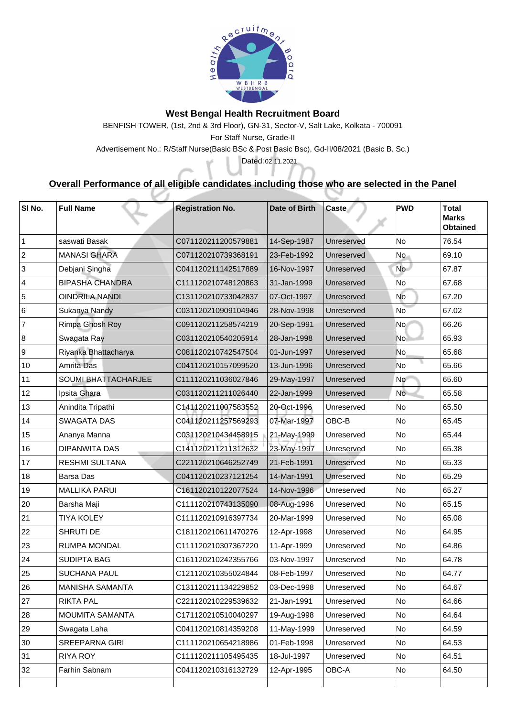

## **West Bengal Health Recruitment Board**

BENFISH TOWER, (1st, 2nd & 3rd Floor), GN-31, Sector-V, Salt Lake, Kolkata - 700091 For Staff Nurse, Grade-II

Advertisement No.: R/Staff Nurse(Basic BSc & Post Basic Bsc), Gd-II/08/2021 (Basic B. Sc.)

## **Overall Performance of all eligible candidates including those who are selected in the Panel**

Dated: 02.11.2021

| SI No.         | <b>Full Name</b>           | <b>Registration No.</b> | Date of Birth | <b>Caste</b>      | <b>PWD</b>     | <b>Total</b><br><b>Marks</b><br><b>Obtained</b> |
|----------------|----------------------------|-------------------------|---------------|-------------------|----------------|-------------------------------------------------|
|                | saswati Basak              | C071120211200579881     | 14-Sep-1987   | <b>Unreserved</b> | <b>No</b>      | 76.54                                           |
| $\overline{2}$ | <b>MANASI GHARA</b>        | C071120210739368191     | 23-Feb-1992   | Unreserved        | No.            | 69.10                                           |
| 3              | Debjani Singha             | C041120211142517889     | 16-Nov-1997   | Unreserved        | No             | 67.87                                           |
| 4              | <b>BIPASHA CHANDRA</b>     | C111120210748120863     | 31-Jan-1999   | <b>Unreserved</b> | <b>No</b>      | 67.68                                           |
| 5              | <b>OINDRILA NANDI</b>      | C131120210733042837     | 07-Oct-1997   | Unreserved        | <b>No</b>      | 67.20                                           |
| 6              | Sukanya Nandy              | C031120210909104946     | 28-Nov-1998   | <b>Unreserved</b> | <b>No</b>      | 67.02                                           |
|                | <b>Rimpa Ghosh Roy</b>     | C091120211258574219     | 20-Sep-1991   | Unreserved        | N <sub>O</sub> | 66.26                                           |
| 8              | <b>Swagata Ray</b>         | C031120210540205914     | 28-Jan-1998   | Unreserved        | <b>No</b>      | 65.93                                           |
| 9              | Riyanka Bhattacharya       | C081120210742547504     | 01-Jun-1997   | Unreserved        | No             | 65.68                                           |
| 10             | <b>Amrita Das</b>          | C041120210157099520     | 13-Jun-1996   | Unreserved        | <b>No</b>      | 65.66                                           |
| 11             | <b>SOUMI BHATTACHARJEE</b> | C111120211036027846     | 29-May-1997   | <b>Unreserved</b> | No             | 65.60                                           |
| 12             | Ipsita Ghara               | C031120211211026440     | 22-Jan-1999   | Unreserved        | <b>No</b>      | 65.58                                           |
| 13             | Anindita Tripathi          | C141120211007583552     | 20-Oct-1996   | Unreserved        | No             | 65.50                                           |
| 14             | <b>SWAGATA DAS</b>         | C041120211257569293     | 07-Mar-1997   | OBC-B             | No             | 65.45                                           |
| 15             | Ananya Manna               | C031120210434458915     | 21-May-1999   | Unreserved        | No             | 65.44                                           |
| 16             | <b>DIPANWITA DAS</b>       | C141120211211312632     | 23-May-1997   | Unreserved        | No             | 65.38                                           |
| 17             | <b>RESHMI SULTANA</b>      | C221120210646252749     | 21-Feb-1991   | Unreserved        | No             | 65.33                                           |
| 18             | <b>Barsa Das</b>           | C041120210237121254     | 14-Mar-1991   | <b>Unreserved</b> | No             | 65.29                                           |
| 19             | <b>MALLIKA PARUI</b>       | C161120210122077524     | 14-Nov-1996   | Unreserved        | No             | 65.27                                           |
| 20             | Barsha Maji                | C111120210743135090     | 08-Aug-1996   | Unreserved        | No             | 65.15                                           |
| 21             | <b>TIYA KOLEY</b>          | C111120210916397734     | 20-Mar-1999   | Unreserved        | No             | 65.08                                           |
| 22             | <b>SHRUTI DE</b>           | C181120210611470276     | 12-Apr-1998   | Unreserved        | No             | 64.95                                           |
| 23             | <b>RUMPA MONDAL</b>        | C111120210307367220     | 11-Apr-1999   | Unreserved        | No             | 64.86                                           |
| 24             | <b>SUDIPTA BAG</b>         | C161120210242355766     | 03-Nov-1997   | Unreserved        | No             | 64.78                                           |
| 25             | <b>SUCHANA PAUL</b>        | C121120210355024844     | 08-Feb-1997   | Unreserved        | No             | 64.77                                           |
| 26             | <b>MANISHA SAMANTA</b>     | C131120211134229852     | 03-Dec-1998   | Unreserved        | <b>No</b>      | 64.67                                           |
| 27             | <b>RIKTA PAL</b>           | C221120210229539632     | 21-Jan-1991   | Unreserved        | No             | 64.66                                           |
| 28             | <b>MOUMITA SAMANTA</b>     | C171120210510040297     | 19-Aug-1998   | Unreserved        | <b>No</b>      | 64.64                                           |
| 29             | Swagata Laha               | C041120210814359208     | 11-May-1999   | Unreserved        | No             | 64.59                                           |
| 30             | <b>SREEPARNA GIRI</b>      | C111120210654218986     | 01-Feb-1998   | Unreserved        | No             | 64.53                                           |
| 31             | <b>RIYA ROY</b>            | C111120211105495435     | 18-Jul-1997   | Unreserved        | No             | 64.51                                           |
| 32             | <b>Farhin Sabnam</b>       | C041120210316132729     | 12-Apr-1995   | <b>OBC-A</b>      | <b>No</b>      | 64.50                                           |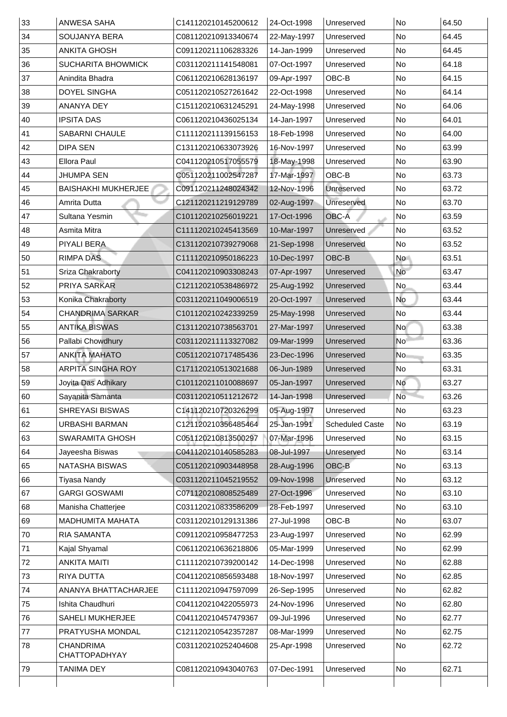| 33 | <b>ANWESA SAHA</b>                       | C141120210145200612 | 24-Oct-1998 | Unreserved             | <b>No</b> | 64.50 |
|----|------------------------------------------|---------------------|-------------|------------------------|-----------|-------|
| 34 | <b>SOUJANYA BERA</b>                     | C081120210913340674 | 22-May-1997 | Unreserved             | <b>No</b> | 64.45 |
| 35 | <b>ANKITA GHOSH</b>                      | C091120211106283326 | 14-Jan-1999 | Unreserved             | No        | 64.45 |
| 36 | <b>SUCHARITA BHOWMICK</b>                | C031120211141548081 | 07-Oct-1997 | Unreserved             | <b>No</b> | 64.18 |
| 37 | Anindita Bhadra                          | C061120210628136197 | 09-Apr-1997 | OBC-B                  | <b>No</b> | 64.15 |
| 38 | <b>DOYEL SINGHA</b>                      | C051120210527261642 | 22-Oct-1998 | Unreserved             | No        | 64.14 |
| 39 | <b>ANANYA DEY</b>                        | C151120210631245291 | 24-May-1998 | Unreserved             | <b>No</b> | 64.06 |
| 40 | <b>IPSITA DAS</b>                        | C061120210436025134 | 14-Jan-1997 | Unreserved             | <b>No</b> | 64.01 |
| 41 | <b>SABARNI CHAULE</b>                    | C111120211139156153 | 18-Feb-1998 | Unreserved             | <b>No</b> | 64.00 |
| 42 | <b>DIPA SEN</b>                          | C131120210633073926 | 16-Nov-1997 | Unreserved             | <b>No</b> | 63.99 |
| 43 | <b>Ellora Paul</b>                       | C041120210517055579 | 18-May-1998 | Unreserved             | No        | 63.90 |
| 44 | <b>JHUMPA SEN</b>                        | C051120211002547287 | 17-Mar-1997 | OBC-B                  | <b>No</b> | 63.73 |
| 45 | <b>BAISHAKHI MUKHERJEE</b>               | C091120211248024342 | 12-Nov-1996 | <b>Unreserved</b>      | <b>No</b> | 63.72 |
| 46 | Amrita Dutta                             | C121120211219129789 | 02-Aug-1997 | <b>Unreserved</b>      | No        | 63.70 |
| 47 | <b>Sultana Yesmin</b>                    | C101120210256019221 | 17-Oct-1996 | <b>OBC-A</b>           | No        | 63.59 |
| 48 | <b>Asmita Mitra</b>                      | C111120210245413569 | 10-Mar-1997 | Unreserved             | No        | 63.52 |
| 49 | <b>PIYALI BERA</b>                       | C131120210739279068 | 21-Sep-1998 | Unreserved             | No        | 63.52 |
| 50 | <b>RIMPA DAS</b>                         | C111120210950186223 | 10-Dec-1997 | OBC-B                  | <b>No</b> | 63.51 |
| 51 | <b>Sriza Chakraborty</b>                 | C041120210903308243 | 07-Apr-1997 | Unreserved             | No        | 63.47 |
| 52 | <b>PRIYA SARKAR</b>                      | C121120210538486972 | 25-Aug-1992 | Unreserved             | No.       | 63.44 |
| 53 | Konika Chakraborty                       | C031120211049006519 | 20-Oct-1997 | Unreserved             | No        | 63.44 |
| 54 | <b>CHANDRIMA SARKAR</b>                  | C101120210242339259 | 25-May-1998 | Unreserved             | <b>No</b> | 63.44 |
| 55 | <b>ANTIKA BISWAS</b>                     | C131120210738563701 | 27-Mar-1997 | Unreserved             | No        | 63.38 |
| 56 | <b>Pallabi Chowdhury</b>                 | C031120211113327082 | 09-Mar-1999 | Unreserved             | No        | 63.36 |
| 57 | <b>ANKITA MAHATO</b>                     | C051120210717485436 | 23-Dec-1996 | Unreserved             | No        | 63.35 |
| 58 | <b>ARPITA SINGHA ROY</b>                 | C171120210513021688 | 06-Jun-1989 | Unreserved             | No        | 63.31 |
| 59 | Joyita Das Adhikary                      | C101120211010088697 | 05-Jan-1997 | Unreserved             | No        | 63.27 |
| 60 | Sayanita Samanta                         | C031120210511212672 | 14-Jan-1998 | Unreserved             | <b>No</b> | 63.26 |
| 61 | <b>SHREYASI BISWAS</b>                   | C141120210720326299 | 05-Aug-1997 | Unreserved             | <b>No</b> | 63.23 |
| 62 | <b>URBASHI BARMAN</b>                    | C121120210356485464 | 25-Jan-1991 | <b>Scheduled Caste</b> | No        | 63.19 |
| 63 | <b>SWARAMITA GHOSH</b>                   | C051120210813500297 | 07-Mar-1996 | Unreserved             | <b>No</b> | 63.15 |
| 64 | Jayeesha Biswas                          | C041120210140585283 | 08-Jul-1997 | Unreserved             | No        | 63.14 |
| 65 | <b>NATASHA BISWAS</b>                    | C051120210903448958 | 28-Aug-1996 | <b>OBC-B</b>           | No        | 63.13 |
| 66 | Tiyasa Nandy                             | C031120211045219552 | 09-Nov-1998 | Unreserved             | <b>No</b> | 63.12 |
| 67 | <b>GARGI GOSWAMI</b>                     | C071120210808525489 | 27-Oct-1996 | Unreserved             | No        | 63.10 |
| 68 | Manisha Chatterjee                       | C031120210833586209 | 28-Feb-1997 | Unreserved             | <b>No</b> | 63.10 |
| 69 | <b>MADHUMITA MAHATA</b>                  | C031120210129131386 | 27-Jul-1998 | OBC-B                  | No        | 63.07 |
| 70 | <b>RIA SAMANTA</b>                       | C091120210958477253 | 23-Aug-1997 | Unreserved             | <b>No</b> | 62.99 |
| 71 | <b>Kajal Shyamal</b>                     | C061120210636218806 | 05-Mar-1999 | Unreserved             | No        | 62.99 |
| 72 | <b>ANKITA MAITI</b>                      | C111120210739200142 | 14-Dec-1998 | Unreserved             | <b>No</b> | 62.88 |
| 73 | <b>RIYA DUTTA</b>                        | C041120210856593488 | 18-Nov-1997 | Unreserved             | <b>No</b> | 62.85 |
| 74 | ANANYA BHATTACHARJEE                     | C111120210947597099 | 26-Sep-1995 | Unreserved             | <b>No</b> | 62.82 |
| 75 | Ishita Chaudhuri                         | C041120210422055973 | 24-Nov-1996 | Unreserved             | No        | 62.80 |
| 76 | <b>SAHELI MUKHERJEE</b>                  | C041120210457479367 | 09-Jul-1996 | Unreserved             | No        | 62.77 |
| 77 | PRATYUSHA MONDAL                         | C121120210542357287 | 08-Mar-1999 | Unreserved             | No        | 62.75 |
| 78 | <b>CHANDRIMA</b><br><b>CHATTOPADHYAY</b> | C031120210252404608 | 25-Apr-1998 | Unreserved             | No        | 62.72 |
|    |                                          |                     |             |                        |           |       |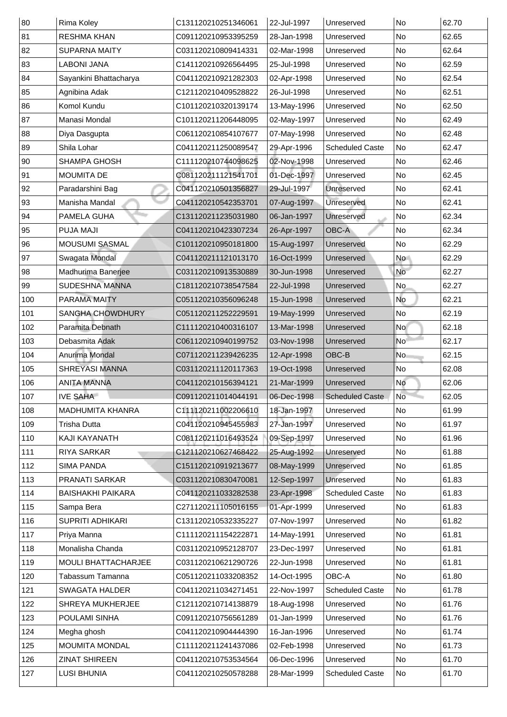| 80            | <b>Rima Koley</b>          | C131120210251346061 | 22-Jul-1997 | Unreserved             | <b>No</b>      | 62.70 |
|---------------|----------------------------|---------------------|-------------|------------------------|----------------|-------|
| 81            | <b>RESHMA KHAN</b>         | C091120210953395259 | 28-Jan-1998 | Unreserved             | <b>No</b>      | 62.65 |
| 82            | <b>SUPARNA MAITY</b>       | C031120210809414331 | 02-Mar-1998 | Unreserved             | No             | 62.64 |
| 83            | <b>LABONI JANA</b>         | C141120210926564495 | 25-Jul-1998 | Unreserved             | <b>No</b>      | 62.59 |
| 84            | Sayankini Bhattacharya     | C041120210921282303 | 02-Apr-1998 | Unreserved             | No             | 62.54 |
| 85            | Agnibina Adak              | C121120210409528822 | 26-Jul-1998 | Unreserved             | No             | 62.51 |
| 86            | <b>Komol Kundu</b>         | C101120210320139174 | 13-May-1996 | Unreserved             | No             | 62.50 |
| 87            | Manasi Mondal              | C101120211206448095 | 02-May-1997 | Unreserved             | No             | 62.49 |
| 88            | Diya Dasgupta              | C061120210854107677 | 07-May-1998 | Unreserved             | <b>No</b>      | 62.48 |
| 89            | Shila Lohar                | C041120211250089547 | 29-Apr-1996 | <b>Scheduled Caste</b> | No             | 62.47 |
| 90            | <b>SHAMPA GHOSH</b>        | C111120210744098625 | 02-Nov-1998 | Unreserved             | <b>No</b>      | 62.46 |
| 91            | <b>MOUMITA DE</b>          | C081120211121541701 | 01-Dec-1997 | Unreserved             | No             | 62.45 |
| 92            | Paradarshini Bag           | C041120210501356827 | 29-Jul-1997 | <b>Unreserved</b>      | No             | 62.41 |
| 93            | Manisha Mandal             | C041120210542353701 | 07-Aug-1997 | Unreserved             | <b>No</b>      | 62.41 |
| 94            | <b>PAMELA GUHA</b>         | C131120211235031980 | 06-Jan-1997 | Unreserved             | <b>No</b>      | 62.34 |
| 95            | <b>PUJA MAJI</b>           | C041120210423307234 | 26-Apr-1997 | <b>OBC-A</b>           | No             | 62.34 |
| 96            | <b>MOUSUMI SASMAL</b>      | C101120210950181800 | 15-Aug-1997 | Unreserved             | No             | 62.29 |
| 97            | Swagata Mondal             | C041120211121013170 | 16-Oct-1999 | Unreserved             | No             | 62.29 |
| 98            | Madhurima Banerjee         | C031120210913530889 | 30-Jun-1998 | Unreserved             | <b>No</b>      | 62.27 |
| 99            | <b>SUDESHNA MANNA</b>      | C181120210738547584 | 22-Jul-1998 | Unreserved             | No             | 62.27 |
| 100           | <b>PARAMA MAITY</b>        | C051120210356096248 | 15-Jun-1998 | Unreserved             | No             | 62.21 |
| 101           | <b>SANGHA CHOWDHURY</b>    | C051120211252229591 | 19-May-1999 | Unreserved             | <b>No</b>      | 62.19 |
| 102           | Paramita Debnath           | C111120210400316107 | 13-Mar-1998 | Unreserved             | No l           | 62.18 |
| 103           | Debasmita Adak             | C061120210940199752 | 03-Nov-1998 | Unreserved             | No             | 62.17 |
| 104           | <b>Anurima Mondal</b>      | C071120211239426235 | 12-Apr-1998 | OBC-B                  | N <sub>O</sub> | 62.15 |
| 105           | <b>SHREYASI MANNA</b>      | C031120211120117363 | 19-Oct-1998 | Unreserved             | No             | 62.08 |
| 106           | <b>ANITA MANNA</b>         | C041120210156394121 | 21-Mar-1999 | Unreserved             | <b>No</b>      | 62.06 |
| 107           | <b>IVE SAHA</b>            | C091120211014044191 | 06-Dec-1998 | <b>Scheduled Caste</b> | <b>No</b>      | 62.05 |
| 108           | <b>MADHUMITA KHANRA</b>    | C111120211002206610 | 18-Jan-1997 | Unreserved             | <b>No</b>      | 61.99 |
| 109           | <b>Trisha Dutta</b>        | C041120210945455983 | 27-Jan-1997 | Unreserved             | No             | 61.97 |
| 110           | <b>KAJI KAYANATH</b>       | C081120211016493524 | 09-Sep-1997 | Unreserved             | No             | 61.96 |
| 111           | <b>RIYA SARKAR</b>         | C121120210627468422 | 25-Aug-1992 | Unreserved             | No             | 61.88 |
| $ 112\rangle$ | <b>SIMA PANDA</b>          | C151120210919213677 | 08-May-1999 | Unreserved             | <b>No</b>      | 61.85 |
| 113           | <b>PRANATI SARKAR</b>      | C031120210830470081 | 12-Sep-1997 | Unreserved             | No             | 61.83 |
| 114           | <b>BAISHAKHI PAIKARA</b>   | C041120211033282538 | 23-Apr-1998 | <b>Scheduled Caste</b> | <b>No</b>      | 61.83 |
| 115           | Sampa Bera                 | C271120211105016155 | 01-Apr-1999 | Unreserved             | <b>No</b>      | 61.83 |
| 116           | <b>SUPRITI ADHIKARI</b>    | C131120210532335227 | 07-Nov-1997 | Unreserved             | No             | 61.82 |
| 117           | Priya Manna                | C111120211154222871 | 14-May-1991 | Unreserved             | No             | 61.81 |
| 118           | Monalisha Chanda           | C031120210952128707 | 23-Dec-1997 | Unreserved             | No             | 61.81 |
| 119           | <b>MOULI BHATTACHARJEE</b> | C031120210621290726 | 22-Jun-1998 | Unreserved             | <b>No</b>      | 61.81 |
| 120           | Tabassum Tamanna           | C051120211033208352 | 14-Oct-1995 | <b>OBC-A</b>           | No             | 61.80 |
| 121           | <b>SWAGATA HALDER</b>      | C041120211034271451 | 22-Nov-1997 | <b>Scheduled Caste</b> | <b>No</b>      | 61.78 |
| 122           | <b>SHREYA MUKHERJEE</b>    | C121120210714138879 | 18-Aug-1998 | Unreserved             | No             | 61.76 |
| 123           | <b>POULAMI SINHA</b>       | C091120210756561289 | 01-Jan-1999 | Unreserved             | No             | 61.76 |
| 124           | Megha ghosh                | C041120210904444390 | 16-Jan-1996 | Unreserved             | <b>No</b>      | 61.74 |
| 125           | <b>MOUMITA MONDAL</b>      | C111120211241437086 | 02-Feb-1998 | Unreserved             | No             | 61.73 |
| 126           | <b>ZINAT SHIREEN</b>       | C041120210753534564 | 06-Dec-1996 | Unreserved             | <b>No</b>      | 61.70 |
| 127           | <b>LUSI BHUNIA</b>         | C041120210250578288 | 28-Mar-1999 | <b>Scheduled Caste</b> | No             | 61.70 |
|               |                            |                     |             |                        |                |       |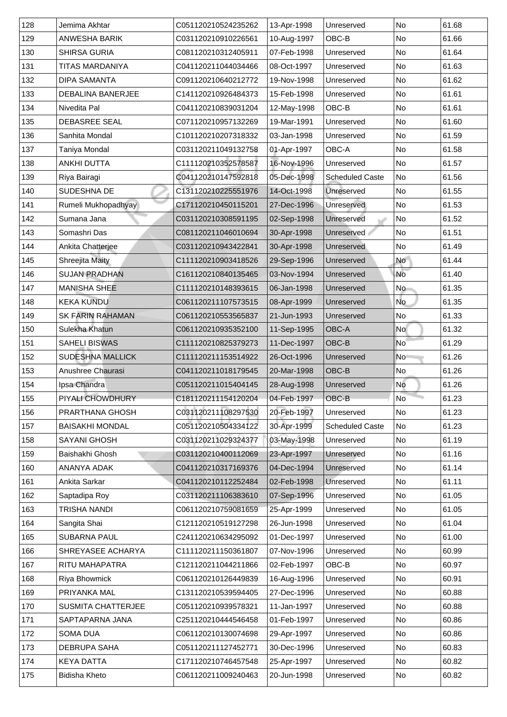| 128 | Jemima Akhtar             | C051120210524235262 | 13-Apr-1998 | Unreserved             | <b>No</b> | 61.68 |
|-----|---------------------------|---------------------|-------------|------------------------|-----------|-------|
| 129 | <b>ANWESHA BARIK</b>      | C031120210910226561 | 10-Aug-1997 | OBC-B                  | <b>No</b> | 61.66 |
| 130 | <b>SHIRSA GURIA</b>       | C081120210312405911 | 07-Feb-1998 | Unreserved             | <b>No</b> | 61.64 |
| 131 | TITAS MARDANIYA           | C041120211044034466 | 08-Oct-1997 | Unreserved             | No        | 61.63 |
| 132 | <b>DIPA SAMANTA</b>       | C091120210640212772 | 19-Nov-1998 | Unreserved             | No        | 61.62 |
| 133 | <b>DEBALINA BANERJEE</b>  | C141120210926484373 | 15-Feb-1998 | Unreserved             | <b>No</b> | 61.61 |
| 134 | Nivedita Pal              | C041120210839031204 | 12-May-1998 | OBC-B                  | <b>No</b> | 61.61 |
| 135 | <b>DEBASREE SEAL</b>      | C071120210957132269 | 19-Mar-1991 | Unreserved             | No        | 61.60 |
| 136 | Sanhita Mondal            | C101120210207318332 | 03-Jan-1998 | Unreserved             | No        | 61.59 |
| 137 | Taniya Mondal             | C031120211049132758 | 01-Apr-1997 | <b>OBC-A</b>           | <b>No</b> | 61.58 |
| 138 | <b>ANKHI DUTTA</b>        | C111120210352578587 | 16-Nov-1996 | Unreserved             | <b>No</b> | 61.57 |
| 139 | Riya Bairagi              | C041120210147592818 | 05-Dec-1998 | <b>Scheduled Caste</b> | No        | 61.56 |
| 140 | <b>SUDESHNA DE</b>        | C131120210225551976 | 14-Oct-1998 | <b>Unreserved</b>      | <b>No</b> | 61.55 |
| 141 | Rumeli Mukhopadhyay       | C171120210450115201 | 27-Dec-1996 | Unreserved             | No        | 61.53 |
| 142 | Sumana Jana               | C031120210308591195 | 02-Sep-1998 | Unreserved             | No        | 61.52 |
| 143 | Somashri Das              | C081120211046010694 | 30-Apr-1998 | <b>Unreserved</b>      | No        | 61.51 |
| 144 | Ankita Chatterjee         | C031120210943422841 | 30-Apr-1998 | <b>Unreserved</b>      | No        | 61.49 |
| 145 | <b>Shreejita Maity</b>    | C111120210903418526 | 29-Sep-1996 | Unreserved             | <b>No</b> | 61.44 |
| 146 | <b>SUJAN PRADHAN</b>      | C161120210840135465 | 03-Nov-1994 | Unreserved             | <b>No</b> | 61.40 |
| 147 | <b>MANISHA SHEE</b>       | C111120210148393615 | 06-Jan-1998 | Unreserved             | No        | 61.35 |
| 148 | <b>KEKA KUNDU</b>         | C061120211107573515 | 08-Apr-1999 | Unreserved             | <b>No</b> | 61.35 |
| 149 | <b>SK FARIN RAHAMAN</b>   | C061120210553565837 | 21-Jun-1993 | Unreserved             | No        | 61.33 |
| 150 | Sulekha Khatun            | C061120210935352100 | 11-Sep-1995 | <b>OBC-A</b>           | <b>No</b> | 61.32 |
| 151 | <b>SAHELI BISWAS</b>      | C111120210825379273 | 11-Dec-1997 | OBC-B                  | <b>No</b> | 61.29 |
| 152 | <b>SUDESHNA MALLICK</b>   | C111120211153514922 | 26-Oct-1996 | Unreserved             | No        | 61.26 |
| 153 | <b>Anushree Chaurasi</b>  | C041120211018179545 | 20-Mar-1998 | OBC-B                  | <b>No</b> | 61.26 |
| 154 | Ipsa Chandra              | C051120211015404145 | 28-Aug-1998 | Unreserved             | No        | 61.26 |
| 155 | PIYALI CHOWDHURY          | C181120211154120204 | 04-Feb-1997 | OBC-B                  | <b>No</b> | 61.23 |
| 156 | <b>PRARTHANA GHOSH</b>    | C031120211108297530 | 20-Feb-1997 | Unreserved             | No        | 61.23 |
| 157 | <b>BAISAKHI MONDAL</b>    | C051120210504334122 | 30-Apr-1999 | <b>Scheduled Caste</b> | <b>No</b> | 61.23 |
| 158 | <b>SAYANI GHOSH</b>       | C031120211029324377 | 03-May-1998 | Unreserved             | <b>No</b> | 61.19 |
| 159 | Baishakhi Ghosh           | C031120210400112069 | 23-Apr-1997 | Unreserved             | No        | 61.16 |
| 160 | <b>ANANYA ADAK</b>        | C041120210317169376 | 04-Dec-1994 | Unreserved             | <b>No</b> | 61.14 |
| 161 | <b>Ankita Sarkar</b>      | C041120210112252484 | 02-Feb-1998 | Unreserved             | No        | 61.11 |
| 162 | Saptadipa Roy             | C031120211106383610 | 07-Sep-1996 | Unreserved             | No        | 61.05 |
| 163 | TRISHA NANDI              | C061120210759081659 | 25-Apr-1999 | Unreserved             | No        | 61.05 |
| 164 | Sangita Shai              | C121120210519127298 | 26-Jun-1998 | Unreserved             | <b>No</b> | 61.04 |
| 165 | <b>SUBARNA PAUL</b>       | C241120210634295092 | 01-Dec-1997 | Unreserved             | <b>No</b> | 61.00 |
| 166 | <b>SHREYASEE ACHARYA</b>  | C111120211150361807 | 07-Nov-1996 | Unreserved             | <b>No</b> | 60.99 |
| 167 | <b>RITU MAHAPATRA</b>     | C121120211044211866 | 02-Feb-1997 | OBC-B                  | <b>No</b> | 60.97 |
| 168 | <b>Riya Bhowmick</b>      | C061120210126449839 | 16-Aug-1996 | Unreserved             | No        | 60.91 |
| 169 | PRIYANKA MAL              | C131120210539594405 | 27-Dec-1996 | Unreserved             | No        | 60.88 |
| 170 | <b>SUSMITA CHATTERJEE</b> | C051120210939578321 | 11-Jan-1997 | Unreserved             | No        | 60.88 |
| 171 | SAPTAPARNA JANA           | C251120210444546458 | 01-Feb-1997 | Unreserved             | No        | 60.86 |
| 172 | <b>SOMA DUA</b>           | C061120210130074698 | 29-Apr-1997 | Unreserved             | No        | 60.86 |
| 173 | <b>DEBRUPA SAHA</b>       | C051120211127452771 | 30-Dec-1996 | Unreserved             | No        | 60.83 |
| 174 | <b>KEYA DATTA</b>         | C171120210746457548 | 25-Apr-1997 | Unreserved             | No        | 60.82 |
|     |                           |                     |             |                        |           |       |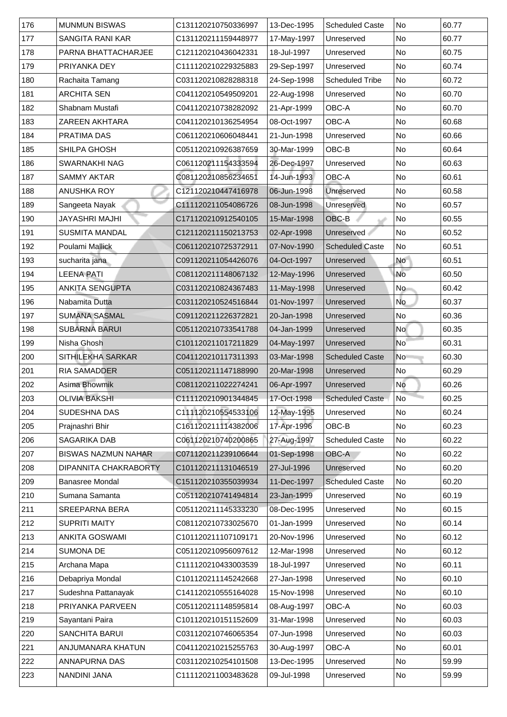| 176 | <b>MUNMUN BISWAS</b>         | C131120210750336997 | 13-Dec-1995 | <b>Scheduled Caste</b> | <b>No</b>                | 60.77 |
|-----|------------------------------|---------------------|-------------|------------------------|--------------------------|-------|
| 177 | <b>SANGITA RANI KAR</b>      | C131120211159448977 | 17-May-1997 | Unreserved             | <b>No</b>                | 60.77 |
| 178 | PARNA BHATTACHARJEE          | C121120210436042331 | 18-Jul-1997 | Unreserved             | No                       | 60.75 |
| 179 | <b>PRIYANKA DEY</b>          | C111120210229325883 | 29-Sep-1997 | Unreserved             | No                       | 60.74 |
| 180 | Rachaita Tamang              | C031120210828288318 | 24-Sep-1998 | <b>Scheduled Tribe</b> | N <sub>o</sub>           | 60.72 |
| 181 | <b>ARCHITA SEN</b>           | C041120210549509201 | 22-Aug-1998 | Unreserved             | <b>No</b>                | 60.70 |
| 182 | <b>Shabnam Mustafi</b>       | C041120210738282092 | 21-Apr-1999 | <b>OBC-A</b>           | No                       | 60.70 |
| 183 | <b>ZAREEN AKHTARA</b>        | C041120210136254954 | 08-Oct-1997 | <b>OBC-A</b>           | <b>No</b>                | 60.68 |
| 184 | <b>PRATIMA DAS</b>           | C061120210606048441 | 21-Jun-1998 | Unreserved             | No                       | 60.66 |
| 185 | <b>SHILPA GHOSH</b>          | C051120210926387659 | 30-Mar-1999 | OBC-B                  | No                       | 60.64 |
| 186 | <b>SWARNAKHI NAG</b>         | C061120211154333594 | 26-Dec-1997 | Unreserved             | <b>No</b>                | 60.63 |
| 187 | <b>SAMMY AKTAR</b>           | C081120210856234651 | 14-Jun-1993 | <b>OBC-A</b>           | No                       | 60.61 |
| 188 | <b>ANUSHKA ROY</b>           | C121120210447416978 | 06-Jun-1998 | Unreserved             | <b>No</b>                | 60.58 |
| 189 | Sangeeta Nayak               | C111120211054086726 | 08-Jun-1998 | Unreserved             | $\overline{\mathsf{No}}$ | 60.57 |
| 190 | <b>JAYASHRI MAJHI</b>        | C171120210912540105 | 15-Mar-1998 | OBC-B                  | N <sub>o</sub>           | 60.55 |
| 191 | <b>SUSMITA MANDAL</b>        | C121120211150213753 | 02-Apr-1998 | <b>Unreserved</b>      | No                       | 60.52 |
| 192 | Poulami Mallick              | C061120210725372911 | 07-Nov-1990 | <b>Scheduled Caste</b> | No                       | 60.51 |
| 193 | sucharita jana               | C091120211054426076 | 04-Oct-1997 | Unreserved             | <b>No</b>                | 60.51 |
| 194 | <b>LEENA PATI</b>            | C081120211148067132 | 12-May-1996 | Unreserved             | No                       | 60.50 |
| 195 | <b>ANKITA SENGUPTA</b>       | C031120210824367483 | 11-May-1998 | Unreserved             | <b>No</b>                | 60.42 |
| 196 | Nabamita Dutta               | C031120210524516844 | 01-Nov-1997 | Unreserved             | <b>No</b>                | 60.37 |
| 197 | <b>SUMANA SASMAL</b>         | C091120211226372821 | 20-Jan-1998 | Unreserved             | No                       | 60.36 |
| 198 | <b>SUBARNA BARUI</b>         | C051120210733541788 | 04-Jan-1999 | Unreserved             | <b>No</b>                | 60.35 |
| 199 | Nisha Ghosh                  | C101120211017211829 | 04-May-1997 | Unreserved             | <b>No</b>                | 60.31 |
| 200 | <b>SITHILEKHA SARKAR</b>     | C041120210117311393 | 03-Mar-1998 | <b>Scheduled Caste</b> | <b>No</b>                | 60.30 |
| 201 | <b>RIA SAMADDER</b>          | C051120211147188990 | 20-Mar-1998 | Unreserved             | No                       | 60.29 |
| 202 | <b>Asima Bhowmik</b>         | C081120211022274241 | 06-Apr-1997 | Unreserved             | No                       | 60.26 |
| 203 | <b>OLIVIA BAKSHI</b>         | C111120210901344845 | 17-Oct-1998 | <b>Scheduled Caste</b> | $\overline{\mathsf{No}}$ | 60.25 |
| 204 | <b>SUDESHNA DAS</b>          | C111120210554533106 | 12-May-1995 | Unreserved             | No                       | 60.24 |
| 205 | Prajnashri Bhir              | C161120211114382006 | 17-Apr-1996 | OBC-B                  | <b>No</b>                | 60.23 |
| 206 | <b>SAGARIKA DAB</b>          | C061120210740200865 | 27-Aug-1997 | <b>Scheduled Caste</b> | No                       | 60.22 |
| 207 | <b>BISWAS NAZMUN NAHAR</b>   | C071120211239106644 | 01-Sep-1998 | OBC-A                  | No                       | 60.22 |
| 208 | <b>DIPANNITA CHAKRABORTY</b> | C101120211131046519 | 27-Jul-1996 | Unreserved             | No                       | 60.20 |
| 209 | <b>Banasree Mondal</b>       | C151120210355039934 | 11-Dec-1997 | <b>Scheduled Caste</b> | No                       | 60.20 |
| 210 | Sumana Samanta               | C051120210741494814 | 23-Jan-1999 | Unreserved             | No                       | 60.19 |
| 211 | <b>SREEPARNA BERA</b>        | C051120211145333230 | 08-Dec-1995 | Unreserved             | No                       | 60.15 |
| 212 | <b>SUPRITI MAITY</b>         | C081120210733025670 | 01-Jan-1999 | Unreserved             | No                       | 60.14 |
| 213 | <b>ANKITA GOSWAMI</b>        | C101120211107109171 | 20-Nov-1996 | Unreserved             | <b>No</b>                | 60.12 |
| 214 | <b>SUMONA DE</b>             | C051120210956097612 | 12-Mar-1998 | Unreserved             | No                       | 60.12 |
| 215 | Archana Mapa                 | C111120210433003539 | 18-Jul-1997 | Unreserved             | <b>No</b>                | 60.11 |
| 216 | Debapriya Mondal             | C101120211145242668 | 27-Jan-1998 | Unreserved             | N <sub>o</sub>           | 60.10 |
| 217 | Sudeshna Pattanayak          | C141120210555164028 | 15-Nov-1998 | <b>Unreserved</b>      | <b>No</b>                | 60.10 |
| 218 | PRIYANKA PARVEEN             | C051120211148595814 | 08-Aug-1997 | <b>OBC-A</b>           | No                       | 60.03 |
| 219 | Sayantani Paira              | C101120210151152609 | 31-Mar-1998 | Unreserved             | No                       | 60.03 |
| 220 | <b>SANCHITA BARUI</b>        | C031120210746065354 | 07-Jun-1998 | Unreserved             | No                       | 60.03 |
| 221 | ANJUMANARA KHATUN            | C041120210215255763 | 30-Aug-1997 | <b>OBC-A</b>           | No                       | 60.01 |
| 222 | ANNAPURNA DAS                | C031120210254101508 | 13-Dec-1995 | Unreserved             | No                       | 59.99 |
| 223 | <b>NANDINI JANA</b>          | C111120211003483628 | 09-Jul-1998 | Unreserved             | N <sub>o</sub>           | 59.99 |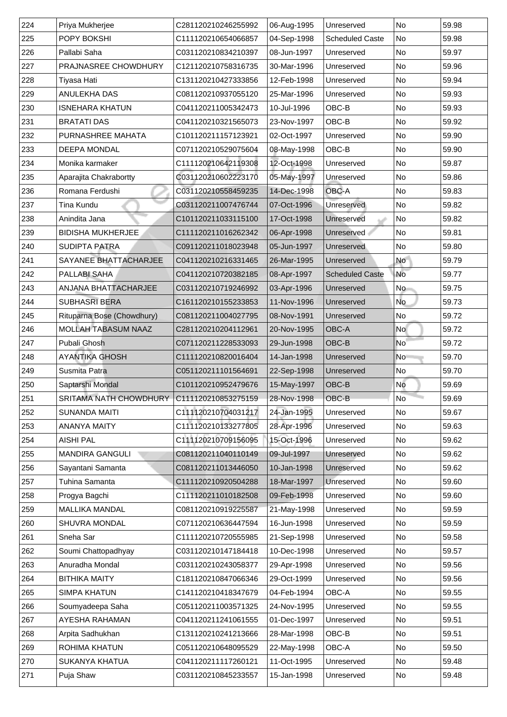| 224 | Priya Mukherjee                              | C281120210246255992 | 06-Aug-1995 | Unreserved             | <b>No</b>                | 59.98 |
|-----|----------------------------------------------|---------------------|-------------|------------------------|--------------------------|-------|
| 225 | <b>POPY BOKSHI</b>                           | C111120210654066857 | 04-Sep-1998 | <b>Scheduled Caste</b> | <b>No</b>                | 59.98 |
| 226 | Pallabi Saha                                 | C031120210834210397 | 08-Jun-1997 | Unreserved             | N <sub>o</sub>           | 59.97 |
| 227 | <b>PRAJNASREE CHOWDHURY</b>                  | C121120210758316735 | 30-Mar-1996 | Unreserved             | No                       | 59.96 |
| 228 | Tiyasa Hati                                  | C131120210427333856 | 12-Feb-1998 | Unreserved             | No                       | 59.94 |
| 229 | <b>ANULEKHA DAS</b>                          | C081120210937055120 | 25-Mar-1996 | Unreserved             | <b>No</b>                | 59.93 |
| 230 | <b>ISNEHARA KHATUN</b>                       | C041120211005342473 | 10-Jul-1996 | OBC-B                  | No                       | 59.93 |
| 231 | <b>BRATATI DAS</b>                           | C041120210321565073 | 23-Nov-1997 | OBC-B                  | <b>No</b>                | 59.92 |
| 232 | <b>PURNASHREE MAHATA</b>                     | C101120211157123921 | 02-Oct-1997 | Unreserved             | No                       | 59.90 |
| 233 | <b>DEEPA MONDAL</b>                          | C071120210529075604 | 08-May-1998 | OBC-B                  | No                       | 59.90 |
| 234 | Monika karmaker                              | C111120210642119308 | 12-Oct-1998 | Unreserved             | <b>No</b>                | 59.87 |
| 235 | Aparajita Chakrabortty                       | C031120210602223170 | 05-May-1997 | Unreserved             | No                       | 59.86 |
| 236 | Romana Ferdushi                              | C031120210558459235 | 14-Dec-1998 | <b>OBC-A</b>           | <b>No</b>                | 59.83 |
| 237 | Tina Kundu                                   | C031120211007476744 | 07-Oct-1996 | Unreserved             | $\overline{\mathsf{No}}$ | 59.82 |
| 238 | Anindita Jana                                | C101120211033115100 | 17-Oct-1998 | Unreserved             | N <sub>o</sub>           | 59.82 |
| 239 | <b>BIDISHA MUKHERJEE</b>                     | C111120211016262342 | 06-Apr-1998 | <b>Unreserved</b>      | No                       | 59.81 |
| 240 | <b>SUDIPTA PATRA</b>                         | C091120211018023948 | 05-Jun-1997 | Unreserved             | No                       | 59.80 |
| 241 | SAYANEE BHATTACHARJEE                        | C041120210216331465 | 26-Mar-1995 | Unreserved             | <b>No</b>                | 59.79 |
| 242 | <b>PALLABI SAHA</b>                          | C041120210720382185 | 08-Apr-1997 | <b>Scheduled Caste</b> | <b>No</b>                | 59.77 |
| 243 | <b>ANJANA BHATTACHARJEE</b>                  | C031120210719246992 | 03-Apr-1996 | Unreserved             | <b>No</b>                | 59.75 |
| 244 | <b>SUBHASRI BERA</b>                         | C161120210155233853 | 11-Nov-1996 | Unreserved             | <b>No</b>                | 59.73 |
| 245 | Rituparna Bose (Chowdhury)                   | C081120211004027795 | 08-Nov-1991 | Unreserved             | No                       | 59.72 |
| 246 | <b>MOLLAH TABASUM NAAZ</b>                   | C281120210204112961 | 20-Nov-1995 | <b>OBC-A</b>           | <b>No</b>                | 59.72 |
| 247 | <b>Pubali Ghosh</b>                          | C071120211228533093 | 29-Jun-1998 | OBC-B                  | <b>No</b>                | 59.72 |
| 248 | <b>AYANTIKA GHOSH</b>                        | C111120210820016404 | 14-Jan-1998 | Unreserved             | <b>No</b>                | 59.70 |
| 249 | <b>Susmita Patra</b>                         | C051120211101564691 | 22-Sep-1998 | Unreserved             | No                       | 59.70 |
| 250 | Saptarshi Mondal                             | C101120210952479676 | 15-May-1997 | <b>OBC-B</b>           | No                       | 59.69 |
| 251 | SRITAMA NATH CHOWDHURY   C111120210853275159 |                     | 28-Nov-1998 | OBC-B                  | <b>No</b>                | 59.69 |
| 252 | <b>SUNANDA MAITI</b>                         | C111120210704031217 | 24-Jan-1995 | Unreserved             | No                       | 59.67 |
| 253 | <b>ANANYA MAITY</b>                          | C111120210133277805 | 28-Apr-1996 | Unreserved             | <b>No</b>                | 59.63 |
| 254 | <b>AISHI PAL</b>                             | C111120210709156095 | 15-Oct-1996 | Unreserved             | No                       | 59.62 |
| 255 | <b>MANDIRA GANGULI</b>                       | C081120211040110149 | 09-Jul-1997 | Unreserved             | No                       | 59.62 |
| 256 | Sayantani Samanta                            | C081120211013446050 | 10-Jan-1998 | Unreserved             | No                       | 59.62 |
| 257 | <b>Tuhina Samanta</b>                        | C111120210920504288 | 18-Mar-1997 | Unreserved             | No                       | 59.60 |
| 258 | Progya Bagchi                                | C111120211010182508 | 09-Feb-1998 | Unreserved             | No                       | 59.60 |
| 259 | <b>MALLIKA MANDAL</b>                        | C081120210919225587 | 21-May-1998 | Unreserved             | No                       | 59.59 |
| 260 | <b>SHUVRA MONDAL</b>                         | C071120210636447594 | 16-Jun-1998 | Unreserved             | <b>No</b>                | 59.59 |
| 261 | <b>Sneha Sar</b>                             | C111120210720555985 | 21-Sep-1998 | Unreserved             | <b>No</b>                | 59.58 |
| 262 | Soumi Chattopadhyay                          | C031120210147184418 | 10-Dec-1998 | Unreserved             | <b>No</b>                | 59.57 |
| 263 | Anuradha Mondal                              | C031120210243058377 | 29-Apr-1998 | Unreserved             | No                       | 59.56 |
| 264 | <b>BITHIKA MAITY</b>                         | C181120210847066346 | 29-Oct-1999 | Unreserved             | No                       | 59.56 |
| 265 | <b>SIMPA KHATUN</b>                          | C141120210418347679 | 04-Feb-1994 | <b>OBC-A</b>           | <b>No</b>                | 59.55 |
| 266 | Soumyadeepa Saha                             | C051120211003571325 | 24-Nov-1995 | Unreserved             | No                       | 59.55 |
| 267 | <b>AYESHA RAHAMAN</b>                        | C041120211241061555 | 01-Dec-1997 | Unreserved             | No                       | 59.51 |
| 268 | Arpita Sadhukhan                             | C131120210241213666 | 28-Mar-1998 | OBC-B                  | No                       | 59.51 |
| 269 | <b>ROHIMA KHATUN</b>                         | C051120210648095529 | 22-May-1998 | OBC-A                  | No                       | 59.50 |
|     |                                              |                     |             |                        |                          |       |
| 270 | <b>SUKANYA KHATUA</b>                        | C041120211117260121 | 11-Oct-1995 | Unreserved             | No                       | 59.48 |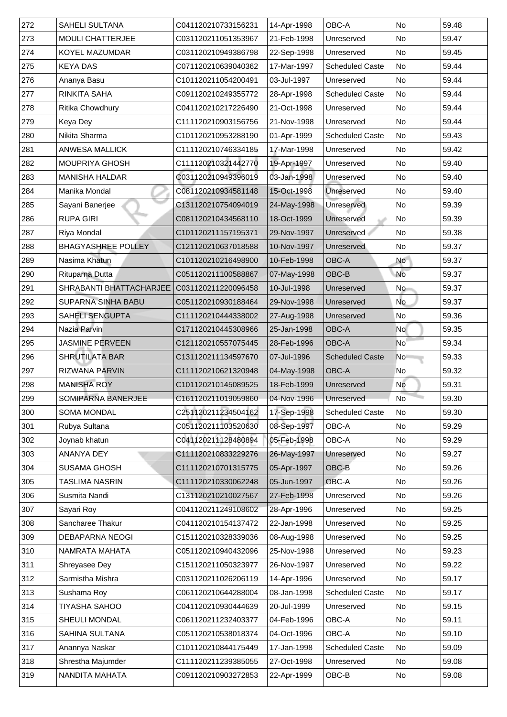| <b>MOULI CHATTERJEE</b><br><b>No</b><br>C031120211051353967<br>21-Feb-1998<br>59.47<br>Unreserved<br><b>KOYEL MAZUMDAR</b><br>22-Sep-1998<br>No<br>C031120210949386798<br>59.45<br>Unreserved<br><b>KEYA DAS</b><br>17-Mar-1997<br><b>Scheduled Caste</b><br>No<br>59.44<br>C071120210639040362<br>Ananya Basu<br>C101120211054200491<br>03-Jul-1997<br>No<br>59.44<br>Unreserved<br><b>No</b><br><b>RINKITA SAHA</b><br>28-Apr-1998<br><b>Scheduled Caste</b><br>C091120210249355772<br>59.44<br><b>Ritika Chowdhury</b><br>C041120210217226490<br>21-Oct-1998<br>No<br>59.44<br>Unreserved<br>Keya Dey<br>C111120210903156756<br>No<br>59.44<br>21-Nov-1998<br>Unreserved<br>Nikita Sharma<br>01-Apr-1999<br><b>No</b><br>C101120210953288190<br><b>Scheduled Caste</b><br>59.43<br><b>ANWESA MALLICK</b><br>C111120210746334185<br>No<br>17-Mar-1998<br>59.42<br>Unreserved<br>C111120210321442770<br>19-Apr-1997<br><b>No</b><br><b>MOUPRIYA GHOSH</b><br>59.40<br>Unreserved<br><b>MANISHA HALDAR</b><br>C031120210949396019<br>03-Jan-1998<br><b>No</b><br>59.40<br>Unreserved<br>Manika Mondal<br><b>No</b><br>C081120210934581148<br>15-Oct-1998<br><b>Unreserved</b><br>59.40<br>59.39<br><b>No</b><br>24-May-1998<br>C131120210754094019<br>Sayani Banerjee<br>Unreserved<br><b>RUPA GIRI</b><br>C081120210434568110<br>18-Oct-1999<br>No<br>59.39<br>Unreserved<br><b>Riya Mondal</b><br>C101120211157195371<br>No<br>59.38<br>29-Nov-1997<br><b>Unreserved</b><br><b>BHAGYASHREE POLLEY</b><br>C121120210637018588<br>10-Nov-1997<br>No<br>59.37<br><b>Unreserved</b><br><b>OBC-A</b><br><b>No</b><br>Nasima Khatun<br>C101120210216498900<br>10-Feb-1998<br>59.37<br><b>OBC-B</b><br><b>No</b><br>07-May-1998<br><b>Rituparna Dutta</b><br>C051120211100588867<br>59.37<br><b>SHRABANTI BHATTACHARJEE  </b><br><b>No</b><br>C031120211220096458<br>10-Jul-1998<br>59.37<br>Unreserved<br><b>No</b><br><b>SUPARNA SINHA BABU</b><br>C051120210930188464<br>29-Nov-1998<br>59.37<br>Unreserved<br><b>SAHELI SENGUPTA</b><br>27-Aug-1998<br><b>No</b><br>59.36<br>C111120210444338002<br>Unreserved<br>Nazia Parvin<br><b>OBC-A</b><br><b>No</b><br>59.35<br>C171120210445308966<br>25-Jan-1998<br><b>JASMINE PERVEEN</b><br><b>OBC-A</b><br>59.34<br>C121120210557075445<br>28-Feb-1996<br><b>No</b><br><b>SHRUTILATA BAR</b><br>C131120211134597670<br><b>Scheduled Caste</b><br><b>No</b><br>59.33<br>07-Jul-1996<br>No<br>04-May-1998<br><b>OBC-A</b><br>59.32<br><b>RIZWANA PARVIN</b><br>C111120210621320948<br><b>MANISHA ROY</b><br>C101120210145089525<br>18-Feb-1999<br><b>No</b><br>59.31<br>Unreserved<br><b>No</b><br>59.30<br><b>SOMIPARNA BANERJEE</b><br>C161120211019059860<br>04-Nov-1996<br>Unreserved<br><b>SOMA MONDAL</b><br>17-Sep-1998<br>No<br><b>Scheduled Caste</b><br>59.30<br>C251120211234504162<br>08-Sep-1997<br><b>OBC-A</b><br><b>No</b><br>Rubya Sultana<br>C051120211103520630<br>59.29<br>05-Feb-1998<br>Joynab khatun<br><b>OBC-A</b><br><b>No</b><br>C041120211128480894<br>59.29<br><b>ANANYA DEY</b><br>26-May-1997<br><b>No</b><br>59.27<br>C111120210833229276<br>Unreserved<br>OBC-B<br><b>SUSAMA GHOSH</b><br>05-Apr-1997<br><b>No</b><br>C111120210701315775<br>59.26<br><b>TASLIMA NASRIN</b><br><b>OBC-A</b><br>C111120210330062248<br>No<br>05-Jun-1997<br>59.26<br><b>No</b><br>Susmita Nandi<br>27-Feb-1998<br>59.26<br>C131120210210027567<br>Unreserved<br><b>No</b><br>Sayari Roy<br>C041120211249108602<br>28-Apr-1996<br>59.25<br>Unreserved<br><b>No</b><br><b>Sancharee Thakur</b><br>59.25<br>C041120210154137472<br>22-Jan-1998<br>Unreserved<br><b>No</b><br><b>DEBAPARNA NEOGI</b><br>C151120210328339036<br>08-Aug-1998<br>59.25<br>Unreserved<br>NAMRATA MAHATA<br>C051120210940432096<br>25-Nov-1998<br>No<br>59.23<br>Unreserved<br>59.22<br><b>Shreyasee Dey</b><br>C151120211050323977<br><b>No</b><br>26-Nov-1997<br>Unreserved<br>Sarmistha Mishra<br>C031120211026206119<br>14-Apr-1996<br>No<br>59.17<br>Unreserved<br>Sushama Roy<br>C061120210644288004<br>08-Jan-1998<br><b>Scheduled Caste</b><br>59.17<br>No<br>TIYASHA SAHOO<br>20-Jul-1999<br>No<br>59.15<br>C041120210930444639<br>Unreserved<br><b>OBC-A</b><br>No<br><b>SHEULI MONDAL</b><br>C061120211232403377<br>04-Feb-1996<br>59.11<br><b>OBC-A</b><br>No<br><b>SAHINA SULTANA</b><br>C051120210538018374<br>04-Oct-1996<br>59.10 | 272           | <b>SAHELI SULTANA</b> | C041120210733156231 | 14-Apr-1998 | <b>OBC-A</b>           | <b>No</b> | 59.48 |
|------------------------------------------------------------------------------------------------------------------------------------------------------------------------------------------------------------------------------------------------------------------------------------------------------------------------------------------------------------------------------------------------------------------------------------------------------------------------------------------------------------------------------------------------------------------------------------------------------------------------------------------------------------------------------------------------------------------------------------------------------------------------------------------------------------------------------------------------------------------------------------------------------------------------------------------------------------------------------------------------------------------------------------------------------------------------------------------------------------------------------------------------------------------------------------------------------------------------------------------------------------------------------------------------------------------------------------------------------------------------------------------------------------------------------------------------------------------------------------------------------------------------------------------------------------------------------------------------------------------------------------------------------------------------------------------------------------------------------------------------------------------------------------------------------------------------------------------------------------------------------------------------------------------------------------------------------------------------------------------------------------------------------------------------------------------------------------------------------------------------------------------------------------------------------------------------------------------------------------------------------------------------------------------------------------------------------------------------------------------------------------------------------------------------------------------------------------------------------------------------------------------------------------------------------------------------------------------------------------------------------------------------------------------------------------------------------------------------------------------------------------------------------------------------------------------------------------------------------------------------------------------------------------------------------------------------------------------------------------------------------------------------------------------------------------------------------------------------------------------------------------------------------------------------------------------------------------------------------------------------------------------------------------------------------------------------------------------------------------------------------------------------------------------------------------------------------------------------------------------------------------------------------------------------------------------------------------------------------------------------------------------------------------------------------------------------------------------------------------------------------------------------------------------------------------------------------------------------------------------------------------------------------------------------------------------------------------------------------------------------------------------------------------------------------------------------------------------------------------------------------------------------------------------------------------------------------------------------------------------------------------------------------------------------------------------------------------------------------------------------------------|---------------|-----------------------|---------------------|-------------|------------------------|-----------|-------|
|                                                                                                                                                                                                                                                                                                                                                                                                                                                                                                                                                                                                                                                                                                                                                                                                                                                                                                                                                                                                                                                                                                                                                                                                                                                                                                                                                                                                                                                                                                                                                                                                                                                                                                                                                                                                                                                                                                                                                                                                                                                                                                                                                                                                                                                                                                                                                                                                                                                                                                                                                                                                                                                                                                                                                                                                                                                                                                                                                                                                                                                                                                                                                                                                                                                                                                                                                                                                                                                                                                                                                                                                                                                                                                                                                                                                                                                                                                                                                                                                                                                                                                                                                                                                                                                                                                                                                                                    | 273           |                       |                     |             |                        |           |       |
|                                                                                                                                                                                                                                                                                                                                                                                                                                                                                                                                                                                                                                                                                                                                                                                                                                                                                                                                                                                                                                                                                                                                                                                                                                                                                                                                                                                                                                                                                                                                                                                                                                                                                                                                                                                                                                                                                                                                                                                                                                                                                                                                                                                                                                                                                                                                                                                                                                                                                                                                                                                                                                                                                                                                                                                                                                                                                                                                                                                                                                                                                                                                                                                                                                                                                                                                                                                                                                                                                                                                                                                                                                                                                                                                                                                                                                                                                                                                                                                                                                                                                                                                                                                                                                                                                                                                                                                    | $ 274\rangle$ |                       |                     |             |                        |           |       |
|                                                                                                                                                                                                                                                                                                                                                                                                                                                                                                                                                                                                                                                                                                                                                                                                                                                                                                                                                                                                                                                                                                                                                                                                                                                                                                                                                                                                                                                                                                                                                                                                                                                                                                                                                                                                                                                                                                                                                                                                                                                                                                                                                                                                                                                                                                                                                                                                                                                                                                                                                                                                                                                                                                                                                                                                                                                                                                                                                                                                                                                                                                                                                                                                                                                                                                                                                                                                                                                                                                                                                                                                                                                                                                                                                                                                                                                                                                                                                                                                                                                                                                                                                                                                                                                                                                                                                                                    | 275           |                       |                     |             |                        |           |       |
|                                                                                                                                                                                                                                                                                                                                                                                                                                                                                                                                                                                                                                                                                                                                                                                                                                                                                                                                                                                                                                                                                                                                                                                                                                                                                                                                                                                                                                                                                                                                                                                                                                                                                                                                                                                                                                                                                                                                                                                                                                                                                                                                                                                                                                                                                                                                                                                                                                                                                                                                                                                                                                                                                                                                                                                                                                                                                                                                                                                                                                                                                                                                                                                                                                                                                                                                                                                                                                                                                                                                                                                                                                                                                                                                                                                                                                                                                                                                                                                                                                                                                                                                                                                                                                                                                                                                                                                    | 276           |                       |                     |             |                        |           |       |
|                                                                                                                                                                                                                                                                                                                                                                                                                                                                                                                                                                                                                                                                                                                                                                                                                                                                                                                                                                                                                                                                                                                                                                                                                                                                                                                                                                                                                                                                                                                                                                                                                                                                                                                                                                                                                                                                                                                                                                                                                                                                                                                                                                                                                                                                                                                                                                                                                                                                                                                                                                                                                                                                                                                                                                                                                                                                                                                                                                                                                                                                                                                                                                                                                                                                                                                                                                                                                                                                                                                                                                                                                                                                                                                                                                                                                                                                                                                                                                                                                                                                                                                                                                                                                                                                                                                                                                                    | $ 277\rangle$ |                       |                     |             |                        |           |       |
|                                                                                                                                                                                                                                                                                                                                                                                                                                                                                                                                                                                                                                                                                                                                                                                                                                                                                                                                                                                                                                                                                                                                                                                                                                                                                                                                                                                                                                                                                                                                                                                                                                                                                                                                                                                                                                                                                                                                                                                                                                                                                                                                                                                                                                                                                                                                                                                                                                                                                                                                                                                                                                                                                                                                                                                                                                                                                                                                                                                                                                                                                                                                                                                                                                                                                                                                                                                                                                                                                                                                                                                                                                                                                                                                                                                                                                                                                                                                                                                                                                                                                                                                                                                                                                                                                                                                                                                    | 278           |                       |                     |             |                        |           |       |
|                                                                                                                                                                                                                                                                                                                                                                                                                                                                                                                                                                                                                                                                                                                                                                                                                                                                                                                                                                                                                                                                                                                                                                                                                                                                                                                                                                                                                                                                                                                                                                                                                                                                                                                                                                                                                                                                                                                                                                                                                                                                                                                                                                                                                                                                                                                                                                                                                                                                                                                                                                                                                                                                                                                                                                                                                                                                                                                                                                                                                                                                                                                                                                                                                                                                                                                                                                                                                                                                                                                                                                                                                                                                                                                                                                                                                                                                                                                                                                                                                                                                                                                                                                                                                                                                                                                                                                                    | 279           |                       |                     |             |                        |           |       |
|                                                                                                                                                                                                                                                                                                                                                                                                                                                                                                                                                                                                                                                                                                                                                                                                                                                                                                                                                                                                                                                                                                                                                                                                                                                                                                                                                                                                                                                                                                                                                                                                                                                                                                                                                                                                                                                                                                                                                                                                                                                                                                                                                                                                                                                                                                                                                                                                                                                                                                                                                                                                                                                                                                                                                                                                                                                                                                                                                                                                                                                                                                                                                                                                                                                                                                                                                                                                                                                                                                                                                                                                                                                                                                                                                                                                                                                                                                                                                                                                                                                                                                                                                                                                                                                                                                                                                                                    | 280           |                       |                     |             |                        |           |       |
|                                                                                                                                                                                                                                                                                                                                                                                                                                                                                                                                                                                                                                                                                                                                                                                                                                                                                                                                                                                                                                                                                                                                                                                                                                                                                                                                                                                                                                                                                                                                                                                                                                                                                                                                                                                                                                                                                                                                                                                                                                                                                                                                                                                                                                                                                                                                                                                                                                                                                                                                                                                                                                                                                                                                                                                                                                                                                                                                                                                                                                                                                                                                                                                                                                                                                                                                                                                                                                                                                                                                                                                                                                                                                                                                                                                                                                                                                                                                                                                                                                                                                                                                                                                                                                                                                                                                                                                    | 281           |                       |                     |             |                        |           |       |
|                                                                                                                                                                                                                                                                                                                                                                                                                                                                                                                                                                                                                                                                                                                                                                                                                                                                                                                                                                                                                                                                                                                                                                                                                                                                                                                                                                                                                                                                                                                                                                                                                                                                                                                                                                                                                                                                                                                                                                                                                                                                                                                                                                                                                                                                                                                                                                                                                                                                                                                                                                                                                                                                                                                                                                                                                                                                                                                                                                                                                                                                                                                                                                                                                                                                                                                                                                                                                                                                                                                                                                                                                                                                                                                                                                                                                                                                                                                                                                                                                                                                                                                                                                                                                                                                                                                                                                                    | 282           |                       |                     |             |                        |           |       |
|                                                                                                                                                                                                                                                                                                                                                                                                                                                                                                                                                                                                                                                                                                                                                                                                                                                                                                                                                                                                                                                                                                                                                                                                                                                                                                                                                                                                                                                                                                                                                                                                                                                                                                                                                                                                                                                                                                                                                                                                                                                                                                                                                                                                                                                                                                                                                                                                                                                                                                                                                                                                                                                                                                                                                                                                                                                                                                                                                                                                                                                                                                                                                                                                                                                                                                                                                                                                                                                                                                                                                                                                                                                                                                                                                                                                                                                                                                                                                                                                                                                                                                                                                                                                                                                                                                                                                                                    | 283           |                       |                     |             |                        |           |       |
|                                                                                                                                                                                                                                                                                                                                                                                                                                                                                                                                                                                                                                                                                                                                                                                                                                                                                                                                                                                                                                                                                                                                                                                                                                                                                                                                                                                                                                                                                                                                                                                                                                                                                                                                                                                                                                                                                                                                                                                                                                                                                                                                                                                                                                                                                                                                                                                                                                                                                                                                                                                                                                                                                                                                                                                                                                                                                                                                                                                                                                                                                                                                                                                                                                                                                                                                                                                                                                                                                                                                                                                                                                                                                                                                                                                                                                                                                                                                                                                                                                                                                                                                                                                                                                                                                                                                                                                    | 284           |                       |                     |             |                        |           |       |
|                                                                                                                                                                                                                                                                                                                                                                                                                                                                                                                                                                                                                                                                                                                                                                                                                                                                                                                                                                                                                                                                                                                                                                                                                                                                                                                                                                                                                                                                                                                                                                                                                                                                                                                                                                                                                                                                                                                                                                                                                                                                                                                                                                                                                                                                                                                                                                                                                                                                                                                                                                                                                                                                                                                                                                                                                                                                                                                                                                                                                                                                                                                                                                                                                                                                                                                                                                                                                                                                                                                                                                                                                                                                                                                                                                                                                                                                                                                                                                                                                                                                                                                                                                                                                                                                                                                                                                                    | 285           |                       |                     |             |                        |           |       |
|                                                                                                                                                                                                                                                                                                                                                                                                                                                                                                                                                                                                                                                                                                                                                                                                                                                                                                                                                                                                                                                                                                                                                                                                                                                                                                                                                                                                                                                                                                                                                                                                                                                                                                                                                                                                                                                                                                                                                                                                                                                                                                                                                                                                                                                                                                                                                                                                                                                                                                                                                                                                                                                                                                                                                                                                                                                                                                                                                                                                                                                                                                                                                                                                                                                                                                                                                                                                                                                                                                                                                                                                                                                                                                                                                                                                                                                                                                                                                                                                                                                                                                                                                                                                                                                                                                                                                                                    | 286           |                       |                     |             |                        |           |       |
|                                                                                                                                                                                                                                                                                                                                                                                                                                                                                                                                                                                                                                                                                                                                                                                                                                                                                                                                                                                                                                                                                                                                                                                                                                                                                                                                                                                                                                                                                                                                                                                                                                                                                                                                                                                                                                                                                                                                                                                                                                                                                                                                                                                                                                                                                                                                                                                                                                                                                                                                                                                                                                                                                                                                                                                                                                                                                                                                                                                                                                                                                                                                                                                                                                                                                                                                                                                                                                                                                                                                                                                                                                                                                                                                                                                                                                                                                                                                                                                                                                                                                                                                                                                                                                                                                                                                                                                    | 287           |                       |                     |             |                        |           |       |
|                                                                                                                                                                                                                                                                                                                                                                                                                                                                                                                                                                                                                                                                                                                                                                                                                                                                                                                                                                                                                                                                                                                                                                                                                                                                                                                                                                                                                                                                                                                                                                                                                                                                                                                                                                                                                                                                                                                                                                                                                                                                                                                                                                                                                                                                                                                                                                                                                                                                                                                                                                                                                                                                                                                                                                                                                                                                                                                                                                                                                                                                                                                                                                                                                                                                                                                                                                                                                                                                                                                                                                                                                                                                                                                                                                                                                                                                                                                                                                                                                                                                                                                                                                                                                                                                                                                                                                                    | 288           |                       |                     |             |                        |           |       |
|                                                                                                                                                                                                                                                                                                                                                                                                                                                                                                                                                                                                                                                                                                                                                                                                                                                                                                                                                                                                                                                                                                                                                                                                                                                                                                                                                                                                                                                                                                                                                                                                                                                                                                                                                                                                                                                                                                                                                                                                                                                                                                                                                                                                                                                                                                                                                                                                                                                                                                                                                                                                                                                                                                                                                                                                                                                                                                                                                                                                                                                                                                                                                                                                                                                                                                                                                                                                                                                                                                                                                                                                                                                                                                                                                                                                                                                                                                                                                                                                                                                                                                                                                                                                                                                                                                                                                                                    | 289           |                       |                     |             |                        |           |       |
|                                                                                                                                                                                                                                                                                                                                                                                                                                                                                                                                                                                                                                                                                                                                                                                                                                                                                                                                                                                                                                                                                                                                                                                                                                                                                                                                                                                                                                                                                                                                                                                                                                                                                                                                                                                                                                                                                                                                                                                                                                                                                                                                                                                                                                                                                                                                                                                                                                                                                                                                                                                                                                                                                                                                                                                                                                                                                                                                                                                                                                                                                                                                                                                                                                                                                                                                                                                                                                                                                                                                                                                                                                                                                                                                                                                                                                                                                                                                                                                                                                                                                                                                                                                                                                                                                                                                                                                    | 290           |                       |                     |             |                        |           |       |
|                                                                                                                                                                                                                                                                                                                                                                                                                                                                                                                                                                                                                                                                                                                                                                                                                                                                                                                                                                                                                                                                                                                                                                                                                                                                                                                                                                                                                                                                                                                                                                                                                                                                                                                                                                                                                                                                                                                                                                                                                                                                                                                                                                                                                                                                                                                                                                                                                                                                                                                                                                                                                                                                                                                                                                                                                                                                                                                                                                                                                                                                                                                                                                                                                                                                                                                                                                                                                                                                                                                                                                                                                                                                                                                                                                                                                                                                                                                                                                                                                                                                                                                                                                                                                                                                                                                                                                                    | 291           |                       |                     |             |                        |           |       |
|                                                                                                                                                                                                                                                                                                                                                                                                                                                                                                                                                                                                                                                                                                                                                                                                                                                                                                                                                                                                                                                                                                                                                                                                                                                                                                                                                                                                                                                                                                                                                                                                                                                                                                                                                                                                                                                                                                                                                                                                                                                                                                                                                                                                                                                                                                                                                                                                                                                                                                                                                                                                                                                                                                                                                                                                                                                                                                                                                                                                                                                                                                                                                                                                                                                                                                                                                                                                                                                                                                                                                                                                                                                                                                                                                                                                                                                                                                                                                                                                                                                                                                                                                                                                                                                                                                                                                                                    | 292           |                       |                     |             |                        |           |       |
|                                                                                                                                                                                                                                                                                                                                                                                                                                                                                                                                                                                                                                                                                                                                                                                                                                                                                                                                                                                                                                                                                                                                                                                                                                                                                                                                                                                                                                                                                                                                                                                                                                                                                                                                                                                                                                                                                                                                                                                                                                                                                                                                                                                                                                                                                                                                                                                                                                                                                                                                                                                                                                                                                                                                                                                                                                                                                                                                                                                                                                                                                                                                                                                                                                                                                                                                                                                                                                                                                                                                                                                                                                                                                                                                                                                                                                                                                                                                                                                                                                                                                                                                                                                                                                                                                                                                                                                    | 293           |                       |                     |             |                        |           |       |
|                                                                                                                                                                                                                                                                                                                                                                                                                                                                                                                                                                                                                                                                                                                                                                                                                                                                                                                                                                                                                                                                                                                                                                                                                                                                                                                                                                                                                                                                                                                                                                                                                                                                                                                                                                                                                                                                                                                                                                                                                                                                                                                                                                                                                                                                                                                                                                                                                                                                                                                                                                                                                                                                                                                                                                                                                                                                                                                                                                                                                                                                                                                                                                                                                                                                                                                                                                                                                                                                                                                                                                                                                                                                                                                                                                                                                                                                                                                                                                                                                                                                                                                                                                                                                                                                                                                                                                                    | 294           |                       |                     |             |                        |           |       |
|                                                                                                                                                                                                                                                                                                                                                                                                                                                                                                                                                                                                                                                                                                                                                                                                                                                                                                                                                                                                                                                                                                                                                                                                                                                                                                                                                                                                                                                                                                                                                                                                                                                                                                                                                                                                                                                                                                                                                                                                                                                                                                                                                                                                                                                                                                                                                                                                                                                                                                                                                                                                                                                                                                                                                                                                                                                                                                                                                                                                                                                                                                                                                                                                                                                                                                                                                                                                                                                                                                                                                                                                                                                                                                                                                                                                                                                                                                                                                                                                                                                                                                                                                                                                                                                                                                                                                                                    | 295           |                       |                     |             |                        |           |       |
|                                                                                                                                                                                                                                                                                                                                                                                                                                                                                                                                                                                                                                                                                                                                                                                                                                                                                                                                                                                                                                                                                                                                                                                                                                                                                                                                                                                                                                                                                                                                                                                                                                                                                                                                                                                                                                                                                                                                                                                                                                                                                                                                                                                                                                                                                                                                                                                                                                                                                                                                                                                                                                                                                                                                                                                                                                                                                                                                                                                                                                                                                                                                                                                                                                                                                                                                                                                                                                                                                                                                                                                                                                                                                                                                                                                                                                                                                                                                                                                                                                                                                                                                                                                                                                                                                                                                                                                    | 296           |                       |                     |             |                        |           |       |
|                                                                                                                                                                                                                                                                                                                                                                                                                                                                                                                                                                                                                                                                                                                                                                                                                                                                                                                                                                                                                                                                                                                                                                                                                                                                                                                                                                                                                                                                                                                                                                                                                                                                                                                                                                                                                                                                                                                                                                                                                                                                                                                                                                                                                                                                                                                                                                                                                                                                                                                                                                                                                                                                                                                                                                                                                                                                                                                                                                                                                                                                                                                                                                                                                                                                                                                                                                                                                                                                                                                                                                                                                                                                                                                                                                                                                                                                                                                                                                                                                                                                                                                                                                                                                                                                                                                                                                                    | 297           |                       |                     |             |                        |           |       |
|                                                                                                                                                                                                                                                                                                                                                                                                                                                                                                                                                                                                                                                                                                                                                                                                                                                                                                                                                                                                                                                                                                                                                                                                                                                                                                                                                                                                                                                                                                                                                                                                                                                                                                                                                                                                                                                                                                                                                                                                                                                                                                                                                                                                                                                                                                                                                                                                                                                                                                                                                                                                                                                                                                                                                                                                                                                                                                                                                                                                                                                                                                                                                                                                                                                                                                                                                                                                                                                                                                                                                                                                                                                                                                                                                                                                                                                                                                                                                                                                                                                                                                                                                                                                                                                                                                                                                                                    | 298           |                       |                     |             |                        |           |       |
|                                                                                                                                                                                                                                                                                                                                                                                                                                                                                                                                                                                                                                                                                                                                                                                                                                                                                                                                                                                                                                                                                                                                                                                                                                                                                                                                                                                                                                                                                                                                                                                                                                                                                                                                                                                                                                                                                                                                                                                                                                                                                                                                                                                                                                                                                                                                                                                                                                                                                                                                                                                                                                                                                                                                                                                                                                                                                                                                                                                                                                                                                                                                                                                                                                                                                                                                                                                                                                                                                                                                                                                                                                                                                                                                                                                                                                                                                                                                                                                                                                                                                                                                                                                                                                                                                                                                                                                    | 299           |                       |                     |             |                        |           |       |
|                                                                                                                                                                                                                                                                                                                                                                                                                                                                                                                                                                                                                                                                                                                                                                                                                                                                                                                                                                                                                                                                                                                                                                                                                                                                                                                                                                                                                                                                                                                                                                                                                                                                                                                                                                                                                                                                                                                                                                                                                                                                                                                                                                                                                                                                                                                                                                                                                                                                                                                                                                                                                                                                                                                                                                                                                                                                                                                                                                                                                                                                                                                                                                                                                                                                                                                                                                                                                                                                                                                                                                                                                                                                                                                                                                                                                                                                                                                                                                                                                                                                                                                                                                                                                                                                                                                                                                                    | 300           |                       |                     |             |                        |           |       |
|                                                                                                                                                                                                                                                                                                                                                                                                                                                                                                                                                                                                                                                                                                                                                                                                                                                                                                                                                                                                                                                                                                                                                                                                                                                                                                                                                                                                                                                                                                                                                                                                                                                                                                                                                                                                                                                                                                                                                                                                                                                                                                                                                                                                                                                                                                                                                                                                                                                                                                                                                                                                                                                                                                                                                                                                                                                                                                                                                                                                                                                                                                                                                                                                                                                                                                                                                                                                                                                                                                                                                                                                                                                                                                                                                                                                                                                                                                                                                                                                                                                                                                                                                                                                                                                                                                                                                                                    | 301           |                       |                     |             |                        |           |       |
|                                                                                                                                                                                                                                                                                                                                                                                                                                                                                                                                                                                                                                                                                                                                                                                                                                                                                                                                                                                                                                                                                                                                                                                                                                                                                                                                                                                                                                                                                                                                                                                                                                                                                                                                                                                                                                                                                                                                                                                                                                                                                                                                                                                                                                                                                                                                                                                                                                                                                                                                                                                                                                                                                                                                                                                                                                                                                                                                                                                                                                                                                                                                                                                                                                                                                                                                                                                                                                                                                                                                                                                                                                                                                                                                                                                                                                                                                                                                                                                                                                                                                                                                                                                                                                                                                                                                                                                    | 302           |                       |                     |             |                        |           |       |
|                                                                                                                                                                                                                                                                                                                                                                                                                                                                                                                                                                                                                                                                                                                                                                                                                                                                                                                                                                                                                                                                                                                                                                                                                                                                                                                                                                                                                                                                                                                                                                                                                                                                                                                                                                                                                                                                                                                                                                                                                                                                                                                                                                                                                                                                                                                                                                                                                                                                                                                                                                                                                                                                                                                                                                                                                                                                                                                                                                                                                                                                                                                                                                                                                                                                                                                                                                                                                                                                                                                                                                                                                                                                                                                                                                                                                                                                                                                                                                                                                                                                                                                                                                                                                                                                                                                                                                                    | 303           |                       |                     |             |                        |           |       |
|                                                                                                                                                                                                                                                                                                                                                                                                                                                                                                                                                                                                                                                                                                                                                                                                                                                                                                                                                                                                                                                                                                                                                                                                                                                                                                                                                                                                                                                                                                                                                                                                                                                                                                                                                                                                                                                                                                                                                                                                                                                                                                                                                                                                                                                                                                                                                                                                                                                                                                                                                                                                                                                                                                                                                                                                                                                                                                                                                                                                                                                                                                                                                                                                                                                                                                                                                                                                                                                                                                                                                                                                                                                                                                                                                                                                                                                                                                                                                                                                                                                                                                                                                                                                                                                                                                                                                                                    | 304           |                       |                     |             |                        |           |       |
|                                                                                                                                                                                                                                                                                                                                                                                                                                                                                                                                                                                                                                                                                                                                                                                                                                                                                                                                                                                                                                                                                                                                                                                                                                                                                                                                                                                                                                                                                                                                                                                                                                                                                                                                                                                                                                                                                                                                                                                                                                                                                                                                                                                                                                                                                                                                                                                                                                                                                                                                                                                                                                                                                                                                                                                                                                                                                                                                                                                                                                                                                                                                                                                                                                                                                                                                                                                                                                                                                                                                                                                                                                                                                                                                                                                                                                                                                                                                                                                                                                                                                                                                                                                                                                                                                                                                                                                    | 305           |                       |                     |             |                        |           |       |
|                                                                                                                                                                                                                                                                                                                                                                                                                                                                                                                                                                                                                                                                                                                                                                                                                                                                                                                                                                                                                                                                                                                                                                                                                                                                                                                                                                                                                                                                                                                                                                                                                                                                                                                                                                                                                                                                                                                                                                                                                                                                                                                                                                                                                                                                                                                                                                                                                                                                                                                                                                                                                                                                                                                                                                                                                                                                                                                                                                                                                                                                                                                                                                                                                                                                                                                                                                                                                                                                                                                                                                                                                                                                                                                                                                                                                                                                                                                                                                                                                                                                                                                                                                                                                                                                                                                                                                                    | 306           |                       |                     |             |                        |           |       |
|                                                                                                                                                                                                                                                                                                                                                                                                                                                                                                                                                                                                                                                                                                                                                                                                                                                                                                                                                                                                                                                                                                                                                                                                                                                                                                                                                                                                                                                                                                                                                                                                                                                                                                                                                                                                                                                                                                                                                                                                                                                                                                                                                                                                                                                                                                                                                                                                                                                                                                                                                                                                                                                                                                                                                                                                                                                                                                                                                                                                                                                                                                                                                                                                                                                                                                                                                                                                                                                                                                                                                                                                                                                                                                                                                                                                                                                                                                                                                                                                                                                                                                                                                                                                                                                                                                                                                                                    | 307           |                       |                     |             |                        |           |       |
|                                                                                                                                                                                                                                                                                                                                                                                                                                                                                                                                                                                                                                                                                                                                                                                                                                                                                                                                                                                                                                                                                                                                                                                                                                                                                                                                                                                                                                                                                                                                                                                                                                                                                                                                                                                                                                                                                                                                                                                                                                                                                                                                                                                                                                                                                                                                                                                                                                                                                                                                                                                                                                                                                                                                                                                                                                                                                                                                                                                                                                                                                                                                                                                                                                                                                                                                                                                                                                                                                                                                                                                                                                                                                                                                                                                                                                                                                                                                                                                                                                                                                                                                                                                                                                                                                                                                                                                    | 308           |                       |                     |             |                        |           |       |
|                                                                                                                                                                                                                                                                                                                                                                                                                                                                                                                                                                                                                                                                                                                                                                                                                                                                                                                                                                                                                                                                                                                                                                                                                                                                                                                                                                                                                                                                                                                                                                                                                                                                                                                                                                                                                                                                                                                                                                                                                                                                                                                                                                                                                                                                                                                                                                                                                                                                                                                                                                                                                                                                                                                                                                                                                                                                                                                                                                                                                                                                                                                                                                                                                                                                                                                                                                                                                                                                                                                                                                                                                                                                                                                                                                                                                                                                                                                                                                                                                                                                                                                                                                                                                                                                                                                                                                                    | 309           |                       |                     |             |                        |           |       |
|                                                                                                                                                                                                                                                                                                                                                                                                                                                                                                                                                                                                                                                                                                                                                                                                                                                                                                                                                                                                                                                                                                                                                                                                                                                                                                                                                                                                                                                                                                                                                                                                                                                                                                                                                                                                                                                                                                                                                                                                                                                                                                                                                                                                                                                                                                                                                                                                                                                                                                                                                                                                                                                                                                                                                                                                                                                                                                                                                                                                                                                                                                                                                                                                                                                                                                                                                                                                                                                                                                                                                                                                                                                                                                                                                                                                                                                                                                                                                                                                                                                                                                                                                                                                                                                                                                                                                                                    | 310           |                       |                     |             |                        |           |       |
|                                                                                                                                                                                                                                                                                                                                                                                                                                                                                                                                                                                                                                                                                                                                                                                                                                                                                                                                                                                                                                                                                                                                                                                                                                                                                                                                                                                                                                                                                                                                                                                                                                                                                                                                                                                                                                                                                                                                                                                                                                                                                                                                                                                                                                                                                                                                                                                                                                                                                                                                                                                                                                                                                                                                                                                                                                                                                                                                                                                                                                                                                                                                                                                                                                                                                                                                                                                                                                                                                                                                                                                                                                                                                                                                                                                                                                                                                                                                                                                                                                                                                                                                                                                                                                                                                                                                                                                    | 311           |                       |                     |             |                        |           |       |
|                                                                                                                                                                                                                                                                                                                                                                                                                                                                                                                                                                                                                                                                                                                                                                                                                                                                                                                                                                                                                                                                                                                                                                                                                                                                                                                                                                                                                                                                                                                                                                                                                                                                                                                                                                                                                                                                                                                                                                                                                                                                                                                                                                                                                                                                                                                                                                                                                                                                                                                                                                                                                                                                                                                                                                                                                                                                                                                                                                                                                                                                                                                                                                                                                                                                                                                                                                                                                                                                                                                                                                                                                                                                                                                                                                                                                                                                                                                                                                                                                                                                                                                                                                                                                                                                                                                                                                                    | 312           |                       |                     |             |                        |           |       |
|                                                                                                                                                                                                                                                                                                                                                                                                                                                                                                                                                                                                                                                                                                                                                                                                                                                                                                                                                                                                                                                                                                                                                                                                                                                                                                                                                                                                                                                                                                                                                                                                                                                                                                                                                                                                                                                                                                                                                                                                                                                                                                                                                                                                                                                                                                                                                                                                                                                                                                                                                                                                                                                                                                                                                                                                                                                                                                                                                                                                                                                                                                                                                                                                                                                                                                                                                                                                                                                                                                                                                                                                                                                                                                                                                                                                                                                                                                                                                                                                                                                                                                                                                                                                                                                                                                                                                                                    | 313           |                       |                     |             |                        |           |       |
|                                                                                                                                                                                                                                                                                                                                                                                                                                                                                                                                                                                                                                                                                                                                                                                                                                                                                                                                                                                                                                                                                                                                                                                                                                                                                                                                                                                                                                                                                                                                                                                                                                                                                                                                                                                                                                                                                                                                                                                                                                                                                                                                                                                                                                                                                                                                                                                                                                                                                                                                                                                                                                                                                                                                                                                                                                                                                                                                                                                                                                                                                                                                                                                                                                                                                                                                                                                                                                                                                                                                                                                                                                                                                                                                                                                                                                                                                                                                                                                                                                                                                                                                                                                                                                                                                                                                                                                    | 314           |                       |                     |             |                        |           |       |
|                                                                                                                                                                                                                                                                                                                                                                                                                                                                                                                                                                                                                                                                                                                                                                                                                                                                                                                                                                                                                                                                                                                                                                                                                                                                                                                                                                                                                                                                                                                                                                                                                                                                                                                                                                                                                                                                                                                                                                                                                                                                                                                                                                                                                                                                                                                                                                                                                                                                                                                                                                                                                                                                                                                                                                                                                                                                                                                                                                                                                                                                                                                                                                                                                                                                                                                                                                                                                                                                                                                                                                                                                                                                                                                                                                                                                                                                                                                                                                                                                                                                                                                                                                                                                                                                                                                                                                                    | 315           |                       |                     |             |                        |           |       |
|                                                                                                                                                                                                                                                                                                                                                                                                                                                                                                                                                                                                                                                                                                                                                                                                                                                                                                                                                                                                                                                                                                                                                                                                                                                                                                                                                                                                                                                                                                                                                                                                                                                                                                                                                                                                                                                                                                                                                                                                                                                                                                                                                                                                                                                                                                                                                                                                                                                                                                                                                                                                                                                                                                                                                                                                                                                                                                                                                                                                                                                                                                                                                                                                                                                                                                                                                                                                                                                                                                                                                                                                                                                                                                                                                                                                                                                                                                                                                                                                                                                                                                                                                                                                                                                                                                                                                                                    | 316           |                       |                     |             |                        |           |       |
|                                                                                                                                                                                                                                                                                                                                                                                                                                                                                                                                                                                                                                                                                                                                                                                                                                                                                                                                                                                                                                                                                                                                                                                                                                                                                                                                                                                                                                                                                                                                                                                                                                                                                                                                                                                                                                                                                                                                                                                                                                                                                                                                                                                                                                                                                                                                                                                                                                                                                                                                                                                                                                                                                                                                                                                                                                                                                                                                                                                                                                                                                                                                                                                                                                                                                                                                                                                                                                                                                                                                                                                                                                                                                                                                                                                                                                                                                                                                                                                                                                                                                                                                                                                                                                                                                                                                                                                    | $ 317\rangle$ | Anannya Naskar        | C101120210844175449 | 17-Jan-1998 | <b>Scheduled Caste</b> | No        | 59.09 |
| Shrestha Majumder<br>No<br>C111120211239385055<br>27-Oct-1998<br>Unreserved<br>59.08                                                                                                                                                                                                                                                                                                                                                                                                                                                                                                                                                                                                                                                                                                                                                                                                                                                                                                                                                                                                                                                                                                                                                                                                                                                                                                                                                                                                                                                                                                                                                                                                                                                                                                                                                                                                                                                                                                                                                                                                                                                                                                                                                                                                                                                                                                                                                                                                                                                                                                                                                                                                                                                                                                                                                                                                                                                                                                                                                                                                                                                                                                                                                                                                                                                                                                                                                                                                                                                                                                                                                                                                                                                                                                                                                                                                                                                                                                                                                                                                                                                                                                                                                                                                                                                                                               | 318           |                       |                     |             |                        |           |       |
| OBC-B<br>NANDITA MAHATA<br>22-Apr-1999<br>No<br>C091120210903272853<br>59.08                                                                                                                                                                                                                                                                                                                                                                                                                                                                                                                                                                                                                                                                                                                                                                                                                                                                                                                                                                                                                                                                                                                                                                                                                                                                                                                                                                                                                                                                                                                                                                                                                                                                                                                                                                                                                                                                                                                                                                                                                                                                                                                                                                                                                                                                                                                                                                                                                                                                                                                                                                                                                                                                                                                                                                                                                                                                                                                                                                                                                                                                                                                                                                                                                                                                                                                                                                                                                                                                                                                                                                                                                                                                                                                                                                                                                                                                                                                                                                                                                                                                                                                                                                                                                                                                                                       | 319           |                       |                     |             |                        |           |       |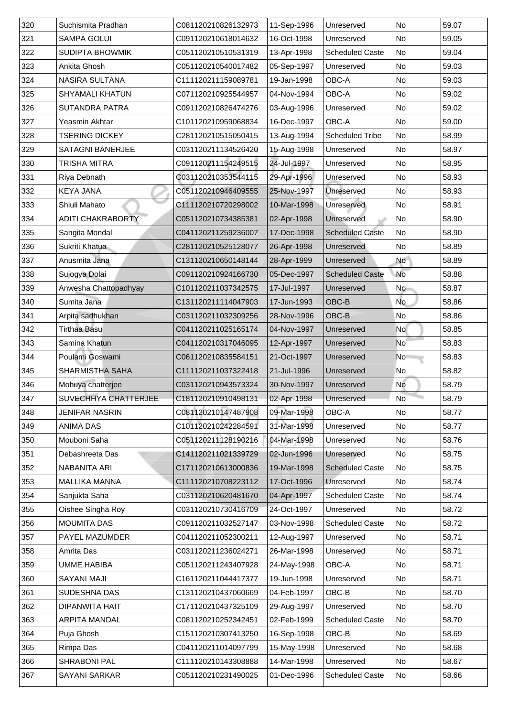| 320           | Suchismita Pradhan       | C081120210826132973 | 11-Sep-1996 | Unreserved             | <b>No</b>                | 59.07 |
|---------------|--------------------------|---------------------|-------------|------------------------|--------------------------|-------|
| 321           | <b>SAMPA GOLUI</b>       | C091120210618014632 | 16-Oct-1998 | Unreserved             | No                       | 59.05 |
| 322           | <b>SUDIPTA BHOWMIK</b>   | C051120210510531319 | 13-Apr-1998 | <b>Scheduled Caste</b> | No                       | 59.04 |
| 323           | <b>Ankita Ghosh</b>      | C051120210540017482 | 05-Sep-1997 | Unreserved             | <b>No</b>                | 59.03 |
| 324           | <b>NASIRA SULTANA</b>    | C111120211159089781 | 19-Jan-1998 | <b>OBC-A</b>           | No                       | 59.03 |
| 325           | <b>SHYAMALI KHATUN</b>   | C071120210925544957 | 04-Nov-1994 | <b>OBC-A</b>           | <b>No</b>                | 59.02 |
| 326           | <b>SUTANDRA PATRA</b>    | C091120210826474276 | 03-Aug-1996 | Unreserved             | <b>No</b>                | 59.02 |
| 327           | Yeasmin Akhtar           | C101120210959068834 | 16-Dec-1997 | <b>OBC-A</b>           | No                       | 59.00 |
| 328           | <b>TSERING DICKEY</b>    | C281120210515050415 | 13-Aug-1994 | <b>Scheduled Tribe</b> | No                       | 58.99 |
| 329           | <b>SATAGNI BANERJEE</b>  | C031120211134526420 | 15-Aug-1998 | Unreserved             | No                       | 58.97 |
| 330           | <b>TRISHA MITRA</b>      | C091120211154249515 | 24-Jul-1997 | Unreserved             | <b>No</b>                | 58.95 |
| 331           | <b>Riya Debnath</b>      | C031120210353544115 | 29-Apr-1996 | Unreserved             | No                       | 58.93 |
| 332           | <b>KEYA JANA</b>         | C051120210946409555 | 25-Nov-1997 | Unreserved             | <b>No</b>                | 58.93 |
| 333           | Shiuli Mahato            | C111120210720298002 | 10-Mar-1998 | Unreserved             | $\overline{\mathsf{No}}$ | 58.91 |
| 334           | <b>ADITI CHAKRABORTY</b> | C051120210734385381 | 02-Apr-1998 | Unreserved             | N <sub>o</sub>           | 58.90 |
| 335           | Sangita Mondal           | C041120211259236007 | 17-Dec-1998 | <b>Scheduled Caste</b> | No                       | 58.90 |
| 336           | Sukriti Khatua           | C281120210525128077 | 26-Apr-1998 | Unreserved             | No                       | 58.89 |
| 337           | Anusmita Jana            | C131120210650148144 | 28-Apr-1999 | Unreserved             | <b>No</b>                | 58.89 |
| 338           | Sujogya Dolai            | C091120210924166730 | 05-Dec-1997 | <b>Scheduled Caste</b> | No                       | 58.88 |
| 339           | Anwesha Chattopadhyay    | C101120211037342575 | 17-Jul-1997 | Unreserved             | <b>No</b>                | 58.87 |
| 340           | Sumita Jana              | C131120211114047903 | 17-Jun-1993 | OBC-B                  | <b>No</b>                | 58.86 |
| 341           | Arpita sadhukhan         | C031120211032309256 | 28-Nov-1996 | OBC-B                  | No                       | 58.86 |
| 342           | <b>Tirthaa Basu</b>      | C041120211025165174 | 04-Nov-1997 | Unreserved             | <b>No</b>                | 58.85 |
| 343           | Samina Khatun            | C041120210317046095 | 12-Apr-1997 | Unreserved             | <b>No</b>                | 58.83 |
| 344           | Poulami Goswami          | C061120210835584151 | 21-Oct-1997 | Unreserved             | <b>No</b>                | 58.83 |
| 345           | <b>SHARMISTHA SAHA</b>   | C111120211037322418 | 21-Jul-1996 | Unreserved             | No                       | 58.82 |
| 346           | Mohuya chatterjee        | C031120210943573324 | 30-Nov-1997 | Unreserved             | No                       | 58.79 |
| $ 347\rangle$ | SUVECHHYA CHATTERJEE     | C181120210910498131 | 02-Apr-1998 | Unreserved             | <b>No</b>                | 58.79 |
| 348           | <b>JENIFAR NASRIN</b>    | C081120210147487908 | 09-Mar-1998 | <b>OBC-A</b>           | <b>No</b>                | 58.77 |
| 349           | <b>ANIMA DAS</b>         | C101120210242284591 | 31-Mar-1998 | Unreserved             | <b>No</b>                | 58.77 |
| 350           | Mouboni Saha             | C051120211128190216 | 04-Mar-1998 | Unreserved             | <b>No</b>                | 58.76 |
| 351           | Debashreeta Das          | C141120211021339729 | 02-Jun-1996 | Unreserved             | No                       | 58.75 |
| 352           | NABANITA ARI             | C171120210613000836 | 19-Mar-1998 | <b>Scheduled Caste</b> | No                       | 58.75 |
| 353           | <b>MALLIKA MANNA</b>     | C111120210708223112 | 17-Oct-1996 | Unreserved             | N <sub>o</sub>           | 58.74 |
| 354           | Sanjukta Saha            | C031120210620481670 | 04-Apr-1997 | <b>Scheduled Caste</b> | No                       | 58.74 |
| 355           | <b>Oishee Singha Roy</b> | C031120210730416709 | 24-Oct-1997 | Unreserved             | N <sub>o</sub>           | 58.72 |
| 356           | <b>MOUMITA DAS</b>       | C091120211032527147 | 03-Nov-1998 | <b>Scheduled Caste</b> | <b>No</b>                | 58.72 |
| 357           | <b>PAYEL MAZUMDER</b>    | C041120211052300211 | 12-Aug-1997 | Unreserved             | <b>No</b>                | 58.71 |
| 358           | <b>Amrita Das</b>        | C031120211236024271 | 26-Mar-1998 | Unreserved             | N <sub>o</sub>           | 58.71 |
| 359           | <b>UMME HABIBA</b>       | C051120211243407928 | 24-May-1998 | <b>OBC-A</b>           | <b>No</b>                | 58.71 |
| 360           | <b>SAYANI MAJI</b>       | C161120211044417377 | 19-Jun-1998 | Unreserved             | No                       | 58.71 |
| 361           | <b>SUDESHNA DAS</b>      | C131120210437060669 | 04-Feb-1997 | OBC-B                  | N <sub>o</sub>           | 58.70 |
| 362           | DIPANWITA HAIT           | C171120210437325109 | 29-Aug-1997 | Unreserved             | No                       | 58.70 |
|               |                          |                     |             |                        |                          |       |
| 363           | <b>ARPITA MANDAL</b>     | C081120210252342451 | 02-Feb-1999 | <b>Scheduled Caste</b> | No                       | 58.70 |
| 364           | Puja Ghosh               | C151120210307413250 | 16-Sep-1998 | OBC-B                  | No                       | 58.69 |
| 365           | Rimpa Das                | C041120211014097799 | 15-May-1998 | Unreserved             | No                       | 58.68 |
| 366           | <b>SHRABONI PAL</b>      | C111120210143308888 | 14-Mar-1998 | Unreserved             | No                       | 58.67 |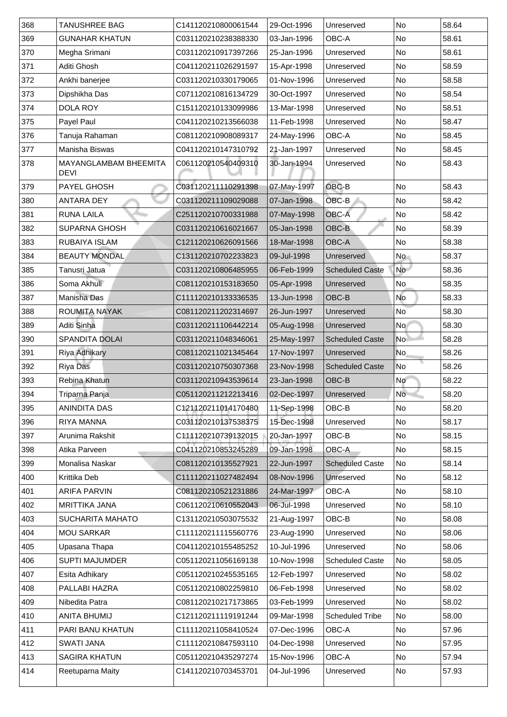| 368 | TANUSHREE BAG                               | C141120210800061544 | 29-Oct-1996 | Unreserved                      | <b>No</b>       | 58.64 |
|-----|---------------------------------------------|---------------------|-------------|---------------------------------|-----------------|-------|
| 369 | <b>GUNAHAR KHATUN</b>                       | C031120210238388330 | 03-Jan-1996 | <b>OBC-A</b>                    | No              | 58.61 |
| 370 | Megha Srimani                               | C031120210917397266 | 25-Jan-1996 | Unreserved                      | No              | 58.61 |
| 371 | <b>Aditi Ghosh</b>                          | C041120211026291597 | 15-Apr-1998 | Unreserved                      | No              | 58.59 |
| 372 | Ankhi banerjee                              | C031120210330179065 | 01-Nov-1996 | Unreserved                      | No              | 58.58 |
| 373 | Dipshikha Das                               | C071120210816134729 | 30-Oct-1997 | Unreserved                      | No              | 58.54 |
| 374 | <b>DOLA ROY</b>                             | C151120210133099986 | 13-Mar-1998 | Unreserved                      | No              | 58.51 |
| 375 | <b>Payel Paul</b>                           | C041120210213566038 | 11-Feb-1998 | Unreserved                      | <b>No</b>       | 58.47 |
| 376 | Tanuja Rahaman                              | C081120210908089317 | 24-May-1996 | <b>OBC-A</b>                    | No              | 58.45 |
| 377 | <b>Manisha Biswas</b>                       | C041120210147310792 | 21-Jan-1997 | Unreserved                      | No              | 58.45 |
| 378 | <b>MAYANGLAMBAM BHEEMITA</b><br><b>DEVI</b> | C061120210540409310 | 30-Jan-1994 | Unreserved                      | No              | 58.43 |
| 379 | <b>PAYEL GHOSH</b>                          | C031120211110291398 | 07-May-1997 | OBC-B                           | <b>No</b>       | 58.43 |
| 380 | <b>ANTARA DEY</b>                           | C031120211109029088 | 07-Jan-1998 | OBC-B                           | <b>No</b>       | 58.42 |
| 381 | <b>RUNA LAILA</b>                           | C251120210700331988 | 07-May-1998 | <b>OBC-A</b>                    | No              | 58.42 |
| 382 | <b>SUPARNA GHOSH</b>                        | C031120210616021667 | 05-Jan-1998 | <b>OBC-B</b>                    | N <sub>o</sub>  | 58.39 |
| 383 | <b>RUBAIYA ISLAM</b>                        | C121120210626091566 | 18-Mar-1998 | <b>OBC-A</b>                    | No              | 58.38 |
| 384 | <b>BEAUTY MONDAL</b>                        | C131120210702233823 | 09-Jul-1998 | <b>Unreserved</b>               | <b>No</b>       | 58.37 |
| 385 | Tanusri Jatua                               | C031120210806485955 | 06-Feb-1999 | <b>Scheduled Caste</b>          | No              | 58.36 |
| 386 | Soma Akhuli                                 | C081120210153183650 | 05-Apr-1998 | <b>Unreserved</b>               | No              | 58.35 |
| 387 | <b>Manisha Das</b>                          | C111120210133336535 | 13-Jun-1998 | $\overline{\mathsf{OBC- B}}$    | No              | 58.33 |
| 388 | <b>ROUMITA NAYAK</b>                        | C081120211202314697 | 26-Jun-1997 | <b>Unreserved</b>               | No <sup>1</sup> | 58.30 |
| 389 | Aditi Sinha                                 | C031120211106442214 | 05-Aug-1998 | Unreserved                      | No l            | 58.30 |
| 390 | <b>SPANDITA DOLAI</b>                       | C031120211048346061 | 25-May-1997 | <b>Scheduled Caste</b>          | No <sup>1</sup> | 58.28 |
| 391 | <b>Riya Adhikary</b>                        | C081120211021345464 | 17-Nov-1997 | Unreserved                      | No              | 58.26 |
| 392 | <b>Riya Das</b>                             | C031120210750307368 | 23-Nov-1998 | <b>Scheduled Caste</b>          | No              | 58.26 |
| 393 | <b>Rebina Khatun</b>                        | C031120210943539614 | 23-Jan-1998 | $\overline{\big \bigcirc}$ BC-B | <b>No</b>       | 58.22 |
| 394 | Triparna Panja                              | C051120211212213416 | 02-Dec-1997 | Unreserved                      | <b>No</b>       | 58.20 |
| 395 | <b>ANINDITA DAS</b>                         | C121120211014170480 | 11-Sep-1998 | OBC-B                           | No              | 58.20 |
| 396 | <b>RIYA MANNA</b>                           | C031120210137538375 | 15-Dec-1998 | Unreserved                      | No              | 58.17 |
| 397 | Arunima Rakshit                             | C111120210739132015 | 20-Jan-1997 | OBC-B                           | No              | 58.15 |
| 398 | Atika Parveen                               | C041120210853245289 | 09-Jan-1998 | <b>OBC-A</b>                    | No              | 58.15 |
| 399 | <b>Monalisa Naskar</b>                      | C081120210135527921 | 22-Jun-1997 | <b>Scheduled Caste</b>          | N <sub>o</sub>  | 58.14 |
| 400 | <b>Krittika Deb</b>                         | C111120211027482494 | 08-Nov-1996 | Unreserved                      | No              | 58.12 |
| 401 | <b>ARIFA PARVIN</b>                         | C081120210521231886 | 24-Mar-1997 | <b>OBC-A</b>                    | No              | 58.10 |
| 402 | <b>MRITTIKA JANA</b>                        | C061120210610552043 | 06-Jul-1998 | Unreserved                      | N <sub>o</sub>  | 58.10 |
| 403 | <b>SUCHARITA MAHATO</b>                     | C131120210503075532 |             | OBC-B                           | No              |       |
| 404 | <b>MOU SARKAR</b>                           |                     | 21-Aug-1997 |                                 | No              | 58.08 |
|     |                                             | C111120211115560776 | 23-Aug-1990 | Unreserved                      |                 | 58.06 |
| 405 | Upasana Thapa                               | C041120210155485252 | 10-Jul-1996 | Unreserved                      | No              | 58.06 |
| 406 | <b>SUPTI MAJUMDER</b>                       | C051120211056169138 | 10-Nov-1998 | <b>Scheduled Caste</b>          | N <sub>o</sub>  | 58.05 |
| 407 | <b>Esita Adhikary</b>                       | C051120210245535165 | 12-Feb-1997 | Unreserved                      | No              | 58.02 |
| 408 | PALLABI HAZRA                               | C051120210802259810 | 06-Feb-1998 | Unreserved                      | No              | 58.02 |
| 409 | Nibedita Patra                              | C081120210217173865 | 03-Feb-1999 | Unreserved                      | No              | 58.02 |
| 410 | ANITA BHUMIJ                                | C121120211119191244 | 09-Mar-1998 | <b>Scheduled Tribe</b>          | No              | 58.00 |
| 411 | <b>PARI BANU KHATUN</b>                     | C111120211058410524 | 07-Dec-1996 | <b>OBC-A</b>                    | No              | 57.96 |
| 412 | <b>SWATI JANA</b>                           | C111120210847593110 | 04-Dec-1998 | Unreserved                      | No              | 57.95 |
| 413 | <b>SAGIRA KHATUN</b>                        | C051120210435297274 | 15-Nov-1996 | <b>OBC-A</b>                    | No              | 57.94 |
| 414 | Reetuparna Maity                            | C141120210703453701 | 04-Jul-1996 | Unreserved                      | No              | 57.93 |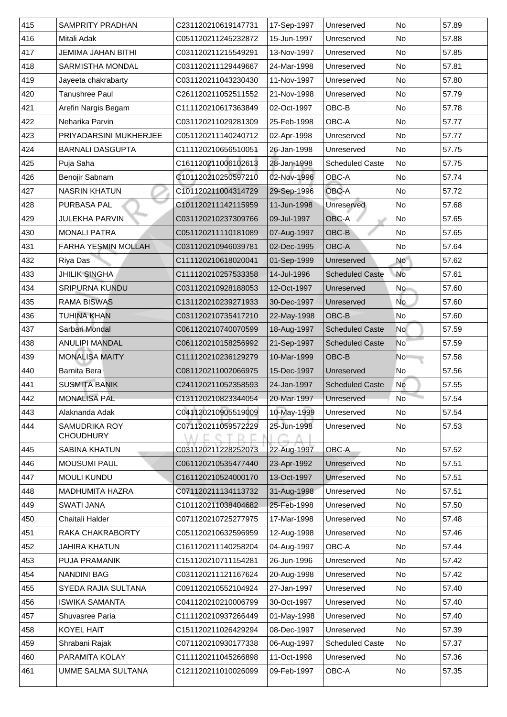| 415 | <b>SAMPRITY PRADHAN</b>                  | C231120210619147731 | 17-Sep-1997 | Unreserved             | No                       | 57.89 |
|-----|------------------------------------------|---------------------|-------------|------------------------|--------------------------|-------|
| 416 | Mitali Adak                              | C051120211245232872 | 15-Jun-1997 | Unreserved             | No                       | 57.88 |
| 417 | <b>JEMIMA JAHAN BITHI</b>                | C031120211215549291 | 13-Nov-1997 | Unreserved             | <b>No</b>                | 57.85 |
| 418 | <b>SARMISTHA MONDAL</b>                  | C031120211129449667 | 24-Mar-1998 | Unreserved             | No                       | 57.81 |
| 419 | Jayeeta chakrabarty                      | C031120211043230430 | 11-Nov-1997 | Unreserved             | No                       | 57.80 |
| 420 | Tanushree Paul                           | C261120211052511552 | 21-Nov-1998 | Unreserved             | <b>No</b>                | 57.79 |
| 421 | Arefin Nargis Begam                      | C111120210617363849 | 02-Oct-1997 | OBC-B                  | No                       | 57.78 |
| 422 | Neharika Parvin                          | C031120211029281309 | 25-Feb-1998 | OBC-A                  | <b>No</b>                | 57.77 |
| 423 | <b>PRIYADARSINI MUKHERJEE</b>            | C051120211140240712 | 02-Apr-1998 | Unreserved             | <b>No</b>                | 57.77 |
| 424 | <b>BARNALI DASGUPTA</b>                  | C111120210656510051 | 26-Jan-1998 | Unreserved             | <b>No</b>                | 57.75 |
| 425 | Puja Saha                                | C161120211006102613 | 28-Jan-1998 | <b>Scheduled Caste</b> | No                       | 57.75 |
| 426 | <b>Benojir Sabnam</b>                    | C101120210250597210 | 02-Nov-1996 | <b>OBC-A</b>           | No                       | 57.74 |
| 427 | <b>NASRIN KHATUN</b>                     | C101120211004314729 | 29-Sep-1996 | <b>OBC-A</b>           | No                       | 57.72 |
| 428 | <b>PURBASA PAL</b>                       | C101120211142115959 | 11-Jun-1998 | Unreserved             | <b>No</b>                | 57.68 |
| 429 | <b>JULEKHA PARVIN</b>                    | C031120210237309766 | 09-Jul-1997 | <b>OBC-A</b>           | <b>No</b>                | 57.65 |
| 430 | <b>MONALI PATRA</b>                      | C051120211110181089 | 07-Aug-1997 | OBC-B                  | No                       | 57.65 |
| 431 | <b>FARHA YESMIN MOLLAH</b>               | C031120210946039781 | 02-Dec-1995 | <b>OBC-A</b>           | No                       | 57.64 |
| 432 | <b>Riya Das</b>                          | C111120210618020041 | 01-Sep-1999 | Unreserved             | No                       | 57.62 |
| 433 | <b>JHILIK SINGHA</b>                     | C111120210257533358 | 14-Jul-1996 | <b>Scheduled Caste</b> | <b>No</b>                | 57.61 |
| 434 | <b>SRIPURNA KUNDU</b>                    | C031120210928188053 | 12-Oct-1997 | Unreserved             | No                       | 57.60 |
| 435 | <b>RAMA BISWAS</b>                       | C131120210239271933 | 30-Dec-1997 | Unreserved             | No                       | 57.60 |
| 436 | <b>TUHINA KHAN</b>                       | C031120210735417210 | 22-May-1998 | OBC-B                  | No                       | 57.60 |
| 437 | Sarbari Mondal                           | C061120210740070599 | 18-Aug-1997 | <b>Scheduled Caste</b> | <b>No</b>                | 57.59 |
| 438 | <b>ANULIPI MANDAL</b>                    | C061120210158256992 | 21-Sep-1997 | <b>Scheduled Caste</b> | $\overline{\mathsf{No}}$ | 57.59 |
| 439 | <b>MONALISA MAITY</b>                    | C111120210236129279 | 10-Mar-1999 | OBC-B                  | No                       | 57.58 |
| 440 | <b>Barnita Bera</b>                      | C081120211002066975 | 15-Dec-1997 | Unreserved             | No                       | 57.56 |
| 441 | <b>SUSMITA BANIK</b>                     | C241120211052358593 | 24-Jan-1997 | <b>Scheduled Caste</b> | No                       | 57.55 |
| 442 | <b>MONALISA PAL</b>                      | C131120210823344054 | 20-Mar-1997 | Unreserved             | N <sub>o</sub>           | 57.54 |
| 443 | Alaknanda Adak                           | C041120210905519009 | 10-May-1999 | Unreserved             | No                       | 57.54 |
| 444 | <b>SAMUDRIKA ROY</b><br><b>CHOUDHURY</b> | C071120211059572229 | 25-Jun-1998 | Unreserved             | No                       | 57.53 |
| 445 | <b>SABINA KHATUN</b>                     | C031120211228252073 | 22-Aug-1997 | <b>OBC-A</b>           | <b>No</b>                | 57.52 |
| 446 | <b>MOUSUMI PAUL</b>                      | C061120210535477440 | 23-Apr-1992 | Unreserved             | No                       | 57.51 |
| 447 | <b>MOULI KUNDU</b>                       | C161120210524000170 | 13-Oct-1997 | Unreserved             | No                       | 57.51 |
| 448 | <b>MADHUMITA HAZRA</b>                   | C071120211134113732 | 31-Aug-1998 | Unreserved             | No                       | 57.51 |
| 449 | <b>SWATI JANA</b>                        | C101120211038404682 | 25-Feb-1998 | Unreserved             | <b>No</b>                | 57.50 |
| 450 | <b>Chaitali Halder</b>                   | C071120210725277975 | 17-Mar-1998 | Unreserved             | No                       | 57.48 |
| 451 | <b>RAKA CHAKRABORTY</b>                  | C051120210632596959 | 12-Aug-1998 | Unreserved             | <b>No</b>                | 57.46 |
| 452 | <b>JAHIRA KHATUN</b>                     | C161120211140258204 | 04-Aug-1997 | <b>OBC-A</b>           | No                       | 57.44 |
| 453 | <b>PUJA PRAMANIK</b>                     | C151120210711154281 | 26-Jun-1996 | Unreserved             | <b>No</b>                | 57.42 |
| 454 | <b>NANDINI BAG</b>                       | C031120211121167624 | 20-Aug-1998 | Unreserved             | <b>No</b>                | 57.42 |
| 455 | SYEDA RAJIA SULTANA                      | C091120210552104924 | 27-Jan-1997 | Unreserved             | <b>No</b>                | 57.40 |
| 456 | <b>ISWIKA SAMANTA</b>                    | C041120210210006799 | 30-Oct-1997 | Unreserved             | <b>No</b>                | 57.40 |
| 457 | <b>Shuvasree Paria</b>                   | C111120210937266449 | 01-May-1998 | Unreserved             | No                       | 57.40 |
| 458 | <b>KOYEL HAIT</b>                        | C151120211026429294 | 08-Dec-1997 | Unreserved             | No                       | 57.39 |
| 459 | Shrabani Rajak                           | C071120210930177338 | 06-Aug-1997 | <b>Scheduled Caste</b> | No                       | 57.37 |
| 460 | PARAMITA KOLAY                           | C111120211045266898 | 11-Oct-1998 | Unreserved             | No                       | 57.36 |
| 461 | UMME SALMA SULTANA                       | C121120211010026099 | 09-Feb-1997 | OBC-A                  | No                       | 57.35 |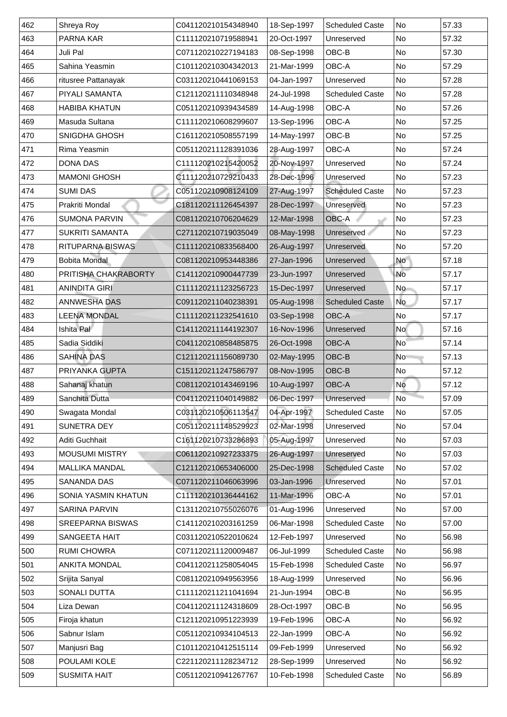| 462 | <b>Shreya Roy</b>          | C041120210154348940 | 18-Sep-1997 | <b>Scheduled Caste</b> | <b>No</b>                | 57.33 |
|-----|----------------------------|---------------------|-------------|------------------------|--------------------------|-------|
| 463 | <b>PARNA KAR</b>           | C111120210719588941 | 20-Oct-1997 | Unreserved             | No                       | 57.32 |
| 464 | Juli Pal                   | C071120210227194183 | 08-Sep-1998 | OBC-B                  | <b>No</b>                | 57.30 |
| 465 | Sahina Yeasmin             | C101120210304342013 | 21-Mar-1999 | <b>OBC-A</b>           | <b>No</b>                | 57.29 |
| 466 | ritusree Pattanayak        | C031120210441069153 | 04-Jan-1997 | Unreserved             | N <sub>o</sub>           | 57.28 |
| 467 | <b>PIYALI SAMANTA</b>      | C121120211110348948 | 24-Jul-1998 | <b>Scheduled Caste</b> | No                       | 57.28 |
| 468 | <b>HABIBA KHATUN</b>       | C051120210939434589 | 14-Aug-1998 | <b>OBC-A</b>           | <b>No</b>                | 57.26 |
| 469 | Masuda Sultana             | C111120210608299607 | 13-Sep-1996 | <b>OBC-A</b>           | <b>No</b>                | 57.25 |
| 470 | <b>SNIGDHA GHOSH</b>       | C161120210508557199 | 14-May-1997 | OBC-B                  | No                       | 57.25 |
| 471 | Rima Yeasmin               | C051120211128391036 | 28-Aug-1997 | <b>OBC-A</b>           | <b>No</b>                | 57.24 |
| 472 | <b>DONA DAS</b>            | C111120210215420052 | 20-Nov-1997 | Unreserved             | <b>No</b>                | 57.24 |
| 473 | <b>MAMONI GHOSH</b>        | C111120210729210433 | 28-Dec-1996 | Unreserved             | N <sub>o</sub>           | 57.23 |
| 474 | <b>SUMI DAS</b>            | C051120210908124109 | 27-Aug-1997 | <b>Scheduled Caste</b> | No                       | 57.23 |
| 475 | <b>Prakriti Mondal</b>     | C181120211126454397 | 28-Dec-1997 | Unreserved             | $\overline{\mathsf{No}}$ | 57.23 |
| 476 | <b>SUMONA PARVIN</b>       | C081120210706204629 | 12-Mar-1998 | OBC-A                  | N <sub>o</sub>           | 57.23 |
| 477 | <b>SUKRITI SAMANTA</b>     | C271120210719035049 | 08-May-1998 | Unreserved             | No                       | 57.23 |
| 478 | <b>RITUPARNA BISWAS</b>    | C111120210833568400 | 26-Aug-1997 | <b>Unreserved</b>      | No                       | 57.20 |
| 479 | <b>Bobita Mondal</b>       | C081120210953448386 | 27-Jan-1996 | Unreserved             | <b>No</b>                | 57.18 |
| 480 | PRITISHA CHAKRABORTY       | C141120210900447739 | 23-Jun-1997 | Unreserved             | <b>No</b>                | 57.17 |
| 481 | <b>ANINDITA GIRI</b>       | C111120211123256723 | 15-Dec-1997 | Unreserved             | <b>No</b>                | 57.17 |
| 482 | <b>ANNWESHA DAS</b>        | C091120211040238391 | 05-Aug-1998 | <b>Scheduled Caste</b> | <b>No</b>                | 57.17 |
| 483 | <b>LEENA MONDAL</b>        | C111120211232541610 | 03-Sep-1998 | <b>OBC-A</b>           | No                       | 57.17 |
| 484 | Ishita Pal                 | C141120211144192307 | 16-Nov-1996 | Unreserved             | No                       | 57.16 |
| 485 | Sadia Siddiki              | C041120210858485875 | 26-Oct-1998 | <b>OBC-A</b>           | <b>No</b>                | 57.14 |
| 486 | <b>SAHINA DAS</b>          | C121120211156089730 | 02-May-1995 | OBC-B                  | <b>No</b>                | 57.13 |
| 487 | <b>PRIYANKA GUPTA</b>      | C151120211247586797 | 08-Nov-1995 | OBC-B                  | No                       | 57.12 |
| 488 | Sahanaj khatun             | C081120210143469196 | 10-Aug-1997 | <b>OBC-A</b>           | No                       | 57.12 |
| 489 | <b>Sanchita Dutta</b>      | C041120211040149882 | 06-Dec-1997 | Unreserved             | No                       | 57.09 |
| 490 | Swagata Mondal             | C031120210506113547 | 04-Apr-1997 | <b>Scheduled Caste</b> | No                       | 57.05 |
| 491 | <b>SUNETRA DEY</b>         | C051120211148529923 | 02-Mar-1998 | Unreserved             | <b>No</b>                | 57.04 |
| 492 | <b>Aditi Guchhait</b>      | C161120210733286893 | 05-Aug-1997 | Unreserved             | No                       | 57.03 |
| 493 | <b>MOUSUMI MISTRY</b>      | C061120210927233375 | 26-Aug-1997 | Unreserved             | No                       | 57.03 |
| 494 | <b>MALLIKA MANDAL</b>      | C121120210653406000 | 25-Dec-1998 | <b>Scheduled Caste</b> | No                       | 57.02 |
| 495 | <b>SANANDA DAS</b>         | C071120211046063996 | 03-Jan-1996 | Unreserved             | <b>No</b>                | 57.01 |
| 496 | <b>SONIA YASMIN KHATUN</b> | C111120210136444162 | 11-Mar-1996 | <b>OBC-A</b>           | <b>No</b>                | 57.01 |
| 497 | <b>SARINA PARVIN</b>       | C131120210755026076 | 01-Aug-1996 | Unreserved             | No                       | 57.00 |
| 498 | <b>SREEPARNA BISWAS</b>    | C141120210203161259 | 06-Mar-1998 | <b>Scheduled Caste</b> | No                       | 57.00 |
| 499 | <b>SANGEETA HAIT</b>       | C031120210522010624 | 12-Feb-1997 | Unreserved             | <b>No</b>                | 56.98 |
| 500 | <b>RUMI CHOWRA</b>         | C071120211120009487 | 06-Jul-1999 | <b>Scheduled Caste</b> | N <sub>o</sub>           | 56.98 |
| 501 | <b>ANKITA MONDAL</b>       | C041120211258054045 | 15-Feb-1998 | <b>Scheduled Caste</b> | No                       | 56.97 |
| 502 | Srijita Sanyal             | C081120210949563956 | 18-Aug-1999 | Unreserved             | No                       | 56.96 |
| 503 | <b>SONALI DUTTA</b>        | C111120211211041694 | 21-Jun-1994 | OBC-B                  | No                       | 56.95 |
| 504 | Liza Dewan                 | C041120211124318609 | 28-Oct-1997 | OBC-B                  | No                       | 56.95 |
| 505 | Firoja khatun              | C121120210951223939 | 19-Feb-1996 | <b>OBC-A</b>           | No                       | 56.92 |
| 506 | Sabnur Islam               | C051120210934104513 | 22-Jan-1999 | <b>OBC-A</b>           | No                       | 56.92 |
| 507 | Manjusri Bag               | C101120210412515114 | 09-Feb-1999 | Unreserved             | No                       | 56.92 |
| 508 | <b>POULAMI KOLE</b>        | C221120211128234712 | 28-Sep-1999 | Unreserved             | N <sub>o</sub>           | 56.92 |
| 509 | <b>SUSMITA HAIT</b>        | C051120210941267767 | 10-Feb-1998 | <b>Scheduled Caste</b> | No                       | 56.89 |
|     |                            |                     |             |                        |                          |       |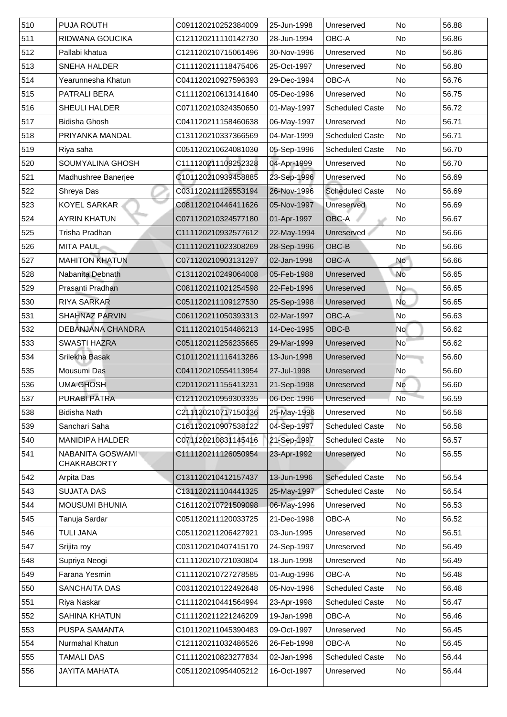| 510 | <b>PUJA ROUTH</b>                             | C091120210252384009 | 25-Jun-1998 | Unreserved             | <b>No</b>                | 56.88 |
|-----|-----------------------------------------------|---------------------|-------------|------------------------|--------------------------|-------|
| 511 | RIDWANA GOUCIKA                               | C121120211110142730 | 28-Jun-1994 | <b>OBC-A</b>           | No                       | 56.86 |
| 512 | Pallabi khatua                                | C121120210715061496 | 30-Nov-1996 | Unreserved             | <b>No</b>                | 56.86 |
| 513 | <b>SNEHA HALDER</b>                           | C111120211118475406 | 25-Oct-1997 | Unreserved             | No                       | 56.80 |
| 514 | Yearunnesha Khatun                            | C041120210927596393 | 29-Dec-1994 | OBC-A                  | No                       | 56.76 |
| 515 | <b>PATRALI BERA</b>                           | C111120210613141640 | 05-Dec-1996 | Unreserved             | N <sub>o</sub>           | 56.75 |
| 516 | <b>SHEULI HALDER</b>                          | C071120210324350650 | 01-May-1997 | <b>Scheduled Caste</b> | No                       | 56.72 |
| 517 | <b>Bidisha Ghosh</b>                          | C041120211158460638 | 06-May-1997 | Unreserved             | No                       | 56.71 |
| 518 | PRIYANKA MANDAL                               | C131120210337366569 | 04-Mar-1999 | <b>Scheduled Caste</b> | N <sub>o</sub>           | 56.71 |
| 519 | Riya saha                                     | C051120210624081030 | 05-Sep-1996 | <b>Scheduled Caste</b> | N <sub>o</sub>           | 56.70 |
| 520 | <b>SOUMYALINA GHOSH</b>                       | C111120211109252328 | 04-Apr-1999 | Unreserved             | No                       | 56.70 |
| 521 | Madhushree Banerjee                           | C101120210939458885 | 23-Sep-1996 | Unreserved             | N <sub>o</sub>           | 56.69 |
| 522 | <b>Shreya Das</b>                             | C031120211126553194 | 26-Nov-1996 | <b>Scheduled Caste</b> | N <sub>o</sub>           | 56.69 |
| 523 | <b>KOYEL SARKAR</b>                           | C081120210446411626 | 05-Nov-1997 | Unreserved             | No                       | 56.69 |
| 524 | <b>AYRIN KHATUN</b>                           | C071120210324577180 | 01-Apr-1997 | OBC-A                  | N <sub>o</sub>           | 56.67 |
| 525 | <b>Trisha Pradhan</b>                         | C111120210932577612 | 22-May-1994 | Unreserved             | N <sub>o</sub>           | 56.66 |
| 526 | <b>MITA PAUL</b>                              | C111120211023308269 | 28-Sep-1996 | <b>OBC-B</b>           | No                       | 56.66 |
| 527 | <b>MAHITON KHATUN</b>                         | C071120210903131297 | 02-Jan-1998 | <b>OBC-A</b>           | <b>No</b>                | 56.66 |
| 528 | Nabanita Debnath                              | C131120210249064008 | 05-Feb-1988 | Unreserved             | <b>No</b>                | 56.65 |
| 529 | <b>Prasanti Pradhan</b>                       | C081120211021254598 | 22-Feb-1996 | Unreserved             | No                       | 56.65 |
| 530 | <b>RIYA SARKAR</b>                            | C051120211109127530 | 25-Sep-1998 | Unreserved             | No                       | 56.65 |
| 531 | <b>SHAHNAZ PARVIN</b>                         | C061120211050393313 | 02-Mar-1997 | <b>OBC-A</b>           | $\overline{\mathsf{No}}$ | 56.63 |
| 532 | <b>DEBANJANA CHANDRA</b>                      | C111120210154486213 | 14-Dec-1995 | OBC-B                  | No                       | 56.62 |
| 533 | <b>SWASTI HAZRA</b>                           | C051120211256235665 | 29-Mar-1999 | Unreserved             | $\overline{\mathsf{No}}$ | 56.62 |
| 534 | <b>Srilekha Basak</b>                         | C101120211116413286 | 13-Jun-1998 | Unreserved             | No                       | 56.60 |
| 535 | <b>Mousumi Das</b>                            | C041120210554113954 | 27-Jul-1998 | Unreserved             | No                       | 56.60 |
| 536 | <b>UMA GHOSH</b>                              | C201120211155413231 | 21-Sep-1998 | Unreserved             | <b>No</b>                | 56.60 |
| 537 | <b>PURABI PATRA</b>                           | C121120210959303335 | 06-Dec-1996 | Unreserved             | No                       | 56.59 |
| 538 | <b>Bidisha Nath</b>                           | C211120210717150336 | 25-May-1996 | Unreserved             | N <sub>o</sub>           | 56.58 |
| 539 | Sanchari Saha                                 | C161120210907538122 | 04-Sep-1997 | <b>Scheduled Caste</b> | No                       | 56.58 |
| 540 | <b>MANIDIPA HALDER</b>                        | C071120210831145416 | 21-Sep-1997 | <b>Scheduled Caste</b> | No                       | 56.57 |
| 541 | <b>NABANITA GOSWAMI</b><br><b>CHAKRABORTY</b> | C111120211126050954 | 23-Apr-1992 | Unreserved             | No                       | 56.55 |
| 542 | <b>Arpita Das</b>                             | C131120210412157437 | 13-Jun-1996 | <b>Scheduled Caste</b> | No                       | 56.54 |
| 543 | <b>SUJATA DAS</b>                             | C131120211104441325 | 25-May-1997 | <b>Scheduled Caste</b> | N <sub>o</sub>           | 56.54 |
| 544 | <b>MOUSUMI BHUNIA</b>                         | C161120210721509098 | 06-May-1996 | Unreserved             | No                       | 56.53 |
| 545 | Tanuja Sardar                                 | C051120211120033725 | 21-Dec-1998 | <b>OBC-A</b>           | No                       | 56.52 |
| 546 | <b>TULI JANA</b>                              | C051120211206427921 | 03-Jun-1995 | Unreserved             | N <sub>o</sub>           | 56.51 |
| 547 | Srijita roy                                   | C031120210407415170 | 24-Sep-1997 | Unreserved             | N <sub>o</sub>           | 56.49 |
| 548 | Supriya Neogi                                 | C111120210721030804 | 18-Jun-1998 | Unreserved             | No                       | 56.49 |
| 549 | Farana Yesmin                                 | C111120210727278585 | 01-Aug-1996 | OBC-A                  | No                       | 56.48 |
| 550 | <b>SANCHAITA DAS</b>                          | C031120210122492648 | 05-Nov-1996 | <b>Scheduled Caste</b> | No                       | 56.48 |
| 551 | Riya Naskar                                   | C111120210441564994 | 23-Apr-1998 | <b>Scheduled Caste</b> | No                       | 56.47 |
| 552 | <b>SAHINA KHATUN</b>                          | C111120211221246209 | 19-Jan-1998 | OBC-A                  | No                       | 56.46 |
| 553 | <b>PUSPA SAMANTA</b>                          | C101120211045390483 | 09-Oct-1997 | Unreserved             | No                       | 56.45 |
| 554 | <b>Nurmahal Khatun</b>                        | C121120211032486526 | 26-Feb-1998 | <b>OBC-A</b>           | No                       | 56.45 |
| 555 | <b>TAMALI DAS</b>                             | C111120210823277834 | 02-Jan-1996 | <b>Scheduled Caste</b> | No                       | 56.44 |
| 556 | <b>JAYITA MAHATA</b>                          | C051120210954405212 | 16-Oct-1997 | Unreserved             | No                       | 56.44 |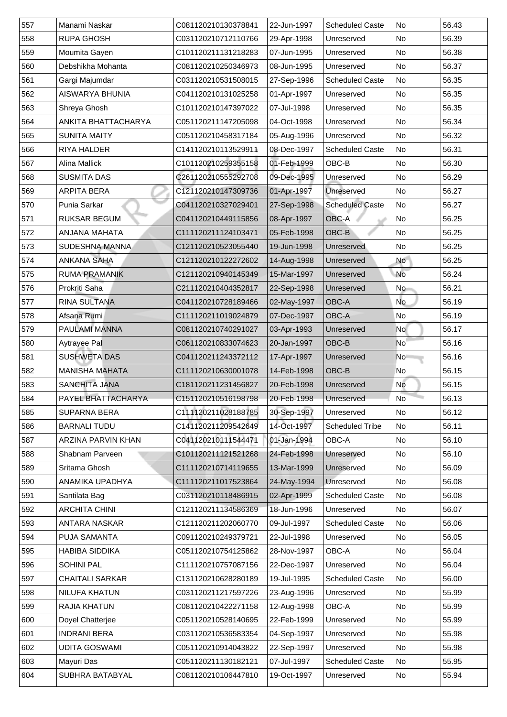|     | Manami Naskar             | C081120210130378841 | 22-Jun-1997 | <b>Scheduled Caste</b> | <b>No</b> | 56.43 |
|-----|---------------------------|---------------------|-------------|------------------------|-----------|-------|
| 558 | <b>RUPA GHOSH</b>         | C031120210712110766 | 29-Apr-1998 | Unreserved             | <b>No</b> | 56.39 |
| 559 | Moumita Gayen             | C101120211131218283 | 07-Jun-1995 | Unreserved             | No        | 56.38 |
| 560 | Debshikha Mohanta         | C081120210250346973 | 08-Jun-1995 | Unreserved             | No        | 56.37 |
| 561 | Gargi Majumdar            | C031120210531508015 | 27-Sep-1996 | <b>Scheduled Caste</b> | No        | 56.35 |
| 562 | <b>AISWARYA BHUNIA</b>    | C041120210131025258 | 01-Apr-1997 | Unreserved             | No        | 56.35 |
| 563 | <b>Shreya Ghosh</b>       | C101120210147397022 | 07-Jul-1998 | Unreserved             | No        | 56.35 |
| 564 | ANKITA BHATTACHARYA       | C051120211147205098 | 04-Oct-1998 | Unreserved             | <b>No</b> | 56.34 |
| 565 | <b>SUNITA MAITY</b>       | C051120210458317184 | 05-Aug-1996 | Unreserved             | No        | 56.32 |
| 566 | <b>RIYA HALDER</b>        | C141120210113529911 | 08-Dec-1997 | <b>Scheduled Caste</b> | No        | 56.31 |
| 567 | <b>Alina Mallick</b>      | C101120210259355158 | 01-Feb-1999 | OBC-B                  | <b>No</b> | 56.30 |
| 568 | <b>SUSMITA DAS</b>        | C261120210555292708 | 09-Dec-1995 | Unreserved             | <b>No</b> | 56.29 |
| 569 | <b>ARPITA BERA</b>        | C121120210147309736 | 01-Apr-1997 | <b>Unreserved</b>      | <b>No</b> | 56.27 |
| 570 | <b>Punia Sarkar</b>       | C041120210327029401 | 27-Sep-1998 | <b>Scheduled Caste</b> | No        | 56.27 |
| 571 | <b>RUKSAR BEGUM</b>       | C041120210449115856 | 08-Apr-1997 | OBC-A                  | No        | 56.25 |
| 572 | <b>ANJANA MAHATA</b>      | C111120211124103471 | 05-Feb-1998 | OBC-B                  | No        | 56.25 |
| 573 | <b>SUDESHNA MANNA</b>     | C121120210523055440 | 19-Jun-1998 | <b>Unreserved</b>      | No        | 56.25 |
| 574 | <b>ANKANA SAHA</b>        | C121120210122272602 | 14-Aug-1998 | Unreserved             | <b>No</b> | 56.25 |
| 575 | <b>RUMA PRAMANIK</b>      | C121120210940145349 | 15-Mar-1997 | Unreserved             | No        | 56.24 |
| 576 | <b>Prokriti Saha</b>      | C211120210404352817 | 22-Sep-1998 | Unreserved             | No        | 56.21 |
| 577 | <b>RINA SULTANA</b>       | C041120210728189466 | 02-May-1997 | <b>OBC-A</b>           | <b>No</b> | 56.19 |
| 578 | Afsana Rumi               | C111120211019024879 | 07-Dec-1997 | <b>OBC-A</b>           | No        | 56.19 |
| 579 | <b>PAULAMI MANNA</b>      | C081120210740291027 | 03-Apr-1993 | Unreserved             | No        | 56.17 |
| 580 | <b>Aytrayee Pal</b>       | C061120210833074623 | 20-Jan-1997 | OBC-B                  | <b>No</b> | 56.16 |
| 581 | <b>SUSHWETA DAS</b>       | C041120211243372112 | 17-Apr-1997 | Unreserved             | No        | 56.16 |
| 582 | <b>MANISHA MAHATA</b>     | C111120210630001078 | 14-Feb-1998 | OBC-B                  | <b>No</b> | 56.15 |
| 583 | <b>SANCHITA JANA</b>      | C181120211231456827 | 20-Feb-1998 | Unreserved             | No        | 56.15 |
| 584 | PAYEL BHATTACHARYA        | C151120210516198798 | 20-Feb-1998 | Unreserved             | <b>No</b> | 56.13 |
| 585 | <b>SUPARNA BERA</b>       | C111120211028188785 | 30-Sep-1997 | Unreserved             | No        |       |
|     |                           |                     |             |                        |           | 56.12 |
| 586 | <b>BARNALI TUDU</b>       | C141120211209542649 | 14-Oct-1997 | <b>Scheduled Tribe</b> | <b>No</b> | 56.11 |
| 587 | <b>ARZINA PARVIN KHAN</b> | C041120210111544471 | 01-Jan-1994 | <b>OBC-A</b>           | <b>No</b> | 56.10 |
| 588 | <b>Shabnam Parveen</b>    | C101120211121521268 | 24-Feb-1998 | Unreserved             | No        | 56.10 |
| 589 | <b>Sritama Ghosh</b>      | C111120210714119655 | 13-Mar-1999 | Unreserved             | <b>No</b> | 56.09 |
| 590 | <b>ANAMIKA UPADHYA</b>    | C111120211017523864 | 24-May-1994 | Unreserved             | No        | 56.08 |
| 591 | Santilata Bag             | C031120210118486915 | 02-Apr-1999 | <b>Scheduled Caste</b> | No        | 56.08 |
| 592 | <b>ARCHITA CHINI</b>      | C121120211134586369 | 18-Jun-1996 | Unreserved             | No        | 56.07 |
| 593 | <b>ANTARA NASKAR</b>      | C121120211202060770 | 09-Jul-1997 | <b>Scheduled Caste</b> | <b>No</b> | 56.06 |
| 594 | <b>PUJA SAMANTA</b>       | C091120210249379721 | 22-Jul-1998 | Unreserved             | No        | 56.05 |
| 595 | <b>HABIBA SIDDIKA</b>     | C051120210754125862 | 28-Nov-1997 | <b>OBC-A</b>           | No        | 56.04 |
| 596 | <b>SOHINI PAL</b>         | C111120210757087156 | 22-Dec-1997 | Unreserved             | No        | 56.04 |
| 597 | <b>CHAITALI SARKAR</b>    | C131120210628280189 | 19-Jul-1995 | <b>Scheduled Caste</b> | No        | 56.00 |
| 598 | <b>NILUFA KHATUN</b>      | C031120211217597226 | 23-Aug-1996 | Unreserved             | No        | 55.99 |
| 599 | <b>RAJIA KHATUN</b>       | C081120210422271158 | 12-Aug-1998 | <b>OBC-A</b>           | <b>No</b> | 55.99 |
| 600 | Doyel Chatterjee          | C051120210528140695 | 22-Feb-1999 | Unreserved             | No        | 55.99 |
| 601 | <b>INDRANI BERA</b>       | C031120210536583354 | 04-Sep-1997 | Unreserved             | No        | 55.98 |
| 602 | <b>UDITA GOSWAMI</b>      | C051120210914043822 | 22-Sep-1997 | Unreserved             | No        | 55.98 |
| 603 | Mayuri Das                | C051120211130182121 | 07-Jul-1997 | <b>Scheduled Caste</b> | No        | 55.95 |
| 604 | <b>SUBHRA BATABYAL</b>    | C081120210106447810 | 19-Oct-1997 | Unreserved             | No        | 55.94 |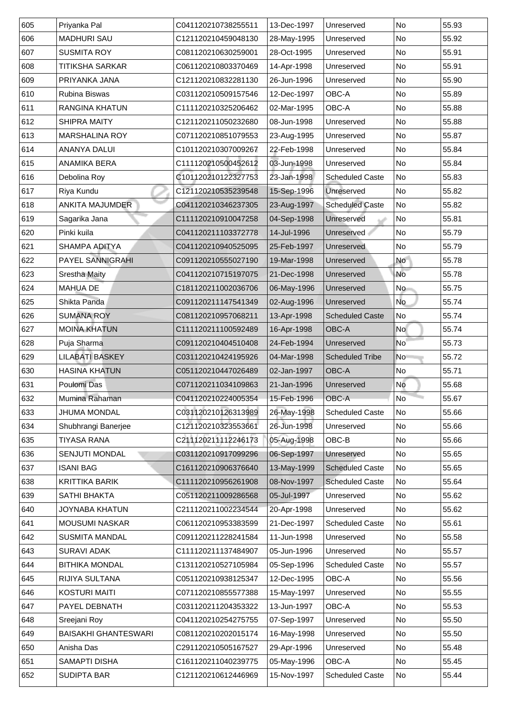|     | Priyanka Pal                | C041120210738255511 | 13-Dec-1997 | Unreserved             | <b>No</b> | 55.93 |
|-----|-----------------------------|---------------------|-------------|------------------------|-----------|-------|
| 606 | <b>MADHURI SAU</b>          | C121120210459048130 | 28-May-1995 | Unreserved             | <b>No</b> | 55.92 |
| 607 | <b>SUSMITA ROY</b>          | C081120210630259001 | 28-Oct-1995 | Unreserved             | No        | 55.91 |
| 608 | <b>TITIKSHA SARKAR</b>      | C061120210803370469 | 14-Apr-1998 | Unreserved             | <b>No</b> | 55.91 |
| 609 | PRIYANKA JANA               | C121120210832281130 | 26-Jun-1996 | Unreserved             | No        | 55.90 |
| 610 | <b>Rubina Biswas</b>        | C031120210509157546 | 12-Dec-1997 | <b>OBC-A</b>           | <b>No</b> | 55.89 |
| 611 | <b>RANGINA KHATUN</b>       | C111120210325206462 | 02-Mar-1995 | <b>OBC-A</b>           | <b>No</b> | 55.88 |
| 612 | <b>SHIPRA MAITY</b>         | C121120211050232680 | 08-Jun-1998 | Unreserved             | <b>No</b> | 55.88 |
| 613 | <b>MARSHALINA ROY</b>       | C071120210851079553 | 23-Aug-1995 | Unreserved             | No        | 55.87 |
| 614 | <b>ANANYA DALUI</b>         | C101120210307009267 | 22-Feb-1998 | Unreserved             | No        | 55.84 |
| 615 | <b>ANAMIKA BERA</b>         | C111120210500452612 | 03-Jun-1998 | Unreserved             | <b>No</b> | 55.84 |
| 616 | Debolina Roy                | C101120210122327753 | 23-Jan-1998 | <b>Scheduled Caste</b> | No        | 55.83 |
| 617 | Riya Kundu                  | C121120210535239548 | 15-Sep-1996 | <b>Unreserved</b>      | <b>No</b> | 55.82 |
| 618 | <b>ANKITA MAJUMDER</b>      | C041120210346237305 | 23-Aug-1997 | <b>Scheduled Caste</b> | No        | 55.82 |
| 619 | Sagarika Jana               | C111120210910047258 | 04-Sep-1998 | Unreserved             | No        | 55.81 |
| 620 | Pinki kuila                 | C041120211103372778 | 14-Jul-1996 | Unreserved             | No        | 55.79 |
| 621 | <b>SHAMPA ADITYA</b>        | C041120210940525095 | 25-Feb-1997 | <b>Unreserved</b>      | No        | 55.79 |
| 622 | <b>PAYEL SANNIGRAHI</b>     | C091120210555027190 | 19-Mar-1998 | Unreserved             | <b>No</b> | 55.78 |
| 623 | <b>Srestha Maity</b>        | C041120210715197075 | 21-Dec-1998 | Unreserved             | No        | 55.78 |
| 624 | <b>MAHUA DE</b>             | C181120211002036706 | 06-May-1996 | Unreserved             | <b>No</b> | 55.75 |
| 625 | Shikta Panda                | C091120211147541349 | 02-Aug-1996 | Unreserved             | <b>No</b> | 55.74 |
| 626 | <b>SUMANA ROY</b>           | C081120210957068211 | 13-Apr-1998 | <b>Scheduled Caste</b> | No        | 55.74 |
| 627 | <b>MOINA KHATUN</b>         | C111120211100592489 | 16-Apr-1998 | <b>OBC-A</b>           | <b>No</b> | 55.74 |
| 628 | Puja Sharma                 | C091120210404510408 | 24-Feb-1994 | Unreserved             | No        | 55.73 |
| 629 | <b>LILABATI BASKEY</b>      | C031120210424195926 | 04-Mar-1998 | <b>Scheduled Tribe</b> | No        | 55.72 |
| 630 | <b>HASINA KHATUN</b>        | C051120210447026489 | 02-Jan-1997 | <b>OBC-A</b>           | <b>No</b> | 55.71 |
| 631 | <b>Poulomi Das</b>          | C071120211034109863 | 21-Jan-1996 | Unreserved             | No        | 55.68 |
| 632 | Mumina Rahaman              | C041120210224005354 | 15-Feb-1996 | <b>OBC-A</b>           | <b>No</b> | 55.67 |
| 633 | <b>JHUMA MONDAL</b>         | C031120210126313989 | 26-May-1998 | <b>Scheduled Caste</b> | No        | 55.66 |
| 634 | Shubhrangi Banerjee         | C121120210323553661 |             |                        |           |       |
|     |                             |                     | 26-Jun-1998 | Unreserved             | <b>No</b> | 55.66 |
| 635 | <b>TIYASA RANA</b>          | C211120211112246173 | 05-Aug-1998 | OBC-B                  | <b>No</b> | 55.66 |
| 636 | <b>SENJUTI MONDAL</b>       | C031120210917099296 | 06-Sep-1997 | Unreserved             | No        | 55.65 |
| 637 | <b>ISANI BAG</b>            | C161120210906376640 | 13-May-1999 | <b>Scheduled Caste</b> | No        | 55.65 |
| 638 | <b>KRITTIKA BARIK</b>       | C111120210956261908 | 08-Nov-1997 | <b>Scheduled Caste</b> | <b>No</b> | 55.64 |
| 639 | <b>SATHI BHAKTA</b>         | C051120211009286568 | 05-Jul-1997 | Unreserved             | No        | 55.62 |
| 640 | <b>JOYNABA KHATUN</b>       | C211120211002234544 | 20-Apr-1998 | Unreserved             | No        | 55.62 |
| 641 | <b>MOUSUMI NASKAR</b>       | C061120210953383599 | 21-Dec-1997 | <b>Scheduled Caste</b> | <b>No</b> | 55.61 |
| 642 | <b>SUSMITA MANDAL</b>       | C091120211228241584 | 11-Jun-1998 | Unreserved             | <b>No</b> | 55.58 |
| 643 | <b>SURAVI ADAK</b>          | C111120211137484907 | 05-Jun-1996 | Unreserved             | <b>No</b> | 55.57 |
| 644 | <b>BITHIKA MONDAL</b>       | C131120210527105984 | 05-Sep-1996 | <b>Scheduled Caste</b> | No        | 55.57 |
| 645 | <b>RIJIYA SULTANA</b>       | C051120210938125347 | 12-Dec-1995 | <b>OBC-A</b>           | <b>No</b> | 55.56 |
| 646 | <b>KOSTURI MAITI</b>        | C071120210855577388 | 15-May-1997 | Unreserved             | No        | 55.55 |
| 647 | <b>PAYEL DEBNATH</b>        | C031120211204353322 | 13-Jun-1997 | <b>OBC-A</b>           | <b>No</b> | 55.53 |
| 648 | Sreejani Roy                | C041120210254275755 | 07-Sep-1997 | Unreserved             | No        | 55.50 |
| 649 | <b>BAISAKHI GHANTESWARI</b> | C081120210202015174 | 16-May-1998 | Unreserved             | No        | 55.50 |
| 650 | Anisha Das                  | C291120210505167527 | 29-Apr-1996 | Unreserved             | No        | 55.48 |
| 651 | <b>SAMAPTI DISHA</b>        | C161120211040239775 | 05-May-1996 | <b>OBC-A</b>           | No        | 55.45 |
| 652 | <b>SUDIPTA BAR</b>          | C121120210612446969 | 15-Nov-1997 | <b>Scheduled Caste</b> | No        | 55.44 |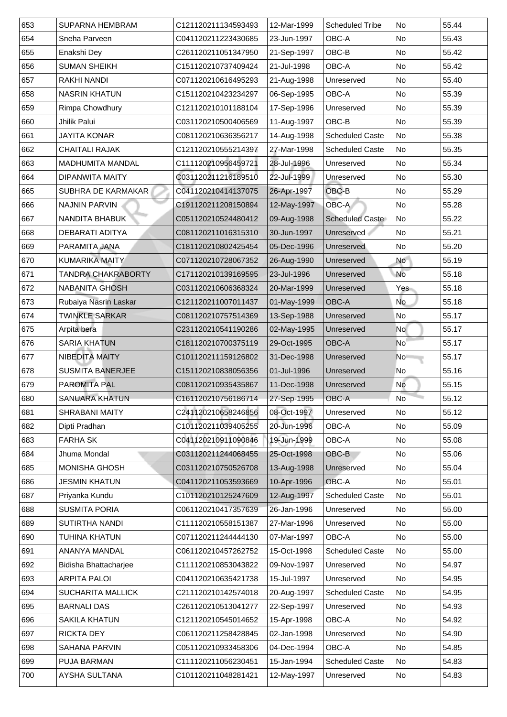| 653 | <b>SUPARNA HEMBRAM</b>       | C121120211134593493 | 12-Mar-1999 | <b>Scheduled Tribe</b>       | <b>No</b>      | 55.44 |
|-----|------------------------------|---------------------|-------------|------------------------------|----------------|-------|
| 654 | <b>Sneha Parveen</b>         | C041120211223430685 | 23-Jun-1997 | <b>OBC-A</b>                 | <b>No</b>      | 55.43 |
| 655 | Enakshi Dey                  | C261120211051347950 | 21-Sep-1997 | OBC-B                        | <b>No</b>      | 55.42 |
| 656 | <b>SUMAN SHEIKH</b>          | C151120210737409424 | 21-Jul-1998 | <b>OBC-A</b>                 | <b>No</b>      | 55.42 |
| 657 | RAKHI NANDI                  | C071120210616495293 | 21-Aug-1998 | Unreserved                   | No             | 55.40 |
| 658 | <b>NASRIN KHATUN</b>         | C151120210423234297 | 06-Sep-1995 | <b>OBC-A</b>                 | <b>No</b>      | 55.39 |
| 659 | <b>Rimpa Chowdhury</b>       | C121120210101188104 | 17-Sep-1996 | Unreserved                   | <b>No</b>      | 55.39 |
| 660 | <b>Jhilik Palui</b>          | C031120210500406569 | 11-Aug-1997 | OBC-B                        | No             | 55.39 |
| 661 | <b>JAYITA KONAR</b>          | C081120210636356217 | 14-Aug-1998 | <b>Scheduled Caste</b>       | <b>No</b>      | 55.38 |
| 662 | <b>CHAITALI RAJAK</b>        | C121120210555214397 | 27-Mar-1998 | <b>Scheduled Caste</b>       | No             | 55.35 |
| 663 | <b>MADHUMITA MANDAL</b>      | C111120210956459721 | 28-Jul-1996 | Unreserved                   | No             | 55.34 |
| 664 | <b>DIPANWITA MAITY</b>       | C031120211216189510 | 22-Jul-1999 | Unreserved                   | <b>No</b>      | 55.30 |
| 665 | <b>SUBHRA DE KARMAKAR</b>    | C041120210414137075 | 26-Apr-1997 | OBC-B                        | <b>No</b>      | 55.29 |
| 666 | <b>NAJNIN PARVIN</b>         | C191120211208150894 | 12-May-1997 | OBC-A                        | No             | 55.28 |
| 667 | NANDITA BHABUK               | C051120210524480412 | 09-Aug-1998 | <b>Scheduled Caste</b>       | No             | 55.22 |
| 866 | <b>DEBARATI ADITYA</b>       | C081120211016315310 | 30-Jun-1997 | <b>Unreserved</b>            | <b>No</b>      | 55.21 |
| 669 | PARAMITA JANA                | C181120210802425454 | 05-Dec-1996 | <b>Unreserved</b>            | No             | 55.20 |
| 670 | <b>KUMARIKA MAITY</b>        | C071120210728067352 | 26-Aug-1990 | Unreserved                   | <b>No</b>      | 55.19 |
| 671 | TANDRA CHAKRABORTY           | C171120210139169595 | 23-Jul-1996 | Unreserved                   | <b>No</b>      | 55.18 |
| 672 | <b>NABANITA GHOSH</b>        | C031120210606368324 | 20-Mar-1999 | Unreserved                   | Yes            | 55.18 |
| 673 | Rubaiya Nasrin Laskar        | C121120211007011437 | 01-May-1999 | <b>OBC-A</b>                 | No             | 55.18 |
| 674 | <b>TWINKLE SARKAR</b>        | C081120210757514369 | 13-Sep-1988 | Unreserved                   | <b>No</b>      | 55.17 |
| 675 | Arpita bera                  | C231120210541190286 | 02-May-1995 | Unreserved                   | <b>No</b>      | 55.17 |
| 676 | <b>SARIA KHATUN</b>          | C181120210700375119 | 29-Oct-1995 | <b>OBC-A</b>                 | N <sub>o</sub> | 55.17 |
| 677 | <b>NIBEDITA MAITY</b>        | C101120211159126802 | 31-Dec-1998 | Unreserved                   | <b>No</b>      | 55.17 |
| 678 | <b>SUSMITA BANERJEE</b>      | C151120210838056356 | 01-Jul-1996 | Unreserved                   | No             | 55.16 |
| 679 | <b>PAROMITA PAL</b>          | C081120210935435867 | 11-Dec-1998 | Unreserved                   | No             | 55.15 |
| 680 | <b>SANUARA KHATUN</b>        | C161120210756186714 | 27-Sep-1995 | $\overline{\big\vert}$ OBC-A | <b>No</b>      | 55.12 |
| 681 | <b>SHRABANI MAITY</b>        | C241120210658246856 | 08-Oct-1997 | Unreserved                   | No             | 55.12 |
| 682 | Dipti Pradhan                | C101120211039405255 | 20-Jun-1996 | <b>OBC-A</b>                 | <b>No</b>      | 55.09 |
| 683 | <b>FARHA SK</b>              | C041120210911090846 | 19-Jun-1999 | <b>OBC-A</b>                 | <b>No</b>      | 55.08 |
| 684 | Jhuma Mondal                 | C031120211244068455 | 25-Oct-1998 | <b>OBC-B</b>                 | <b>No</b>      | 55.06 |
| 685 | <b>MONISHA GHOSH</b>         | C031120210750526708 | 13-Aug-1998 | Unreserved                   | <b>No</b>      | 55.04 |
| 686 | <b>JESMIN KHATUN</b>         | C041120211053593669 | 10-Apr-1996 | <b>OBC-A</b>                 | No             | 55.01 |
| 687 | Priyanka Kundu               | C101120210125247609 | 12-Aug-1997 | <b>Scheduled Caste</b>       | <b>No</b>      | 55.01 |
| 886 | <b>SUSMITA PORIA</b>         | C061120210417357639 | 26-Jan-1996 | Unreserved                   | <b>No</b>      | 55.00 |
| 689 | <b>SUTIRTHA NANDI</b>        | C111120210558151387 | 27-Mar-1996 | Unreserved                   | <b>No</b>      | 55.00 |
| 690 | TUHINA KHATUN                | C071120211244444130 | 07-Mar-1997 | <b>OBC-A</b>                 | <b>No</b>      | 55.00 |
| 691 | <b>ANANYA MANDAL</b>         | C061120210457262752 | 15-Oct-1998 | <b>Scheduled Caste</b>       | No             | 55.00 |
| 692 | <b>Bidisha Bhattacharjee</b> | C111120210853043822 | 09-Nov-1997 | Unreserved                   | <b>No</b>      | 54.97 |
| 693 | <b>ARPITA PALOI</b>          | C041120210635421738 | 15-Jul-1997 | Unreserved                   | <b>No</b>      | 54.95 |
| 694 | <b>SUCHARITA MALLICK</b>     | C211120210142574018 | 20-Aug-1997 | <b>Scheduled Caste</b>       | No             | 54.95 |
| 695 | <b>BARNALI DAS</b>           | C261120210513041277 | 22-Sep-1997 | Unreserved                   | <b>No</b>      | 54.93 |
| 696 | <b>SAKILA KHATUN</b>         | C121120210545014652 | 15-Apr-1998 | <b>OBC-A</b>                 | No             | 54.92 |
| 697 | <b>RICKTA DEY</b>            | C061120211258428845 | 02-Jan-1998 | Unreserved                   | <b>No</b>      | 54.90 |
| 698 | <b>SAHANA PARVIN</b>         | C051120210933458306 | 04-Dec-1994 | <b>OBC-A</b>                 | No             | 54.85 |
| 699 | <b>PUJA BARMAN</b>           | C111120211056230451 | 15-Jan-1994 | <b>Scheduled Caste</b>       | <b>No</b>      | 54.83 |
| 700 | <b>AYSHA SULTANA</b>         | C101120211048281421 | 12-May-1997 | Unreserved                   | No             | 54.83 |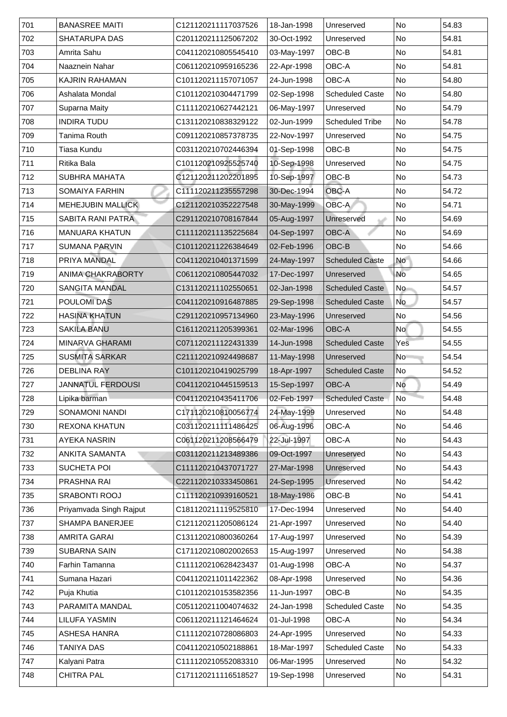| 702<br><b>No</b><br><b>SHATARUPA DAS</b><br>C201120211125067202<br>30-Oct-1992<br>54.81<br>Unreserved<br>703<br>03-May-1997<br>OBC-B<br>Amrita Sahu<br>No<br>54.81<br>C041120210805545410<br>22-Apr-1998<br><b>OBC-A</b><br><b>No</b><br>704<br><b>Naaznein Nahar</b><br>54.81<br>C061120210959165236<br><b>OBC-A</b><br>705<br><b>KAJRIN RAHAMAN</b><br>C101120211157071057<br>No<br>54.80<br>24-Jun-1998<br>706<br>No<br>Ashalata Mondal<br>02-Sep-1998<br><b>Scheduled Caste</b><br>54.80<br>C101120210304471799<br>707<br><b>Suparna Maity</b><br>06-May-1997<br>C111120210627442121<br>No<br>54.79<br>Unreserved<br>708<br><b>No</b><br><b>INDIRA TUDU</b><br>54.78<br>C131120210838329122<br>02-Jun-1999<br><b>Scheduled Tribe</b><br>709<br>Tanima Routh<br>No<br>54.75<br>C091120210857378735<br>22-Nov-1997<br>Unreserved<br>710<br>01-Sep-1998<br>OBC-B<br>Tiasa Kundu<br>C031120210702446394<br>No<br>54.75<br>711<br>10-Sep-1998<br><b>No</b><br><b>Ritika Bala</b><br>C101120210925525740<br>54.75<br>Unreserved<br>10-Sep-1997<br>OBC-B<br>712<br><b>SUBHRA MAHATA</b><br>C121120211202201895<br>No<br>54.73<br>713<br><b>OBC-A</b><br><b>No</b><br><b>SOMAIYA FARHIN</b><br>C111120211235557298<br>30-Dec-1994<br>54.72<br>714<br>OBC-A<br>MEHEJUBIN MALLICK<br>$\overline{\mathsf{No}}$<br>54.71<br>30-May-1999<br>C121120210352227548<br>715<br><b>SABITA RANI PATRA</b><br>05-Aug-1997<br>N <sub>o</sub><br>C291120210708167844<br>54.69<br>Unreserved<br>04-Sep-1997<br>716<br><b>OBC-A</b><br><b>MANUARA KHATUN</b><br>C111120211135225684<br>No<br>54.69<br>OBC-B<br>717<br><b>SUMANA PARVIN</b><br>C101120211226384649<br>02-Feb-1996<br>No<br>54.66<br>718<br><b>No</b><br>PRIYA MANDAL<br>24-May-1997<br><b>Scheduled Caste</b><br>54.66<br>C041120210401371599<br>719<br><b>ANIMA CHAKRABORTY</b><br>No<br>C061120210805447032<br>17-Dec-1997<br>54.65<br>Unreserved<br>720<br><b>SANGITA MANDAL</b><br><b>Scheduled Caste</b><br>N <sub>o</sub><br>C131120211102550651<br>02-Jan-1998<br>54.57<br><b>No</b><br>721<br><b>POULOMIDAS</b><br>29-Sep-1998<br>C041120210916487885<br><b>Scheduled Caste</b><br>54.57<br>722<br><b>HASINA KHATUN</b><br>23-May-1996<br>C291120210957134960<br>No<br>Unreserved<br>54.56<br>723<br><b>SAKILA BANU</b><br><b>OBC-A</b><br><b>No</b><br>C161120211205399361<br>02-Mar-1996<br>54.55<br>724<br><b>MINARVA GHARAMI</b><br>54.55<br>C071120211122431339<br>14-Jun-1998<br><b>Scheduled Caste</b><br>Yes<br>725<br><b>SUSMITA SARKAR</b><br>11-May-1998<br>54.54<br>C211120210924498687<br>No<br>Unreserved<br>726<br><b>DEBLINA RAY</b><br>18-Apr-1997<br>No<br>C101120210419025799<br><b>Scheduled Caste</b><br>54.52<br>727<br><b>JANNATUL FERDOUSI</b><br>15-Sep-1997<br><b>OBC-A</b><br>C041120210445159513<br>  No<br>54.49<br>728<br>$\overline{\mathsf{No}}$<br>C041120210435411706<br>02-Feb-1997<br><b>Scheduled Caste</b><br>54.48<br>Lipika barman<br>729<br>24-May-1999<br><b>SONAMONI NANDI</b><br>54.48<br>C171120210810056774<br>No<br>Unreserved<br>06-Aug-1996<br>730<br>C031120211111486425<br><b>OBC-A</b><br><b>No</b><br><b>REXONA KHATUN</b><br>54.46<br>731<br><b>AYEKA NASRIN</b><br>C061120211208566479<br>22-Jul-1997<br><b>OBC-A</b><br>No<br>54.43<br>732<br><b>ANKITA SAMANTA</b><br>No<br>54.43<br>C031120211213489386<br>09-Oct-1997<br>Unreserved<br>733<br><b>SUCHETA POI</b><br>No<br>C111120210437071727<br>27-Mar-1998<br>54.43<br>Unreserved<br>734<br><b>PRASHNA RAI</b><br>C221120210333450861<br>24-Sep-1995<br>N <sub>o</sub><br>Unreserved<br>54.42<br>735<br><b>SRABONTI ROOJ</b><br>18-May-1986<br>OBC-B<br>C111120210939160521<br>No<br>54.41<br>736<br>Priyamvada Singh Rajput<br>C181120211119525810<br>17-Dec-1994<br>No<br>54.40<br>Unreserved<br>737<br><b>SHAMPA BANERJEE</b><br>21-Apr-1997<br>No<br>54.40<br>C121120211205086124<br>Unreserved<br><b>No</b><br>738<br><b>AMRITA GARAI</b><br>C131120210800360264<br>17-Aug-1997<br>54.39<br>Unreserved<br>739<br><b>No</b><br><b>SUBARNA SAIN</b><br>15-Aug-1997<br>Unreserved<br>54.38<br>C171120210802002653<br>740<br>01-Aug-1998<br><b>OBC-A</b><br><b>No</b><br><b>Farhin Tamanna</b><br>C111120210628423437<br>54.37<br>741<br>Sumana Hazari<br>08-Apr-1998<br>N <sub>o</sub><br>54.36<br>C041120211011422362<br>Unreserved<br>742<br>Puja Khutia<br>C101120210153582356<br>11-Jun-1997<br>OBC-B<br><b>No</b><br>54.35<br>743<br>PARAMITA MANDAL<br><b>Scheduled Caste</b><br>No<br>54.35<br>C051120211004074632<br>24-Jan-1998<br>744<br><b>OBC-A</b><br>No<br>LILUFA YASMIN<br>C061120211121464624<br>01-Jul-1998<br>54.34<br>745<br>24-Apr-1995<br>No<br><b>ASHESA HANRA</b><br>C111120210728086803<br>54.33<br>Unreserved<br>746<br><b>Scheduled Caste</b><br><b>TANIYA DAS</b><br>C041120210502188861<br>18-Mar-1997<br>No<br>54.33<br>747<br>Kalyani Patra<br>06-Mar-1995<br>C111120210552083310<br>No<br>54.32<br>Unreserved<br>748<br><b>CHITRA PAL</b><br>19-Sep-1998<br>C171120211116518527<br>Unreserved<br>N <sub>o</sub><br>54.31 | 701 | <b>BANASREE MAITI</b> | C121120211117037526 | 18-Jan-1998 | Unreserved | <b>No</b> | 54.83 |
|--------------------------------------------------------------------------------------------------------------------------------------------------------------------------------------------------------------------------------------------------------------------------------------------------------------------------------------------------------------------------------------------------------------------------------------------------------------------------------------------------------------------------------------------------------------------------------------------------------------------------------------------------------------------------------------------------------------------------------------------------------------------------------------------------------------------------------------------------------------------------------------------------------------------------------------------------------------------------------------------------------------------------------------------------------------------------------------------------------------------------------------------------------------------------------------------------------------------------------------------------------------------------------------------------------------------------------------------------------------------------------------------------------------------------------------------------------------------------------------------------------------------------------------------------------------------------------------------------------------------------------------------------------------------------------------------------------------------------------------------------------------------------------------------------------------------------------------------------------------------------------------------------------------------------------------------------------------------------------------------------------------------------------------------------------------------------------------------------------------------------------------------------------------------------------------------------------------------------------------------------------------------------------------------------------------------------------------------------------------------------------------------------------------------------------------------------------------------------------------------------------------------------------------------------------------------------------------------------------------------------------------------------------------------------------------------------------------------------------------------------------------------------------------------------------------------------------------------------------------------------------------------------------------------------------------------------------------------------------------------------------------------------------------------------------------------------------------------------------------------------------------------------------------------------------------------------------------------------------------------------------------------------------------------------------------------------------------------------------------------------------------------------------------------------------------------------------------------------------------------------------------------------------------------------------------------------------------------------------------------------------------------------------------------------------------------------------------------------------------------------------------------------------------------------------------------------------------------------------------------------------------------------------------------------------------------------------------------------------------------------------------------------------------------------------------------------------------------------------------------------------------------------------------------------------------------------------------------------------------------------------------------------------------------------------------------------------------------------------------------------------------------------------------------------------------------------------------------------------------------------------------------------------------------------------------------------------------------------------------------------------------------------------------------------------------------------------------------------------------------------------------------------------------------------------------------------------------------------------------------------------------------------------------------------------------------------------------------------------------------------------------------------|-----|-----------------------|---------------------|-------------|------------|-----------|-------|
|                                                                                                                                                                                                                                                                                                                                                                                                                                                                                                                                                                                                                                                                                                                                                                                                                                                                                                                                                                                                                                                                                                                                                                                                                                                                                                                                                                                                                                                                                                                                                                                                                                                                                                                                                                                                                                                                                                                                                                                                                                                                                                                                                                                                                                                                                                                                                                                                                                                                                                                                                                                                                                                                                                                                                                                                                                                                                                                                                                                                                                                                                                                                                                                                                                                                                                                                                                                                                                                                                                                                                                                                                                                                                                                                                                                                                                                                                                                                                                                                                                                                                                                                                                                                                                                                                                                                                                                                                                                                                                                                                                                                                                                                                                                                                                                                                                                                                                                                                                                                                          |     |                       |                     |             |            |           |       |
|                                                                                                                                                                                                                                                                                                                                                                                                                                                                                                                                                                                                                                                                                                                                                                                                                                                                                                                                                                                                                                                                                                                                                                                                                                                                                                                                                                                                                                                                                                                                                                                                                                                                                                                                                                                                                                                                                                                                                                                                                                                                                                                                                                                                                                                                                                                                                                                                                                                                                                                                                                                                                                                                                                                                                                                                                                                                                                                                                                                                                                                                                                                                                                                                                                                                                                                                                                                                                                                                                                                                                                                                                                                                                                                                                                                                                                                                                                                                                                                                                                                                                                                                                                                                                                                                                                                                                                                                                                                                                                                                                                                                                                                                                                                                                                                                                                                                                                                                                                                                                          |     |                       |                     |             |            |           |       |
|                                                                                                                                                                                                                                                                                                                                                                                                                                                                                                                                                                                                                                                                                                                                                                                                                                                                                                                                                                                                                                                                                                                                                                                                                                                                                                                                                                                                                                                                                                                                                                                                                                                                                                                                                                                                                                                                                                                                                                                                                                                                                                                                                                                                                                                                                                                                                                                                                                                                                                                                                                                                                                                                                                                                                                                                                                                                                                                                                                                                                                                                                                                                                                                                                                                                                                                                                                                                                                                                                                                                                                                                                                                                                                                                                                                                                                                                                                                                                                                                                                                                                                                                                                                                                                                                                                                                                                                                                                                                                                                                                                                                                                                                                                                                                                                                                                                                                                                                                                                                                          |     |                       |                     |             |            |           |       |
|                                                                                                                                                                                                                                                                                                                                                                                                                                                                                                                                                                                                                                                                                                                                                                                                                                                                                                                                                                                                                                                                                                                                                                                                                                                                                                                                                                                                                                                                                                                                                                                                                                                                                                                                                                                                                                                                                                                                                                                                                                                                                                                                                                                                                                                                                                                                                                                                                                                                                                                                                                                                                                                                                                                                                                                                                                                                                                                                                                                                                                                                                                                                                                                                                                                                                                                                                                                                                                                                                                                                                                                                                                                                                                                                                                                                                                                                                                                                                                                                                                                                                                                                                                                                                                                                                                                                                                                                                                                                                                                                                                                                                                                                                                                                                                                                                                                                                                                                                                                                                          |     |                       |                     |             |            |           |       |
|                                                                                                                                                                                                                                                                                                                                                                                                                                                                                                                                                                                                                                                                                                                                                                                                                                                                                                                                                                                                                                                                                                                                                                                                                                                                                                                                                                                                                                                                                                                                                                                                                                                                                                                                                                                                                                                                                                                                                                                                                                                                                                                                                                                                                                                                                                                                                                                                                                                                                                                                                                                                                                                                                                                                                                                                                                                                                                                                                                                                                                                                                                                                                                                                                                                                                                                                                                                                                                                                                                                                                                                                                                                                                                                                                                                                                                                                                                                                                                                                                                                                                                                                                                                                                                                                                                                                                                                                                                                                                                                                                                                                                                                                                                                                                                                                                                                                                                                                                                                                                          |     |                       |                     |             |            |           |       |
|                                                                                                                                                                                                                                                                                                                                                                                                                                                                                                                                                                                                                                                                                                                                                                                                                                                                                                                                                                                                                                                                                                                                                                                                                                                                                                                                                                                                                                                                                                                                                                                                                                                                                                                                                                                                                                                                                                                                                                                                                                                                                                                                                                                                                                                                                                                                                                                                                                                                                                                                                                                                                                                                                                                                                                                                                                                                                                                                                                                                                                                                                                                                                                                                                                                                                                                                                                                                                                                                                                                                                                                                                                                                                                                                                                                                                                                                                                                                                                                                                                                                                                                                                                                                                                                                                                                                                                                                                                                                                                                                                                                                                                                                                                                                                                                                                                                                                                                                                                                                                          |     |                       |                     |             |            |           |       |
|                                                                                                                                                                                                                                                                                                                                                                                                                                                                                                                                                                                                                                                                                                                                                                                                                                                                                                                                                                                                                                                                                                                                                                                                                                                                                                                                                                                                                                                                                                                                                                                                                                                                                                                                                                                                                                                                                                                                                                                                                                                                                                                                                                                                                                                                                                                                                                                                                                                                                                                                                                                                                                                                                                                                                                                                                                                                                                                                                                                                                                                                                                                                                                                                                                                                                                                                                                                                                                                                                                                                                                                                                                                                                                                                                                                                                                                                                                                                                                                                                                                                                                                                                                                                                                                                                                                                                                                                                                                                                                                                                                                                                                                                                                                                                                                                                                                                                                                                                                                                                          |     |                       |                     |             |            |           |       |
|                                                                                                                                                                                                                                                                                                                                                                                                                                                                                                                                                                                                                                                                                                                                                                                                                                                                                                                                                                                                                                                                                                                                                                                                                                                                                                                                                                                                                                                                                                                                                                                                                                                                                                                                                                                                                                                                                                                                                                                                                                                                                                                                                                                                                                                                                                                                                                                                                                                                                                                                                                                                                                                                                                                                                                                                                                                                                                                                                                                                                                                                                                                                                                                                                                                                                                                                                                                                                                                                                                                                                                                                                                                                                                                                                                                                                                                                                                                                                                                                                                                                                                                                                                                                                                                                                                                                                                                                                                                                                                                                                                                                                                                                                                                                                                                                                                                                                                                                                                                                                          |     |                       |                     |             |            |           |       |
|                                                                                                                                                                                                                                                                                                                                                                                                                                                                                                                                                                                                                                                                                                                                                                                                                                                                                                                                                                                                                                                                                                                                                                                                                                                                                                                                                                                                                                                                                                                                                                                                                                                                                                                                                                                                                                                                                                                                                                                                                                                                                                                                                                                                                                                                                                                                                                                                                                                                                                                                                                                                                                                                                                                                                                                                                                                                                                                                                                                                                                                                                                                                                                                                                                                                                                                                                                                                                                                                                                                                                                                                                                                                                                                                                                                                                                                                                                                                                                                                                                                                                                                                                                                                                                                                                                                                                                                                                                                                                                                                                                                                                                                                                                                                                                                                                                                                                                                                                                                                                          |     |                       |                     |             |            |           |       |
|                                                                                                                                                                                                                                                                                                                                                                                                                                                                                                                                                                                                                                                                                                                                                                                                                                                                                                                                                                                                                                                                                                                                                                                                                                                                                                                                                                                                                                                                                                                                                                                                                                                                                                                                                                                                                                                                                                                                                                                                                                                                                                                                                                                                                                                                                                                                                                                                                                                                                                                                                                                                                                                                                                                                                                                                                                                                                                                                                                                                                                                                                                                                                                                                                                                                                                                                                                                                                                                                                                                                                                                                                                                                                                                                                                                                                                                                                                                                                                                                                                                                                                                                                                                                                                                                                                                                                                                                                                                                                                                                                                                                                                                                                                                                                                                                                                                                                                                                                                                                                          |     |                       |                     |             |            |           |       |
|                                                                                                                                                                                                                                                                                                                                                                                                                                                                                                                                                                                                                                                                                                                                                                                                                                                                                                                                                                                                                                                                                                                                                                                                                                                                                                                                                                                                                                                                                                                                                                                                                                                                                                                                                                                                                                                                                                                                                                                                                                                                                                                                                                                                                                                                                                                                                                                                                                                                                                                                                                                                                                                                                                                                                                                                                                                                                                                                                                                                                                                                                                                                                                                                                                                                                                                                                                                                                                                                                                                                                                                                                                                                                                                                                                                                                                                                                                                                                                                                                                                                                                                                                                                                                                                                                                                                                                                                                                                                                                                                                                                                                                                                                                                                                                                                                                                                                                                                                                                                                          |     |                       |                     |             |            |           |       |
|                                                                                                                                                                                                                                                                                                                                                                                                                                                                                                                                                                                                                                                                                                                                                                                                                                                                                                                                                                                                                                                                                                                                                                                                                                                                                                                                                                                                                                                                                                                                                                                                                                                                                                                                                                                                                                                                                                                                                                                                                                                                                                                                                                                                                                                                                                                                                                                                                                                                                                                                                                                                                                                                                                                                                                                                                                                                                                                                                                                                                                                                                                                                                                                                                                                                                                                                                                                                                                                                                                                                                                                                                                                                                                                                                                                                                                                                                                                                                                                                                                                                                                                                                                                                                                                                                                                                                                                                                                                                                                                                                                                                                                                                                                                                                                                                                                                                                                                                                                                                                          |     |                       |                     |             |            |           |       |
|                                                                                                                                                                                                                                                                                                                                                                                                                                                                                                                                                                                                                                                                                                                                                                                                                                                                                                                                                                                                                                                                                                                                                                                                                                                                                                                                                                                                                                                                                                                                                                                                                                                                                                                                                                                                                                                                                                                                                                                                                                                                                                                                                                                                                                                                                                                                                                                                                                                                                                                                                                                                                                                                                                                                                                                                                                                                                                                                                                                                                                                                                                                                                                                                                                                                                                                                                                                                                                                                                                                                                                                                                                                                                                                                                                                                                                                                                                                                                                                                                                                                                                                                                                                                                                                                                                                                                                                                                                                                                                                                                                                                                                                                                                                                                                                                                                                                                                                                                                                                                          |     |                       |                     |             |            |           |       |
|                                                                                                                                                                                                                                                                                                                                                                                                                                                                                                                                                                                                                                                                                                                                                                                                                                                                                                                                                                                                                                                                                                                                                                                                                                                                                                                                                                                                                                                                                                                                                                                                                                                                                                                                                                                                                                                                                                                                                                                                                                                                                                                                                                                                                                                                                                                                                                                                                                                                                                                                                                                                                                                                                                                                                                                                                                                                                                                                                                                                                                                                                                                                                                                                                                                                                                                                                                                                                                                                                                                                                                                                                                                                                                                                                                                                                                                                                                                                                                                                                                                                                                                                                                                                                                                                                                                                                                                                                                                                                                                                                                                                                                                                                                                                                                                                                                                                                                                                                                                                                          |     |                       |                     |             |            |           |       |
|                                                                                                                                                                                                                                                                                                                                                                                                                                                                                                                                                                                                                                                                                                                                                                                                                                                                                                                                                                                                                                                                                                                                                                                                                                                                                                                                                                                                                                                                                                                                                                                                                                                                                                                                                                                                                                                                                                                                                                                                                                                                                                                                                                                                                                                                                                                                                                                                                                                                                                                                                                                                                                                                                                                                                                                                                                                                                                                                                                                                                                                                                                                                                                                                                                                                                                                                                                                                                                                                                                                                                                                                                                                                                                                                                                                                                                                                                                                                                                                                                                                                                                                                                                                                                                                                                                                                                                                                                                                                                                                                                                                                                                                                                                                                                                                                                                                                                                                                                                                                                          |     |                       |                     |             |            |           |       |
|                                                                                                                                                                                                                                                                                                                                                                                                                                                                                                                                                                                                                                                                                                                                                                                                                                                                                                                                                                                                                                                                                                                                                                                                                                                                                                                                                                                                                                                                                                                                                                                                                                                                                                                                                                                                                                                                                                                                                                                                                                                                                                                                                                                                                                                                                                                                                                                                                                                                                                                                                                                                                                                                                                                                                                                                                                                                                                                                                                                                                                                                                                                                                                                                                                                                                                                                                                                                                                                                                                                                                                                                                                                                                                                                                                                                                                                                                                                                                                                                                                                                                                                                                                                                                                                                                                                                                                                                                                                                                                                                                                                                                                                                                                                                                                                                                                                                                                                                                                                                                          |     |                       |                     |             |            |           |       |
|                                                                                                                                                                                                                                                                                                                                                                                                                                                                                                                                                                                                                                                                                                                                                                                                                                                                                                                                                                                                                                                                                                                                                                                                                                                                                                                                                                                                                                                                                                                                                                                                                                                                                                                                                                                                                                                                                                                                                                                                                                                                                                                                                                                                                                                                                                                                                                                                                                                                                                                                                                                                                                                                                                                                                                                                                                                                                                                                                                                                                                                                                                                                                                                                                                                                                                                                                                                                                                                                                                                                                                                                                                                                                                                                                                                                                                                                                                                                                                                                                                                                                                                                                                                                                                                                                                                                                                                                                                                                                                                                                                                                                                                                                                                                                                                                                                                                                                                                                                                                                          |     |                       |                     |             |            |           |       |
|                                                                                                                                                                                                                                                                                                                                                                                                                                                                                                                                                                                                                                                                                                                                                                                                                                                                                                                                                                                                                                                                                                                                                                                                                                                                                                                                                                                                                                                                                                                                                                                                                                                                                                                                                                                                                                                                                                                                                                                                                                                                                                                                                                                                                                                                                                                                                                                                                                                                                                                                                                                                                                                                                                                                                                                                                                                                                                                                                                                                                                                                                                                                                                                                                                                                                                                                                                                                                                                                                                                                                                                                                                                                                                                                                                                                                                                                                                                                                                                                                                                                                                                                                                                                                                                                                                                                                                                                                                                                                                                                                                                                                                                                                                                                                                                                                                                                                                                                                                                                                          |     |                       |                     |             |            |           |       |
|                                                                                                                                                                                                                                                                                                                                                                                                                                                                                                                                                                                                                                                                                                                                                                                                                                                                                                                                                                                                                                                                                                                                                                                                                                                                                                                                                                                                                                                                                                                                                                                                                                                                                                                                                                                                                                                                                                                                                                                                                                                                                                                                                                                                                                                                                                                                                                                                                                                                                                                                                                                                                                                                                                                                                                                                                                                                                                                                                                                                                                                                                                                                                                                                                                                                                                                                                                                                                                                                                                                                                                                                                                                                                                                                                                                                                                                                                                                                                                                                                                                                                                                                                                                                                                                                                                                                                                                                                                                                                                                                                                                                                                                                                                                                                                                                                                                                                                                                                                                                                          |     |                       |                     |             |            |           |       |
|                                                                                                                                                                                                                                                                                                                                                                                                                                                                                                                                                                                                                                                                                                                                                                                                                                                                                                                                                                                                                                                                                                                                                                                                                                                                                                                                                                                                                                                                                                                                                                                                                                                                                                                                                                                                                                                                                                                                                                                                                                                                                                                                                                                                                                                                                                                                                                                                                                                                                                                                                                                                                                                                                                                                                                                                                                                                                                                                                                                                                                                                                                                                                                                                                                                                                                                                                                                                                                                                                                                                                                                                                                                                                                                                                                                                                                                                                                                                                                                                                                                                                                                                                                                                                                                                                                                                                                                                                                                                                                                                                                                                                                                                                                                                                                                                                                                                                                                                                                                                                          |     |                       |                     |             |            |           |       |
|                                                                                                                                                                                                                                                                                                                                                                                                                                                                                                                                                                                                                                                                                                                                                                                                                                                                                                                                                                                                                                                                                                                                                                                                                                                                                                                                                                                                                                                                                                                                                                                                                                                                                                                                                                                                                                                                                                                                                                                                                                                                                                                                                                                                                                                                                                                                                                                                                                                                                                                                                                                                                                                                                                                                                                                                                                                                                                                                                                                                                                                                                                                                                                                                                                                                                                                                                                                                                                                                                                                                                                                                                                                                                                                                                                                                                                                                                                                                                                                                                                                                                                                                                                                                                                                                                                                                                                                                                                                                                                                                                                                                                                                                                                                                                                                                                                                                                                                                                                                                                          |     |                       |                     |             |            |           |       |
|                                                                                                                                                                                                                                                                                                                                                                                                                                                                                                                                                                                                                                                                                                                                                                                                                                                                                                                                                                                                                                                                                                                                                                                                                                                                                                                                                                                                                                                                                                                                                                                                                                                                                                                                                                                                                                                                                                                                                                                                                                                                                                                                                                                                                                                                                                                                                                                                                                                                                                                                                                                                                                                                                                                                                                                                                                                                                                                                                                                                                                                                                                                                                                                                                                                                                                                                                                                                                                                                                                                                                                                                                                                                                                                                                                                                                                                                                                                                                                                                                                                                                                                                                                                                                                                                                                                                                                                                                                                                                                                                                                                                                                                                                                                                                                                                                                                                                                                                                                                                                          |     |                       |                     |             |            |           |       |
|                                                                                                                                                                                                                                                                                                                                                                                                                                                                                                                                                                                                                                                                                                                                                                                                                                                                                                                                                                                                                                                                                                                                                                                                                                                                                                                                                                                                                                                                                                                                                                                                                                                                                                                                                                                                                                                                                                                                                                                                                                                                                                                                                                                                                                                                                                                                                                                                                                                                                                                                                                                                                                                                                                                                                                                                                                                                                                                                                                                                                                                                                                                                                                                                                                                                                                                                                                                                                                                                                                                                                                                                                                                                                                                                                                                                                                                                                                                                                                                                                                                                                                                                                                                                                                                                                                                                                                                                                                                                                                                                                                                                                                                                                                                                                                                                                                                                                                                                                                                                                          |     |                       |                     |             |            |           |       |
|                                                                                                                                                                                                                                                                                                                                                                                                                                                                                                                                                                                                                                                                                                                                                                                                                                                                                                                                                                                                                                                                                                                                                                                                                                                                                                                                                                                                                                                                                                                                                                                                                                                                                                                                                                                                                                                                                                                                                                                                                                                                                                                                                                                                                                                                                                                                                                                                                                                                                                                                                                                                                                                                                                                                                                                                                                                                                                                                                                                                                                                                                                                                                                                                                                                                                                                                                                                                                                                                                                                                                                                                                                                                                                                                                                                                                                                                                                                                                                                                                                                                                                                                                                                                                                                                                                                                                                                                                                                                                                                                                                                                                                                                                                                                                                                                                                                                                                                                                                                                                          |     |                       |                     |             |            |           |       |
|                                                                                                                                                                                                                                                                                                                                                                                                                                                                                                                                                                                                                                                                                                                                                                                                                                                                                                                                                                                                                                                                                                                                                                                                                                                                                                                                                                                                                                                                                                                                                                                                                                                                                                                                                                                                                                                                                                                                                                                                                                                                                                                                                                                                                                                                                                                                                                                                                                                                                                                                                                                                                                                                                                                                                                                                                                                                                                                                                                                                                                                                                                                                                                                                                                                                                                                                                                                                                                                                                                                                                                                                                                                                                                                                                                                                                                                                                                                                                                                                                                                                                                                                                                                                                                                                                                                                                                                                                                                                                                                                                                                                                                                                                                                                                                                                                                                                                                                                                                                                                          |     |                       |                     |             |            |           |       |
|                                                                                                                                                                                                                                                                                                                                                                                                                                                                                                                                                                                                                                                                                                                                                                                                                                                                                                                                                                                                                                                                                                                                                                                                                                                                                                                                                                                                                                                                                                                                                                                                                                                                                                                                                                                                                                                                                                                                                                                                                                                                                                                                                                                                                                                                                                                                                                                                                                                                                                                                                                                                                                                                                                                                                                                                                                                                                                                                                                                                                                                                                                                                                                                                                                                                                                                                                                                                                                                                                                                                                                                                                                                                                                                                                                                                                                                                                                                                                                                                                                                                                                                                                                                                                                                                                                                                                                                                                                                                                                                                                                                                                                                                                                                                                                                                                                                                                                                                                                                                                          |     |                       |                     |             |            |           |       |
|                                                                                                                                                                                                                                                                                                                                                                                                                                                                                                                                                                                                                                                                                                                                                                                                                                                                                                                                                                                                                                                                                                                                                                                                                                                                                                                                                                                                                                                                                                                                                                                                                                                                                                                                                                                                                                                                                                                                                                                                                                                                                                                                                                                                                                                                                                                                                                                                                                                                                                                                                                                                                                                                                                                                                                                                                                                                                                                                                                                                                                                                                                                                                                                                                                                                                                                                                                                                                                                                                                                                                                                                                                                                                                                                                                                                                                                                                                                                                                                                                                                                                                                                                                                                                                                                                                                                                                                                                                                                                                                                                                                                                                                                                                                                                                                                                                                                                                                                                                                                                          |     |                       |                     |             |            |           |       |
|                                                                                                                                                                                                                                                                                                                                                                                                                                                                                                                                                                                                                                                                                                                                                                                                                                                                                                                                                                                                                                                                                                                                                                                                                                                                                                                                                                                                                                                                                                                                                                                                                                                                                                                                                                                                                                                                                                                                                                                                                                                                                                                                                                                                                                                                                                                                                                                                                                                                                                                                                                                                                                                                                                                                                                                                                                                                                                                                                                                                                                                                                                                                                                                                                                                                                                                                                                                                                                                                                                                                                                                                                                                                                                                                                                                                                                                                                                                                                                                                                                                                                                                                                                                                                                                                                                                                                                                                                                                                                                                                                                                                                                                                                                                                                                                                                                                                                                                                                                                                                          |     |                       |                     |             |            |           |       |
|                                                                                                                                                                                                                                                                                                                                                                                                                                                                                                                                                                                                                                                                                                                                                                                                                                                                                                                                                                                                                                                                                                                                                                                                                                                                                                                                                                                                                                                                                                                                                                                                                                                                                                                                                                                                                                                                                                                                                                                                                                                                                                                                                                                                                                                                                                                                                                                                                                                                                                                                                                                                                                                                                                                                                                                                                                                                                                                                                                                                                                                                                                                                                                                                                                                                                                                                                                                                                                                                                                                                                                                                                                                                                                                                                                                                                                                                                                                                                                                                                                                                                                                                                                                                                                                                                                                                                                                                                                                                                                                                                                                                                                                                                                                                                                                                                                                                                                                                                                                                                          |     |                       |                     |             |            |           |       |
|                                                                                                                                                                                                                                                                                                                                                                                                                                                                                                                                                                                                                                                                                                                                                                                                                                                                                                                                                                                                                                                                                                                                                                                                                                                                                                                                                                                                                                                                                                                                                                                                                                                                                                                                                                                                                                                                                                                                                                                                                                                                                                                                                                                                                                                                                                                                                                                                                                                                                                                                                                                                                                                                                                                                                                                                                                                                                                                                                                                                                                                                                                                                                                                                                                                                                                                                                                                                                                                                                                                                                                                                                                                                                                                                                                                                                                                                                                                                                                                                                                                                                                                                                                                                                                                                                                                                                                                                                                                                                                                                                                                                                                                                                                                                                                                                                                                                                                                                                                                                                          |     |                       |                     |             |            |           |       |
|                                                                                                                                                                                                                                                                                                                                                                                                                                                                                                                                                                                                                                                                                                                                                                                                                                                                                                                                                                                                                                                                                                                                                                                                                                                                                                                                                                                                                                                                                                                                                                                                                                                                                                                                                                                                                                                                                                                                                                                                                                                                                                                                                                                                                                                                                                                                                                                                                                                                                                                                                                                                                                                                                                                                                                                                                                                                                                                                                                                                                                                                                                                                                                                                                                                                                                                                                                                                                                                                                                                                                                                                                                                                                                                                                                                                                                                                                                                                                                                                                                                                                                                                                                                                                                                                                                                                                                                                                                                                                                                                                                                                                                                                                                                                                                                                                                                                                                                                                                                                                          |     |                       |                     |             |            |           |       |
|                                                                                                                                                                                                                                                                                                                                                                                                                                                                                                                                                                                                                                                                                                                                                                                                                                                                                                                                                                                                                                                                                                                                                                                                                                                                                                                                                                                                                                                                                                                                                                                                                                                                                                                                                                                                                                                                                                                                                                                                                                                                                                                                                                                                                                                                                                                                                                                                                                                                                                                                                                                                                                                                                                                                                                                                                                                                                                                                                                                                                                                                                                                                                                                                                                                                                                                                                                                                                                                                                                                                                                                                                                                                                                                                                                                                                                                                                                                                                                                                                                                                                                                                                                                                                                                                                                                                                                                                                                                                                                                                                                                                                                                                                                                                                                                                                                                                                                                                                                                                                          |     |                       |                     |             |            |           |       |
|                                                                                                                                                                                                                                                                                                                                                                                                                                                                                                                                                                                                                                                                                                                                                                                                                                                                                                                                                                                                                                                                                                                                                                                                                                                                                                                                                                                                                                                                                                                                                                                                                                                                                                                                                                                                                                                                                                                                                                                                                                                                                                                                                                                                                                                                                                                                                                                                                                                                                                                                                                                                                                                                                                                                                                                                                                                                                                                                                                                                                                                                                                                                                                                                                                                                                                                                                                                                                                                                                                                                                                                                                                                                                                                                                                                                                                                                                                                                                                                                                                                                                                                                                                                                                                                                                                                                                                                                                                                                                                                                                                                                                                                                                                                                                                                                                                                                                                                                                                                                                          |     |                       |                     |             |            |           |       |
|                                                                                                                                                                                                                                                                                                                                                                                                                                                                                                                                                                                                                                                                                                                                                                                                                                                                                                                                                                                                                                                                                                                                                                                                                                                                                                                                                                                                                                                                                                                                                                                                                                                                                                                                                                                                                                                                                                                                                                                                                                                                                                                                                                                                                                                                                                                                                                                                                                                                                                                                                                                                                                                                                                                                                                                                                                                                                                                                                                                                                                                                                                                                                                                                                                                                                                                                                                                                                                                                                                                                                                                                                                                                                                                                                                                                                                                                                                                                                                                                                                                                                                                                                                                                                                                                                                                                                                                                                                                                                                                                                                                                                                                                                                                                                                                                                                                                                                                                                                                                                          |     |                       |                     |             |            |           |       |
|                                                                                                                                                                                                                                                                                                                                                                                                                                                                                                                                                                                                                                                                                                                                                                                                                                                                                                                                                                                                                                                                                                                                                                                                                                                                                                                                                                                                                                                                                                                                                                                                                                                                                                                                                                                                                                                                                                                                                                                                                                                                                                                                                                                                                                                                                                                                                                                                                                                                                                                                                                                                                                                                                                                                                                                                                                                                                                                                                                                                                                                                                                                                                                                                                                                                                                                                                                                                                                                                                                                                                                                                                                                                                                                                                                                                                                                                                                                                                                                                                                                                                                                                                                                                                                                                                                                                                                                                                                                                                                                                                                                                                                                                                                                                                                                                                                                                                                                                                                                                                          |     |                       |                     |             |            |           |       |
|                                                                                                                                                                                                                                                                                                                                                                                                                                                                                                                                                                                                                                                                                                                                                                                                                                                                                                                                                                                                                                                                                                                                                                                                                                                                                                                                                                                                                                                                                                                                                                                                                                                                                                                                                                                                                                                                                                                                                                                                                                                                                                                                                                                                                                                                                                                                                                                                                                                                                                                                                                                                                                                                                                                                                                                                                                                                                                                                                                                                                                                                                                                                                                                                                                                                                                                                                                                                                                                                                                                                                                                                                                                                                                                                                                                                                                                                                                                                                                                                                                                                                                                                                                                                                                                                                                                                                                                                                                                                                                                                                                                                                                                                                                                                                                                                                                                                                                                                                                                                                          |     |                       |                     |             |            |           |       |
|                                                                                                                                                                                                                                                                                                                                                                                                                                                                                                                                                                                                                                                                                                                                                                                                                                                                                                                                                                                                                                                                                                                                                                                                                                                                                                                                                                                                                                                                                                                                                                                                                                                                                                                                                                                                                                                                                                                                                                                                                                                                                                                                                                                                                                                                                                                                                                                                                                                                                                                                                                                                                                                                                                                                                                                                                                                                                                                                                                                                                                                                                                                                                                                                                                                                                                                                                                                                                                                                                                                                                                                                                                                                                                                                                                                                                                                                                                                                                                                                                                                                                                                                                                                                                                                                                                                                                                                                                                                                                                                                                                                                                                                                                                                                                                                                                                                                                                                                                                                                                          |     |                       |                     |             |            |           |       |
|                                                                                                                                                                                                                                                                                                                                                                                                                                                                                                                                                                                                                                                                                                                                                                                                                                                                                                                                                                                                                                                                                                                                                                                                                                                                                                                                                                                                                                                                                                                                                                                                                                                                                                                                                                                                                                                                                                                                                                                                                                                                                                                                                                                                                                                                                                                                                                                                                                                                                                                                                                                                                                                                                                                                                                                                                                                                                                                                                                                                                                                                                                                                                                                                                                                                                                                                                                                                                                                                                                                                                                                                                                                                                                                                                                                                                                                                                                                                                                                                                                                                                                                                                                                                                                                                                                                                                                                                                                                                                                                                                                                                                                                                                                                                                                                                                                                                                                                                                                                                                          |     |                       |                     |             |            |           |       |
|                                                                                                                                                                                                                                                                                                                                                                                                                                                                                                                                                                                                                                                                                                                                                                                                                                                                                                                                                                                                                                                                                                                                                                                                                                                                                                                                                                                                                                                                                                                                                                                                                                                                                                                                                                                                                                                                                                                                                                                                                                                                                                                                                                                                                                                                                                                                                                                                                                                                                                                                                                                                                                                                                                                                                                                                                                                                                                                                                                                                                                                                                                                                                                                                                                                                                                                                                                                                                                                                                                                                                                                                                                                                                                                                                                                                                                                                                                                                                                                                                                                                                                                                                                                                                                                                                                                                                                                                                                                                                                                                                                                                                                                                                                                                                                                                                                                                                                                                                                                                                          |     |                       |                     |             |            |           |       |
|                                                                                                                                                                                                                                                                                                                                                                                                                                                                                                                                                                                                                                                                                                                                                                                                                                                                                                                                                                                                                                                                                                                                                                                                                                                                                                                                                                                                                                                                                                                                                                                                                                                                                                                                                                                                                                                                                                                                                                                                                                                                                                                                                                                                                                                                                                                                                                                                                                                                                                                                                                                                                                                                                                                                                                                                                                                                                                                                                                                                                                                                                                                                                                                                                                                                                                                                                                                                                                                                                                                                                                                                                                                                                                                                                                                                                                                                                                                                                                                                                                                                                                                                                                                                                                                                                                                                                                                                                                                                                                                                                                                                                                                                                                                                                                                                                                                                                                                                                                                                                          |     |                       |                     |             |            |           |       |
|                                                                                                                                                                                                                                                                                                                                                                                                                                                                                                                                                                                                                                                                                                                                                                                                                                                                                                                                                                                                                                                                                                                                                                                                                                                                                                                                                                                                                                                                                                                                                                                                                                                                                                                                                                                                                                                                                                                                                                                                                                                                                                                                                                                                                                                                                                                                                                                                                                                                                                                                                                                                                                                                                                                                                                                                                                                                                                                                                                                                                                                                                                                                                                                                                                                                                                                                                                                                                                                                                                                                                                                                                                                                                                                                                                                                                                                                                                                                                                                                                                                                                                                                                                                                                                                                                                                                                                                                                                                                                                                                                                                                                                                                                                                                                                                                                                                                                                                                                                                                                          |     |                       |                     |             |            |           |       |
|                                                                                                                                                                                                                                                                                                                                                                                                                                                                                                                                                                                                                                                                                                                                                                                                                                                                                                                                                                                                                                                                                                                                                                                                                                                                                                                                                                                                                                                                                                                                                                                                                                                                                                                                                                                                                                                                                                                                                                                                                                                                                                                                                                                                                                                                                                                                                                                                                                                                                                                                                                                                                                                                                                                                                                                                                                                                                                                                                                                                                                                                                                                                                                                                                                                                                                                                                                                                                                                                                                                                                                                                                                                                                                                                                                                                                                                                                                                                                                                                                                                                                                                                                                                                                                                                                                                                                                                                                                                                                                                                                                                                                                                                                                                                                                                                                                                                                                                                                                                                                          |     |                       |                     |             |            |           |       |
|                                                                                                                                                                                                                                                                                                                                                                                                                                                                                                                                                                                                                                                                                                                                                                                                                                                                                                                                                                                                                                                                                                                                                                                                                                                                                                                                                                                                                                                                                                                                                                                                                                                                                                                                                                                                                                                                                                                                                                                                                                                                                                                                                                                                                                                                                                                                                                                                                                                                                                                                                                                                                                                                                                                                                                                                                                                                                                                                                                                                                                                                                                                                                                                                                                                                                                                                                                                                                                                                                                                                                                                                                                                                                                                                                                                                                                                                                                                                                                                                                                                                                                                                                                                                                                                                                                                                                                                                                                                                                                                                                                                                                                                                                                                                                                                                                                                                                                                                                                                                                          |     |                       |                     |             |            |           |       |
|                                                                                                                                                                                                                                                                                                                                                                                                                                                                                                                                                                                                                                                                                                                                                                                                                                                                                                                                                                                                                                                                                                                                                                                                                                                                                                                                                                                                                                                                                                                                                                                                                                                                                                                                                                                                                                                                                                                                                                                                                                                                                                                                                                                                                                                                                                                                                                                                                                                                                                                                                                                                                                                                                                                                                                                                                                                                                                                                                                                                                                                                                                                                                                                                                                                                                                                                                                                                                                                                                                                                                                                                                                                                                                                                                                                                                                                                                                                                                                                                                                                                                                                                                                                                                                                                                                                                                                                                                                                                                                                                                                                                                                                                                                                                                                                                                                                                                                                                                                                                                          |     |                       |                     |             |            |           |       |
|                                                                                                                                                                                                                                                                                                                                                                                                                                                                                                                                                                                                                                                                                                                                                                                                                                                                                                                                                                                                                                                                                                                                                                                                                                                                                                                                                                                                                                                                                                                                                                                                                                                                                                                                                                                                                                                                                                                                                                                                                                                                                                                                                                                                                                                                                                                                                                                                                                                                                                                                                                                                                                                                                                                                                                                                                                                                                                                                                                                                                                                                                                                                                                                                                                                                                                                                                                                                                                                                                                                                                                                                                                                                                                                                                                                                                                                                                                                                                                                                                                                                                                                                                                                                                                                                                                                                                                                                                                                                                                                                                                                                                                                                                                                                                                                                                                                                                                                                                                                                                          |     |                       |                     |             |            |           |       |
|                                                                                                                                                                                                                                                                                                                                                                                                                                                                                                                                                                                                                                                                                                                                                                                                                                                                                                                                                                                                                                                                                                                                                                                                                                                                                                                                                                                                                                                                                                                                                                                                                                                                                                                                                                                                                                                                                                                                                                                                                                                                                                                                                                                                                                                                                                                                                                                                                                                                                                                                                                                                                                                                                                                                                                                                                                                                                                                                                                                                                                                                                                                                                                                                                                                                                                                                                                                                                                                                                                                                                                                                                                                                                                                                                                                                                                                                                                                                                                                                                                                                                                                                                                                                                                                                                                                                                                                                                                                                                                                                                                                                                                                                                                                                                                                                                                                                                                                                                                                                                          |     |                       |                     |             |            |           |       |
|                                                                                                                                                                                                                                                                                                                                                                                                                                                                                                                                                                                                                                                                                                                                                                                                                                                                                                                                                                                                                                                                                                                                                                                                                                                                                                                                                                                                                                                                                                                                                                                                                                                                                                                                                                                                                                                                                                                                                                                                                                                                                                                                                                                                                                                                                                                                                                                                                                                                                                                                                                                                                                                                                                                                                                                                                                                                                                                                                                                                                                                                                                                                                                                                                                                                                                                                                                                                                                                                                                                                                                                                                                                                                                                                                                                                                                                                                                                                                                                                                                                                                                                                                                                                                                                                                                                                                                                                                                                                                                                                                                                                                                                                                                                                                                                                                                                                                                                                                                                                                          |     |                       |                     |             |            |           |       |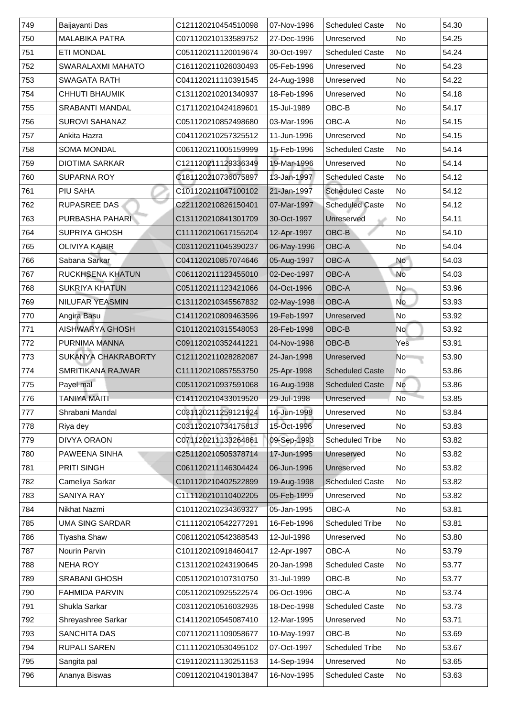| 749 | Baijayanti Das             | C121120210454510098 | 07-Nov-1996 | <b>Scheduled Caste</b> | No             | 54.30 |
|-----|----------------------------|---------------------|-------------|------------------------|----------------|-------|
| 750 | <b>MALABIKA PATRA</b>      | C071120210133589752 | 27-Dec-1996 | Unreserved             | <b>No</b>      | 54.25 |
| 751 | <b>ETI MONDAL</b>          | C051120211120019674 | 30-Oct-1997 | <b>Scheduled Caste</b> | No             | 54.24 |
| 752 | <b>SWARALAXMI MAHATO</b>   | C161120211026030493 | 05-Feb-1996 | Unreserved             | No             | 54.23 |
| 753 | <b>SWAGATA RATH</b>        | C041120211110391545 | 24-Aug-1998 | Unreserved             | No             | 54.22 |
| 754 | <b>CHHUTI BHAUMIK</b>      | C131120210201340937 | 18-Feb-1996 | Unreserved             | No             | 54.18 |
| 755 | <b>SRABANTI MANDAL</b>     | C171120210424189601 | 15-Jul-1989 | OBC-B                  | No             | 54.17 |
| 756 | <b>SUROVI SAHANAZ</b>      | C051120210852498680 | 03-Mar-1996 | <b>OBC-A</b>           | <b>No</b>      | 54.15 |
| 757 | Ankita Hazra               | C041120210257325512 | 11-Jun-1996 | Unreserved             | No             | 54.15 |
| 758 | <b>SOMA MONDAL</b>         | C061120211005159999 | 15-Feb-1996 | <b>Scheduled Caste</b> | N <sub>o</sub> | 54.14 |
| 759 | <b>DIOTIMA SARKAR</b>      | C121120211129336349 | 19-Mar-1996 | Unreserved             | No             | 54.14 |
| 760 | <b>SUPARNA ROY</b>         | C181120210736075897 | 13-Jan-1997 | <b>Scheduled Caste</b> | N <sub>o</sub> | 54.12 |
| 761 | <b>PIU SAHA</b>            | C101120211047100102 | 21-Jan-1997 | <b>Scheduled Caste</b> | No             | 54.12 |
| 762 | <b>RUPASREE DAS</b>        | C221120210826150401 | 07-Mar-1997 | <b>Scheduled Caste</b> | No             | 54.12 |
| 763 | <b>PURBASHA PAHARI</b>     | C131120210841301709 | 30-Oct-1997 | Unreserved             | N <sub>o</sub> | 54.11 |
| 764 | <b>SUPRIYA GHOSH</b>       | C111120210617155204 | 12-Apr-1997 | OBC-B                  | No             | 54.10 |
| 765 | <b>OLIVIYA KABIR</b>       | C031120211045390237 | 06-May-1996 | OBC-A                  | No             | 54.04 |
| 766 | Sabana Sarkar              | C041120210857074646 | 05-Aug-1997 | <b>OBC-A</b>           | <b>No</b>      | 54.03 |
| 767 | <b>RUCKHSENA KHATUN</b>    | C061120211123455010 | 02-Dec-1997 | <b>OBC-A</b>           | No             | 54.03 |
| 768 | <b>SUKRIYA KHATUN</b>      | C051120211123421066 | 04-Oct-1996 | <b>OBC-A</b>           | <b>No</b>      | 53.96 |
| 769 | <b>NILUFAR YEASMIN</b>     | C131120210345567832 | 02-May-1998 | <b>OBC-A</b>           | <b>No</b>      | 53.93 |
| 770 | Angira Basu                | C141120210809463596 | 19-Feb-1997 | Unreserved             | No             | 53.92 |
| 771 | <b>AISHWARYA GHOSH</b>     | C101120210315548053 | 28-Feb-1998 | OBC-B                  | <b>No</b>      | 53.92 |
| 772 | PURNIMA MANNA              | C091120210352441221 | 04-Nov-1998 | OBC-B                  | Yes            | 53.91 |
| 773 | <b>SUKANYA CHAKRABORTY</b> | C121120211028282087 | 24-Jan-1998 | Unreserved             | No             | 53.90 |
| 774 | <b>SMRITIKANA RAJWAR</b>   | C111120210857553750 | 25-Apr-1998 | <b>Scheduled Caste</b> | No             | 53.86 |
| 775 | Payel mal                  | C051120210937591068 | 16-Aug-1998 | <b>Scheduled Caste</b> | No             | 53.86 |
| 776 | <b>TANIYA MAITI</b>        | C141120210433019520 | 29-Jul-1998 | Unreserved             | No             | 53.85 |
| 777 | Shrabani Mandal            | C031120211259121924 | 16-Jun-1998 | Unreserved             | No             | 53.84 |
| 778 | Riya dey                   | C031120210734175813 | 15-Oct-1996 | Unreserved             | <b>No</b>      | 53.83 |
| 779 | <b>DIVYA ORAON</b>         | C071120211133264861 | 09-Sep-1993 | <b>Scheduled Tribe</b> | No             | 53.82 |
| 780 | <b>PAWEENA SINHA</b>       | C251120210505378714 | 17-Jun-1995 | Unreserved             | No             | 53.82 |
| 781 | <b>PRITI SINGH</b>         | C061120211146304424 | 06-Jun-1996 | Unreserved             | No             | 53.82 |
| 782 | <b>Cameliya Sarkar</b>     | C101120210402522899 | 19-Aug-1998 | <b>Scheduled Caste</b> | No             | 53.82 |
| 783 | <b>SANIYA RAY</b>          | C111120210110402205 | 05-Feb-1999 | Unreserved             | No             | 53.82 |
| 784 | <b>Nikhat Nazmi</b>        | C101120210234369327 | 05-Jan-1995 | <b>OBC-A</b>           | No             | 53.81 |
| 785 | <b>UMA SING SARDAR</b>     | C111120210542277291 | 16-Feb-1996 | <b>Scheduled Tribe</b> | <b>No</b>      | 53.81 |
| 786 | <b>Tiyasha Shaw</b>        | C081120210542388543 | 12-Jul-1998 | Unreserved             | <b>No</b>      | 53.80 |
| 787 | Nourin Parvin              | C101120210918460417 | 12-Apr-1997 | <b>OBC-A</b>           | <b>No</b>      | 53.79 |
| 788 | NEHA ROY                   | C131120210243190645 | 20-Jan-1998 | <b>Scheduled Caste</b> | No             | 53.77 |
| 789 | <b>SRABANI GHOSH</b>       | C051120210107310750 | 31-Jul-1999 | OBC-B                  | No             | 53.77 |
| 790 | <b>FAHMIDA PARVIN</b>      | C051120210925522574 | 06-Oct-1996 | <b>OBC-A</b>           | <b>No</b>      | 53.74 |
| 791 | <b>Shukla Sarkar</b>       | C031120210516032935 | 18-Dec-1998 | <b>Scheduled Caste</b> | No             | 53.73 |
| 792 | <b>Shreyashree Sarkar</b>  | C141120210545087410 | 12-Mar-1995 | Unreserved             | No             | 53.71 |
| 793 | <b>SANCHITA DAS</b>        | C071120211109058677 | 10-May-1997 | OBC-B                  | No             | 53.69 |
| 794 | <b>RUPALI SAREN</b>        | C111120210530495102 | 07-Oct-1997 | <b>Scheduled Tribe</b> | No             | 53.67 |
| 795 | Sangita pal                | C191120211130251153 | 14-Sep-1994 | Unreserved             | No             | 53.65 |
| 796 | Ananya Biswas              | C091120210419013847 | 16-Nov-1995 | <b>Scheduled Caste</b> | No             | 53.63 |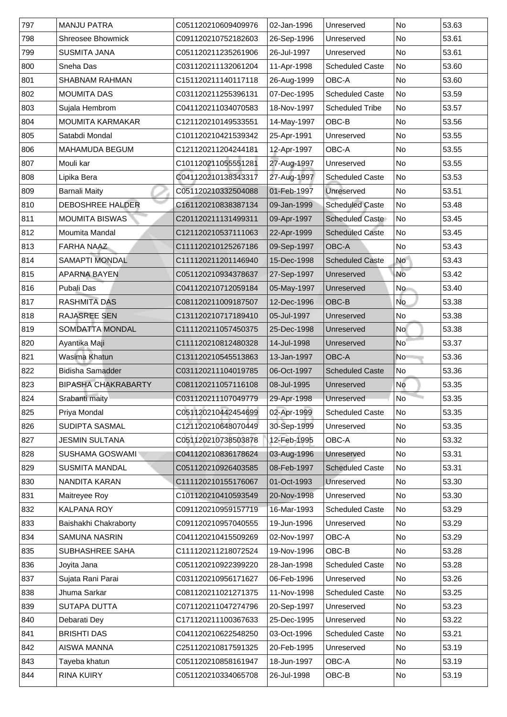| 797 | <b>MANJU PATRA</b>         | C051120210609409976 | 02-Jan-1996 | Unreserved             | <b>No</b>      | 53.63 |
|-----|----------------------------|---------------------|-------------|------------------------|----------------|-------|
| 798 | <b>Shreosee Bhowmick</b>   | C091120210752182603 | 26-Sep-1996 | Unreserved             | <b>No</b>      | 53.61 |
| 799 | <b>SUSMITA JANA</b>        | C051120211235261906 | 26-Jul-1997 | Unreserved             | No             | 53.61 |
| 800 | <b>Sneha Das</b>           | C031120211132061204 | 11-Apr-1998 | <b>Scheduled Caste</b> | <b>No</b>      | 53.60 |
| 801 | <b>SHABNAM RAHMAN</b>      | C151120211140117118 | 26-Aug-1999 | <b>OBC-A</b>           | <b>No</b>      | 53.60 |
| 802 | <b>MOUMITA DAS</b>         | C031120211255396131 | 07-Dec-1995 | <b>Scheduled Caste</b> | <b>No</b>      | 53.59 |
| 803 | Sujala Hembrom             | C041120211034070583 | 18-Nov-1997 | <b>Scheduled Tribe</b> | <b>No</b>      | 53.57 |
| 804 | <b>MOUMITA KARMAKAR</b>    | C121120210149533551 | 14-May-1997 | OBC-B                  | No             | 53.56 |
| 805 | Satabdi Mondal             | C101120210421539342 | 25-Apr-1991 | Unreserved             | No             | 53.55 |
| 806 | <b>MAHAMUDA BEGUM</b>      | C121120211204244181 | 12-Apr-1997 | <b>OBC-A</b>           | <b>No</b>      | 53.55 |
| 807 | Mouli kar                  | C101120211055551281 | 27-Aug-1997 | Unreserved             | <b>No</b>      | 53.55 |
| 808 | Lipika Bera                | C041120210138343317 | 27-Aug-1997 | <b>Scheduled Caste</b> | No             | 53.53 |
| 809 | <b>Barnali Maity</b>       | C051120210332504088 | 01-Feb-1997 | <b>Unreserved</b>      | <b>No</b>      | 53.51 |
| 810 | <b>DEBOSHREE HALDER</b>    | C161120210838387134 | 09-Jan-1999 | <b>Scheduled Caste</b> | No             | 53.48 |
| 811 | <b>MOUMITA BISWAS</b>      | C201120211131499311 | 09-Apr-1997 | <b>Scheduled Caste</b> | No             | 53.45 |
| 812 | <b>Moumita Mandal</b>      | C121120210537111063 | 22-Apr-1999 | <b>Scheduled Caste</b> | <b>No</b>      | 53.45 |
| 813 | <b>FARHA NAAZ</b>          | C111120210125267186 | 09-Sep-1997 | <b>OBC-A</b>           | <b>No</b>      | 53.43 |
| 814 | <b>SAMAPTI MONDAL</b>      | C111120211201146940 | 15-Dec-1998 | <b>Scheduled Caste</b> | No             | 53.43 |
| 815 | <b>APARNA BAYEN</b>        | C051120210934378637 | 27-Sep-1997 | Unreserved             | <b>No</b>      | 53.42 |
| 816 | <b>Pubali Das</b>          | C041120210712059184 | 05-May-1997 | Unreserved             | No             | 53.40 |
| 817 | <b>RASHMITA DAS</b>        | C081120211009187507 | 12-Dec-1996 | OBC-B                  | <b>No</b>      | 53.38 |
| 818 | <b>RAJASREE SEN</b>        | C131120210717189410 | 05-Jul-1997 | Unreserved             | No             | 53.38 |
| 819 | <b>SOMDATTA MONDAL</b>     | C111120211057450375 | 25-Dec-1998 | Unreserved             | No             | 53.38 |
| 820 | Ayantika Maji              | C111120210812480328 | 14-Jul-1998 | Unreserved             | <b>No</b>      | 53.37 |
| 821 | <b>Wasima Khatun</b>       | C131120210545513863 | 13-Jan-1997 | <b>OBC-A</b>           | N <sub>o</sub> | 53.36 |
| 822 | <b>Bidisha Samadder</b>    | C031120211104019785 | 06-Oct-1997 | <b>Scheduled Caste</b> | No             | 53.36 |
| 823 | <b>BIPASHA CHAKRABARTY</b> | C081120211057116108 | 08-Jul-1995 | Unreserved             | No             | 53.35 |
| 824 | Srabanti maity             | C031120211107049779 | 29-Apr-1998 | Unreserved             | <b>No</b>      | 53.35 |
| 825 | <b>Priya Mondal</b>        | C051120210442454699 | 02-Apr-1999 | <b>Scheduled Caste</b> | No             | 53.35 |
| 826 | <b>SUDIPTA SASMAL</b>      | C121120210648070449 | 30-Sep-1999 | Unreserved             | No             | 53.35 |
| 827 | <b>JESMIN SULTANA</b>      | C051120210738503878 | 12-Feb-1995 | <b>OBC-A</b>           | <b>No</b>      | 53.32 |
| 828 | <b>SUSHAMA GOSWAMI</b>     | C041120210836178624 | 03-Aug-1996 | Unreserved             | No             | 53.31 |
| 829 | <b>SUSMITA MANDAL</b>      | C051120210926403585 | 08-Feb-1997 | <b>Scheduled Caste</b> | No             | 53.31 |
| 830 | NANDITA KARAN              | C111120210155176067 | 01-Oct-1993 | Unreserved             | No             | 53.30 |
| 831 | <b>Maitreyee Roy</b>       | C101120210410593549 | 20-Nov-1998 | Unreserved             | No             | 53.30 |
| 832 | <b>KALPANA ROY</b>         | C091120210959157719 | 16-Mar-1993 | <b>Scheduled Caste</b> | No             | 53.29 |
| 833 | Baishakhi Chakraborty      | C091120210957040555 | 19-Jun-1996 | Unreserved             | <b>No</b>      | 53.29 |
| 834 | <b>SAMUNA NASRIN</b>       | C041120210415509269 | 02-Nov-1997 | <b>OBC-A</b>           | <b>No</b>      | 53.29 |
| 835 | <b>SUBHASHREE SAHA</b>     | C111120211218072524 | 19-Nov-1996 | OBC-B                  | No             | 53.28 |
| 836 | Joyita Jana                | C051120210922399220 | 28-Jan-1998 | <b>Scheduled Caste</b> | No             | 53.28 |
| 837 | Sujata Rani Parai          | C031120210956171627 | 06-Feb-1996 | Unreserved             | <b>No</b>      | 53.26 |
| 838 | Jhuma Sarkar               | C081120211021271375 | 11-Nov-1998 | <b>Scheduled Caste</b> | No             | 53.25 |
| 839 | <b>SUTAPA DUTTA</b>        | C071120211047274796 | 20-Sep-1997 | Unreserved             | <b>No</b>      | 53.23 |
| 840 | Debarati Dey               | C171120211100367633 | 25-Dec-1995 | Unreserved             | No             | 53.22 |
| 841 | <b>BRISHTI DAS</b>         | C041120210622548250 | 03-Oct-1996 | <b>Scheduled Caste</b> | No             | 53.21 |
| 842 | <b>AISWA MANNA</b>         | C251120210817591325 | 20-Feb-1995 | Unreserved             | No             | 53.19 |
| 843 | Tayeba khatun              | C051120210858161947 | 18-Jun-1997 | <b>OBC-A</b>           | No             | 53.19 |
| 844 | <b>RINA KUIRY</b>          | C051120210334065708 | 26-Jul-1998 | OBC-B                  | No             | 53.19 |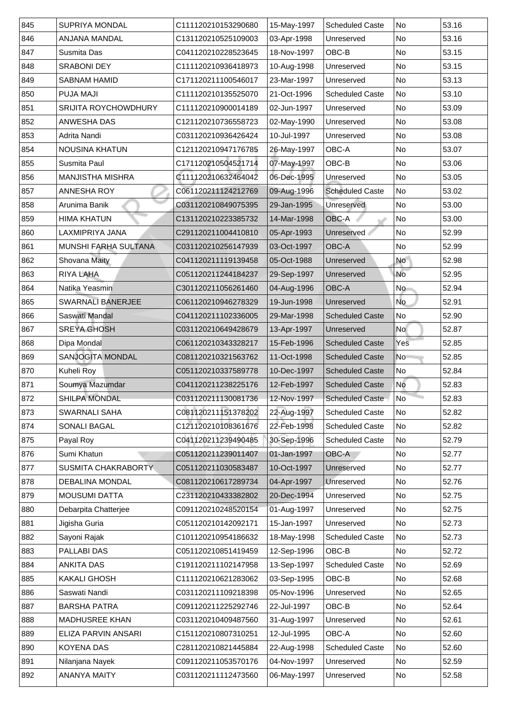| 845 | <b>SUPRIYA MONDAL</b>       | C111120210153290680 | 15-May-1997 | <b>Scheduled Caste</b> | <b>No</b>      | 53.16 |
|-----|-----------------------------|---------------------|-------------|------------------------|----------------|-------|
| 846 | <b>ANJANA MANDAL</b>        | C131120210525109003 | 03-Apr-1998 | Unreserved             | <b>No</b>      | 53.16 |
| 847 | <b>Susmita Das</b>          | C041120210228523645 | 18-Nov-1997 | OBC-B                  | No             | 53.15 |
| 848 | <b>SRABONI DEY</b>          | C111120210936418973 | 10-Aug-1998 | Unreserved             | <b>No</b>      | 53.15 |
| 849 | <b>SABNAM HAMID</b>         | C171120211100546017 | 23-Mar-1997 | Unreserved             | No             | 53.13 |
| 850 | <b>PUJA MAJI</b>            | C111120210135525070 | 21-Oct-1996 | <b>Scheduled Caste</b> | No             | 53.10 |
| 851 | <b>SRIJITA ROYCHOWDHURY</b> | C111120210900014189 | 02-Jun-1997 | Unreserved             | No             | 53.09 |
| 852 | <b>ANWESHA DAS</b>          | C121120210736558723 | 02-May-1990 | Unreserved             | No             | 53.08 |
| 853 | Adrita Nandi                | C031120210936426424 | 10-Jul-1997 | Unreserved             | No             | 53.08 |
| 854 | <b>NOUSINA KHATUN</b>       | C121120210947176785 | 26-May-1997 | OBC-A                  | <b>No</b>      | 53.07 |
| 855 | <b>Susmita Paul</b>         | C171120210504521714 | 07-May-1997 | OBC-B                  | <b>No</b>      | 53.06 |
| 856 | <b>MANJISTHA MISHRA</b>     | C111120210632464042 | 06-Dec-1995 | Unreserved             | No             | 53.05 |
| 857 | <b>ANNESHA ROY</b>          | C061120211124212769 | 09-Aug-1996 | <b>Scheduled Caste</b> | No             | 53.02 |
| 858 | Arunima Banik               | C031120210849075395 | 29-Jan-1995 | Unreserved             | No             | 53.00 |
| 859 | <b>HIMA KHATUN</b>          | C131120210223385732 | 14-Mar-1998 | <b>OBC-A</b>           | No             | 53.00 |
| 860 | LAXMIPRIYA JANA             | C291120211004410810 | 05-Apr-1993 | Unreserved             | No             | 52.99 |
| 861 | <b>MUNSHI FARHA SULTANA</b> | C031120210256147939 | 03-Oct-1997 | OBC-A                  | No             | 52.99 |
| 862 | <b>Shovana Maity</b>        | C041120211119139458 | 05-Oct-1988 | Unreserved             | <b>No</b>      | 52.98 |
| 863 | RIYA LAHA                   | C051120211244184237 | 29-Sep-1997 | Unreserved             | No             | 52.95 |
| 864 | Natika Yeasmin              | C301120211056261460 | 04-Aug-1996 | OBC-A                  | No             | 52.94 |
| 865 | <b>SWARNALI BANERJEE</b>    | C061120210946278329 | 19-Jun-1998 | Unreserved             | <b>No</b>      | 52.91 |
| 866 | Saswati Mandal              | C041120211102336005 | 29-Mar-1998 | <b>Scheduled Caste</b> | No             | 52.90 |
| 867 | <b>SREYA GHOSH</b>          | C031120210649428679 | 13-Apr-1997 | Unreserved             | No             | 52.87 |
| 868 | Dipa Mondal                 | C061120210343328217 | 15-Feb-1996 | <b>Scheduled Caste</b> | Yes            | 52.85 |
| 869 | <b>SANJOGITA MONDAL</b>     | C081120210321563762 | 11-Oct-1998 | <b>Scheduled Caste</b> | No             | 52.85 |
| 870 | Kuheli Roy                  | C051120210337589778 | 10-Dec-1997 | <b>Scheduled Caste</b> | No             | 52.84 |
| 871 | Soumya Mazumdar             | C041120211238225176 | 12-Feb-1997 | <b>Scheduled Caste</b> | No             | 52.83 |
| 872 | <b>SHILPA MONDAL</b>        | C031120211130081736 | 12-Nov-1997 | <b>Scheduled Caste</b> | N <sub>o</sub> | 52.83 |
| 873 | <b>SWARNALI SAHA</b>        | C081120211151378202 | 22-Aug-1997 | <b>Scheduled Caste</b> | No             | 52.82 |
| 874 | <b>SONALI BAGAL</b>         | C121120210108361676 | 22-Feb-1998 | <b>Scheduled Caste</b> | <b>No</b>      | 52.82 |
| 875 | Payal Roy                   | C041120211239490485 | 30-Sep-1996 | <b>Scheduled Caste</b> | No             | 52.79 |
| 876 | Sumi Khatun                 | C051120211239011407 | 01-Jan-1997 | <b>OBC-A</b>           | No             | 52.77 |
| 877 | <b>SUSMITA CHAKRABORTY</b>  | C051120211030583487 | 10-Oct-1997 | Unreserved             | <b>No</b>      | 52.77 |
| 878 | <b>DEBALINA MONDAL</b>      | C081120210617289734 | 04-Apr-1997 | Unreserved             | No             | 52.76 |
| 879 | <b>MOUSUMI DATTA</b>        | C231120210433382802 | 20-Dec-1994 | Unreserved             | No             | 52.75 |
| 880 | Debarpita Chatterjee        | C091120210248520154 | 01-Aug-1997 | Unreserved             | No             | 52.75 |
| 881 | Jigisha Guria               | C051120210142092171 | 15-Jan-1997 | Unreserved             | No             | 52.73 |
| 882 | Sayoni Rajak                | C101120210954186632 | 18-May-1998 | <b>Scheduled Caste</b> | <b>No</b>      | 52.73 |
| 883 | <b>PALLABI DAS</b>          | C051120210851419459 | 12-Sep-1996 | OBC-B                  | No             | 52.72 |
| 884 | <b>ANKITA DAS</b>           | C191120211102147958 | 13-Sep-1997 | <b>Scheduled Caste</b> | No             | 52.69 |
| 885 | <b>KAKALI GHOSH</b>         | C111120210621283062 | 03-Sep-1995 | OBC-B                  | <b>No</b>      | 52.68 |
| 886 | Saswati Nandi               | C031120211109218398 | 05-Nov-1996 | <b>Unreserved</b>      | No             | 52.65 |
| 887 | <b>BARSHA PATRA</b>         | C091120211225292746 | 22-Jul-1997 | OBC-B                  | <b>No</b>      | 52.64 |
| 888 | <b>MADHUSREE KHAN</b>       | C031120210409487560 | 31-Aug-1997 | Unreserved             | No             | 52.61 |
| 889 | ELIZA PARVIN ANSARI         | C151120210807310251 | 12-Jul-1995 | <b>OBC-A</b>           | No             | 52.60 |
| 890 | <b>KOYENA DAS</b>           | C281120210821445884 | 22-Aug-1998 | <b>Scheduled Caste</b> | No             | 52.60 |
| 891 | Nilanjana Nayek             | C091120211053570176 | 04-Nov-1997 | Unreserved             | No             | 52.59 |
| 892 | <b>ANANYA MAITY</b>         | C031120211112473560 | 06-May-1997 | Unreserved             | No             | 52.58 |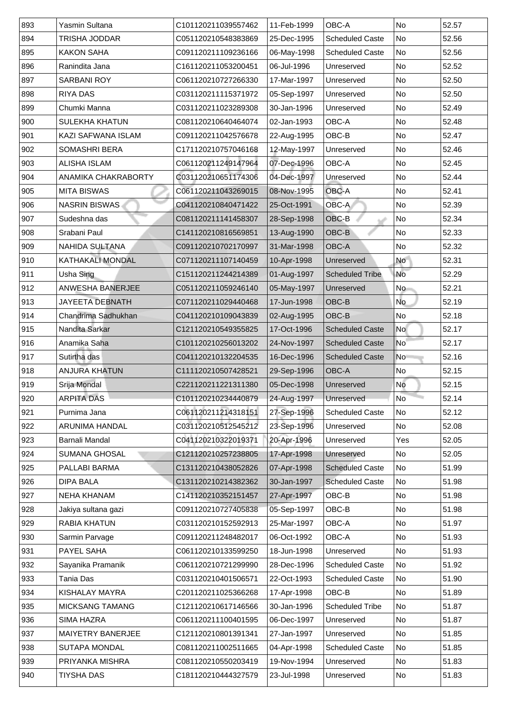| 893 | Yasmin Sultana             | C101120211039557462 | 11-Feb-1999 | <b>OBC-A</b>           | <b>No</b>                | 52.57 |
|-----|----------------------------|---------------------|-------------|------------------------|--------------------------|-------|
| 894 | TRISHA JODDAR              | C051120210548383869 | 25-Dec-1995 | <b>Scheduled Caste</b> | No                       | 52.56 |
| 895 | <b>KAKON SAHA</b>          | C091120211109236166 | 06-May-1998 | <b>Scheduled Caste</b> | No                       | 52.56 |
| 896 | Ranindita Jana             | C161120211053200451 | 06-Jul-1996 | Unreserved             | No                       | 52.52 |
| 897 | <b>SARBANI ROY</b>         | C061120210727266330 | 17-Mar-1997 | Unreserved             | No                       | 52.50 |
| 898 | <b>RIYA DAS</b>            | C031120211115371972 | 05-Sep-1997 | Unreserved             | No                       | 52.50 |
| 899 | Chumki Manna               | C031120211023289308 | 30-Jan-1996 | Unreserved             | No                       | 52.49 |
| 900 | <b>SULEKHA KHATUN</b>      | C081120210640464074 | 02-Jan-1993 | <b>OBC-A</b>           | No                       | 52.48 |
| 901 | <b>KAZI SAFWANA ISLAM</b>  | C091120211042576678 | 22-Aug-1995 | OBC-B                  | <b>No</b>                | 52.47 |
| 902 | <b>SOMASHRI BERA</b>       | C171120210757046168 | 12-May-1997 | Unreserved             | N <sub>o</sub>           | 52.46 |
| 903 | <b>ALISHA ISLAM</b>        | C061120211249147964 | 07-Dec-1996 | <b>OBC-A</b>           | <b>No</b>                | 52.45 |
| 904 | <b>ANAMIKA CHAKRABORTY</b> | C031120210651174306 | 04-Dec-1997 | Unreserved             | No                       | 52.44 |
| 905 | <b>MITA BISWAS</b>         | C061120211043269015 | 08-Nov-1995 | <b>OBC-A</b>           | <b>No</b>                | 52.41 |
| 906 | <b>NASRIN BISWAS</b>       | C041120210840471422 | 25-Oct-1991 | <b>OBC-A</b>           | $\overline{\mathsf{No}}$ | 52.39 |
| 907 | Sudeshna das               | C081120211141458307 | 28-Sep-1998 | OBC-B                  | N <sub>o</sub>           | 52.34 |
| 908 | Srabani Paul               | C141120210816569851 | 13-Aug-1990 | OBC-B                  | No                       | 52.33 |
| 909 | <b>NAHIDA SULTANA</b>      | C091120210702170997 | 31-Mar-1998 | <b>OBC-A</b>           | No                       | 52.32 |
| 910 | <b>KATHAKALI MONDAL</b>    | C071120211107140459 | 10-Apr-1998 | <b>Unreserved</b>      | <b>No</b>                | 52.31 |
| 911 | Usha Sing                  | C151120211244214389 | 01-Aug-1997 | <b>Scheduled Tribe</b> | No                       | 52.29 |
| 912 | <b>ANWESHA BANERJEE</b>    | C051120211059246140 | 05-May-1997 | Unreserved             | <b>No</b>                | 52.21 |
| 913 | <b>JAYEETA DEBNATH</b>     | C071120211029440468 | 17-Jun-1998 | OBC-B                  | <b>No</b>                | 52.19 |
| 914 | Chandrima Sadhukhan        | C041120210109043839 | 02-Aug-1995 | OBC-B                  | No                       | 52.18 |
| 915 | Nandita Sarkar             | C121120210549355825 | 17-Oct-1996 | <b>Scheduled Caste</b> | <b>No</b>                | 52.17 |
| 916 | Anamika Saha               | C101120210256013202 | 24-Nov-1997 | <b>Scheduled Caste</b> | $\overline{\mathsf{No}}$ | 52.17 |
| 917 | Sutirtha das               | C041120210132204535 | 16-Dec-1996 | <b>Scheduled Caste</b> | No                       | 52.16 |
| 918 | <b>ANJURA KHATUN</b>       | C111120210507428521 | 29-Sep-1996 | <b>OBC-A</b>           | No                       | 52.15 |
| 919 | Srija Mondal               | C221120211221311380 | 05-Dec-1998 | Unreserved             | No                       | 52.15 |
| 920 | <b>ARPITA DAS</b>          | C101120210234440879 | 24-Aug-1997 | Unreserved             | N <sub>o</sub>           | 52.14 |
| 921 | Purnima Jana               | C061120211214318151 | 27-Sep-1996 | <b>Scheduled Caste</b> | N <sub>o</sub>           | 52.12 |
| 922 | <b>ARUNIMA HANDAL</b>      | C031120210512545212 | 23-Sep-1996 | Unreserved             | <b>No</b>                | 52.08 |
| 923 | <b>Barnali Mandal</b>      | C041120210322019371 | 20-Apr-1996 | Unreserved             | Yes                      | 52.05 |
| 924 | <b>SUMANA GHOSAL</b>       | C121120210257238805 | 17-Apr-1998 | Unreserved             | No                       | 52.05 |
| 925 | <b>PALLABI BARMA</b>       | C131120210438052826 | 07-Apr-1998 | <b>Scheduled Caste</b> | No                       | 51.99 |
| 926 | <b>DIPA BALA</b>           | C131120210214382362 | 30-Jan-1997 | <b>Scheduled Caste</b> | No                       | 51.98 |
| 927 | <b>NEHA KHANAM</b>         | C141120210352151457 | 27-Apr-1997 | OBC-B                  | No                       | 51.98 |
| 928 | Jakiya sultana gazi        | C091120210727405838 | 05-Sep-1997 | OBC-B                  | No                       | 51.98 |
| 929 | <b>RABIA KHATUN</b>        | C031120210152592913 | 25-Mar-1997 | <b>OBC-A</b>           | <b>No</b>                | 51.97 |
| 930 | <b>Sarmin Parvage</b>      | C091120211248482017 | 06-Oct-1992 | <b>OBC-A</b>           | <b>No</b>                | 51.93 |
| 931 | <b>PAYEL SAHA</b>          | C061120210133599250 | 18-Jun-1998 | Unreserved             | N <sub>o</sub>           | 51.93 |
| 932 | Sayanika Pramanik          | C061120210721299990 | 28-Dec-1996 | <b>Scheduled Caste</b> | No                       | 51.92 |
| 933 | Tania Das                  | C031120210401506571 | 22-Oct-1993 | <b>Scheduled Caste</b> | No                       | 51.90 |
| 934 | <b>KISHALAY MAYRA</b>      | C201120211025366268 | 17-Apr-1998 | OBC-B                  | N <sub>o</sub>           | 51.89 |
| 935 | <b>MICKSANG TAMANG</b>     | C121120210617146566 | 30-Jan-1996 | <b>Scheduled Tribe</b> | No                       | 51.87 |
| 936 | <b>SIMA HAZRA</b>          | C061120211100401595 | 06-Dec-1997 | Unreserved             | No                       | 51.87 |
| 937 | <b>MAIYETRY BANERJEE</b>   | C121120210801391341 | 27-Jan-1997 | Unreserved             | No                       | 51.85 |
| 938 | <b>SUTAPA MONDAL</b>       | C081120211002511665 | 04-Apr-1998 | <b>Scheduled Caste</b> | No                       | 51.85 |
| 939 | PRIYANKA MISHRA            | C081120210550203419 | 19-Nov-1994 | Unreserved             | No                       | 51.83 |
| 940 | <b>TIYSHA DAS</b>          | C181120210444327579 | 23-Jul-1998 | Unreserved             | N <sub>o</sub>           | 51.83 |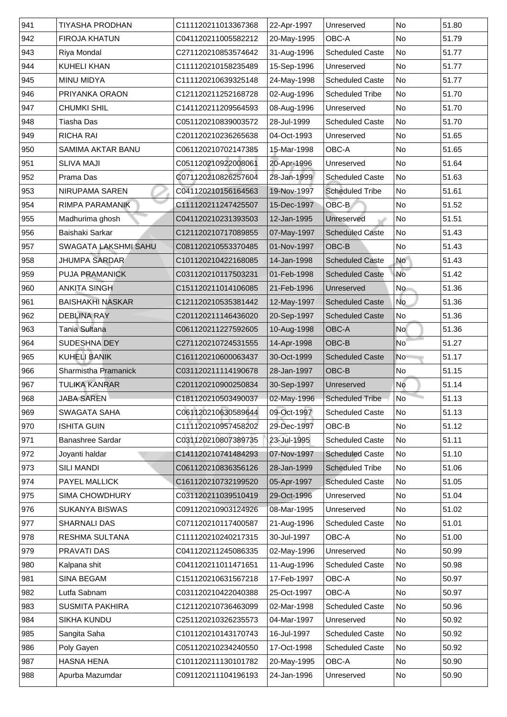| 941 | <b>TIYASHA PRODHAN</b>      | C111120211013367368 | 22-Apr-1997 | Unreserved             | <b>No</b> | 51.80 |
|-----|-----------------------------|---------------------|-------------|------------------------|-----------|-------|
| 942 | <b>FIROJA KHATUN</b>        | C041120211005582212 | 20-May-1995 | <b>OBC-A</b>           | <b>No</b> | 51.79 |
| 943 | <b>Riya Mondal</b>          | C271120210853574642 | 31-Aug-1996 | <b>Scheduled Caste</b> | No        | 51.77 |
| 944 | <b>KUHELI KHAN</b>          | C111120210158235489 | 15-Sep-1996 | Unreserved             | No        | 51.77 |
| 945 | <b>MINU MIDYA</b>           | C111120210639325148 | 24-May-1998 | <b>Scheduled Caste</b> | No        | 51.77 |
| 946 | <b>PRIYANKA ORAON</b>       | C121120211252168728 | 02-Aug-1996 | <b>Scheduled Tribe</b> | <b>No</b> | 51.70 |
| 947 | <b>CHUMKI SHIL</b>          | C141120211209564593 | 08-Aug-1996 | Unreserved             | No        | 51.70 |
| 948 | Tiasha Das                  | C051120210839003572 | 28-Jul-1999 | <b>Scheduled Caste</b> | <b>No</b> | 51.70 |
| 949 | <b>RICHA RAI</b>            | C201120210236265638 | 04-Oct-1993 | Unreserved             | No        | 51.65 |
| 950 | <b>SAMIMA AKTAR BANU</b>    | C061120210702147385 | 15-Mar-1998 | <b>OBC-A</b>           | No        | 51.65 |
| 951 | <b>SLIVA MAJI</b>           | C051120210922008061 | 20-Apr-1996 | Unreserved             | <b>No</b> | 51.64 |
| 952 | <b>Prama Das</b>            | C071120210826257604 | 28-Jan-1999 | <b>Scheduled Caste</b> | No        | 51.63 |
| 953 | <b>NIRUPAMA SAREN</b>       | C041120210156164563 | 19-Nov-1997 | <b>Scheduled Tribe</b> | <b>No</b> | 51.61 |
| 954 | <b>RIMPA PARAMANIK</b>      | C111120211247425507 | 15-Dec-1997 | OBC-B                  | No        | 51.52 |
| 955 | Madhurima ghosh             | C041120210231393503 | 12-Jan-1995 | Unreserved             | No        | 51.51 |
| 956 | <b>Baishaki Sarkar</b>      | C121120210717089855 | 07-May-1997 | <b>Scheduled Caste</b> | No        | 51.43 |
| 957 | <b>SWAGATA LAKSHMI SAHU</b> | C081120210553370485 | 01-Nov-1997 | OBC-B                  | No        | 51.43 |
| 958 | <b>JHUMPA SARDAR</b>        | C101120210422168085 | 14-Jan-1998 | <b>Scheduled Caste</b> | <b>No</b> | 51.43 |
| 959 | <b>PUJA PRAMANICK</b>       | C031120210117503231 | 01-Feb-1998 | <b>Scheduled Caste</b> | <b>No</b> | 51.42 |
| 960 | <b>ANKITA SINGH</b>         | C151120211014106085 | 21-Feb-1996 | Unreserved             | <b>No</b> | 51.36 |
| 961 | <b>BAISHAKHI NASKAR</b>     | C121120210535381442 | 12-May-1997 | <b>Scheduled Caste</b> | <b>No</b> | 51.36 |
| 962 | <b>DEBLINA RAY</b>          | C201120211146436020 | 20-Sep-1997 | <b>Scheduled Caste</b> | No        | 51.36 |
| 963 | Tania Sultana               | C061120211227592605 | 10-Aug-1998 | <b>OBC-A</b>           | <b>No</b> | 51.36 |
| 964 | <b>SUDESHNA DEY</b>         | C271120210724531555 | 14-Apr-1998 | OBC-B                  | <b>No</b> | 51.27 |
| 965 | <b>KUHELI BANIK</b>         | C161120210600063437 | 30-Oct-1999 | <b>Scheduled Caste</b> | No        | 51.17 |
| 966 | <b>Sharmistha Pramanick</b> | C031120211114190678 | 28-Jan-1997 | OBC-B                  | <b>No</b> | 51.15 |
| 967 | TULIKA KANRAR               | C201120210900250834 | 30-Sep-1997 | Unreserved             | No        | 51.14 |
| 869 | <b>JABA SAREN</b>           | C181120210503490037 | 02-May-1996 | <b>Scheduled Tribe</b> | No        | 51.13 |
| 969 | <b>SWAGATA SAHA</b>         | C061120210630589644 | 09-Oct-1997 | <b>Scheduled Caste</b> | No        | 51.13 |
| 970 | <b>ISHITA GUIN</b>          | C111120210957458202 | 29-Dec-1997 | OBC-B                  | <b>No</b> | 51.12 |
| 971 | <b>Banashree Sardar</b>     | C031120210807389735 | 23-Jul-1995 | <b>Scheduled Caste</b> | No        | 51.11 |
| 972 | Joyanti haldar              | C141120210741484293 | 07-Nov-1997 | <b>Scheduled Caste</b> | <b>No</b> | 51.10 |
| 973 | <b>SILI MANDI</b>           | C061120210836356126 | 28-Jan-1999 | <b>Scheduled Tribe</b> | No        | 51.06 |
| 974 | PAYEL MALLICK               | C161120210732199520 | 05-Apr-1997 | <b>Scheduled Caste</b> | <b>No</b> | 51.05 |
| 975 | <b>SIMA CHOWDHURY</b>       | C031120211039510419 | 29-Oct-1996 | Unreserved             | No        | 51.04 |
| 976 | <b>SUKANYA BISWAS</b>       | C091120210903124926 | 08-Mar-1995 | Unreserved             | No        | 51.02 |
| 977 | <b>SHARNALI DAS</b>         | C071120210117400587 | 21-Aug-1996 | <b>Scheduled Caste</b> | No        | 51.01 |
| 978 | <b>RESHMA SULTANA</b>       | C111120210240217315 | 30-Jul-1997 | <b>OBC-A</b>           | <b>No</b> | 51.00 |
| 979 | <b>PRAVATI DAS</b>          | C041120211245086335 | 02-May-1996 | Unreserved             | <b>No</b> | 50.99 |
| 980 | Kalpana shit                | C041120211011471651 | 11-Aug-1996 | <b>Scheduled Caste</b> | No        | 50.98 |
| 981 | <b>SINA BEGAM</b>           | C151120210631567218 | 17-Feb-1997 | <b>OBC-A</b>           | <b>No</b> | 50.97 |
| 982 | Lutfa Sabnam                | C031120210422040388 | 25-Oct-1997 | <b>OBC-A</b>           | No        | 50.97 |
| 983 | <b>SUSMITA PAKHIRA</b>      | C121120210736463099 | 02-Mar-1998 | <b>Scheduled Caste</b> | No        | 50.96 |
| 984 | <b>SIKHA KUNDU</b>          | C251120210326235573 | 04-Mar-1997 | Unreserved             | No        | 50.92 |
| 985 | Sangita Saha                | C101120210143170743 | 16-Jul-1997 | <b>Scheduled Caste</b> | No        | 50.92 |
| 986 | Poly Gayen                  | C051120210234240550 | 17-Oct-1998 | <b>Scheduled Caste</b> | No        | 50.92 |
| 987 | <b>HASNA HENA</b>           | C101120211130101782 | 20-May-1995 | <b>OBC-A</b>           | No        | 50.90 |
| 988 | Apurba Mazumdar             | C091120211104196193 | 24-Jan-1996 | Unreserved             | No        | 50.90 |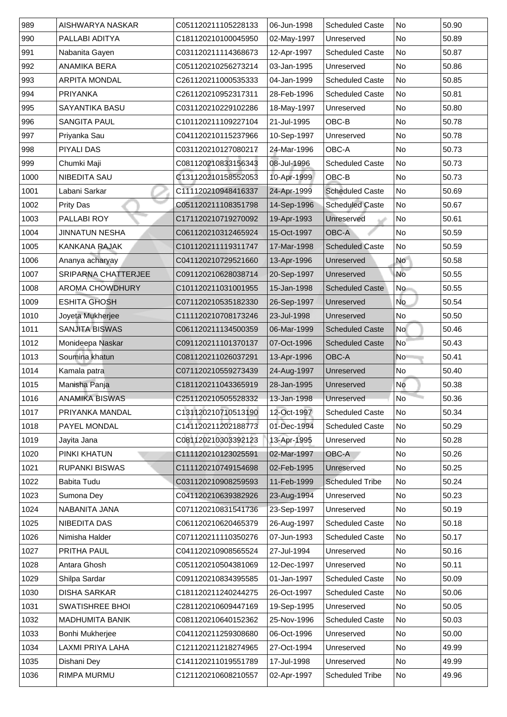| 989  | AISHWARYA NASKAR           | C051120211105228133 | 06-Jun-1998 | <b>Scheduled Caste</b> | <b>No</b>                | 50.90 |
|------|----------------------------|---------------------|-------------|------------------------|--------------------------|-------|
| 990  | PALLABI ADITYA             | C181120210100045950 | 02-May-1997 | Unreserved             | <b>No</b>                | 50.89 |
| 991  | Nabanita Gayen             | C031120211114368673 | 12-Apr-1997 | <b>Scheduled Caste</b> | No                       | 50.87 |
| 992  | <b>ANAMIKA BERA</b>        | C051120210256273214 | 03-Jan-1995 | Unreserved             | No                       | 50.86 |
| 993  | <b>ARPITA MONDAL</b>       | C261120211000535333 | 04-Jan-1999 | <b>Scheduled Caste</b> | N <sub>o</sub>           | 50.85 |
| 994  | <b>PRIYANKA</b>            | C261120210952317311 | 28-Feb-1996 | <b>Scheduled Caste</b> | No                       | 50.81 |
| 995  | <b>SAYANTIKA BASU</b>      | C031120210229102286 | 18-May-1997 | Unreserved             | No                       | 50.80 |
| 996  | <b>SANGITA PAUL</b>        | C101120211109227104 | 21-Jul-1995 | OBC-B                  | No                       | 50.78 |
| 997  | Priyanka Sau               | C041120210115237966 | 10-Sep-1997 | Unreserved             | No                       | 50.78 |
| 998  | <b>PIYALI DAS</b>          | C031120210127080217 | 24-Mar-1996 | <b>OBC-A</b>           | No                       | 50.73 |
| 999  | Chumki Maji                | C081120210833156343 | 08-Jul-1996 | <b>Scheduled Caste</b> | No                       | 50.73 |
| 1000 | <b>NIBEDITA SAU</b>        | C131120210158552053 | 10-Apr-1999 | OBC-B                  | No                       | 50.73 |
| 1001 | Labani Sarkar              | C111120210948416337 | 24-Apr-1999 | <b>Scheduled Caste</b> | No                       | 50.69 |
| 1002 | <b>Prity Das</b>           | C051120211108351798 | 14-Sep-1996 | <b>Scheduled Caste</b> | $\overline{\mathsf{No}}$ | 50.67 |
| 1003 | PALLABI ROY                | C171120210719270092 | 19-Apr-1993 | Unreserved             | N <sub>o</sub>           | 50.61 |
| 1004 | <b>JINNATUN NESHA</b>      | C061120210312465924 | 15-Oct-1997 | <b>OBC-A</b>           | No                       | 50.59 |
| 1005 | <b>KANKANA RAJAK</b>       | C101120211119311747 | 17-Mar-1998 | <b>Scheduled Caste</b> | No                       | 50.59 |
| 1006 | Ananya acharyay            | C041120210729521660 | 13-Apr-1996 | Unreserved             | <b>No</b>                | 50.58 |
| 1007 | <b>SRIPARNA CHATTERJEE</b> | C091120210628038714 | 20-Sep-1997 | Unreserved             | No                       | 50.55 |
| 1008 | <b>AROMA CHOWDHURY</b>     | C101120211031001955 | 15-Jan-1998 | <b>Scheduled Caste</b> | N <sub>o</sub>           | 50.55 |
| 1009 | <b>ESHITA GHOSH</b>        | C071120210535182330 | 26-Sep-1997 | Unreserved             | <b>No</b>                | 50.54 |
| 1010 | Joyeta Mukherjee           | C111120210708173246 | 23-Jul-1998 | Unreserved             | No                       | 50.50 |
| 1011 | <b>SANJITA BISWAS</b>      | C061120211134500359 | 06-Mar-1999 | <b>Scheduled Caste</b> | <b>No</b>                | 50.46 |
| 1012 | Monideepa Naskar           | C091120211101370137 | 07-Oct-1996 | <b>Scheduled Caste</b> | <b>No</b>                | 50.43 |
| 1013 | Soumina khatun             | C081120211026037291 | 13-Apr-1996 | OBC-A                  | <b>No</b>                | 50.41 |
| 1014 | Kamala patra               | C071120210559273439 | 24-Aug-1997 | Unreserved             | No                       | 50.40 |
| 1015 | Manisha Panja              | C181120211043365919 | 28-Jan-1995 | Unreserved             | No                       | 50.38 |
| 1016 | <b>ANAMIKA BISWAS</b>      | C251120210505528332 | 13-Jan-1998 | Unreserved             | <b>No</b>                | 50.36 |
| 1017 | <b>PRIYANKA MANDAL</b>     | C131120210710513190 | 12-Oct-1997 | <b>Scheduled Caste</b> | N <sub>o</sub>           | 50.34 |
| 1018 | <b>PAYEL MONDAL</b>        | C141120211202188773 | 01-Dec-1994 | <b>Scheduled Caste</b> | No                       | 50.29 |
| 1019 | Jayita Jana                | C081120210303392123 | 13-Apr-1995 | Unreserved             | No                       | 50.28 |
| 1020 | <b>PINKI KHATUN</b>        | C111120210123025591 | 02-Mar-1997 | OBC-A                  | No                       | 50.26 |
| 1021 | <b>RUPANKI BISWAS</b>      | C111120210749154698 | 02-Feb-1995 | Unreserved             | No                       | 50.25 |
| 1022 | <b>Babita Tudu</b>         | C031120210908259593 | 11-Feb-1999 | <b>Scheduled Tribe</b> | No                       | 50.24 |
| 1023 | Sumona Dey                 | C041120210639382926 | 23-Aug-1994 | Unreserved             | No                       | 50.23 |
| 1024 | NABANITA JANA              | C071120210831541736 | 23-Sep-1997 | Unreserved             | No                       | 50.19 |
| 1025 | <b>NIBEDITA DAS</b>        | C061120210620465379 | 26-Aug-1997 | <b>Scheduled Caste</b> | No                       | 50.18 |
| 1026 | Nimisha Halder             | C071120211110350276 | 07-Jun-1993 | <b>Scheduled Caste</b> | <b>No</b>                | 50.17 |
| 1027 | <b>PRITHA PAUL</b>         | C041120210908565524 | 27-Jul-1994 | Unreserved             | <b>No</b>                | 50.16 |
| 1028 | Antara Ghosh               | C051120210504381069 | 12-Dec-1997 | Unreserved             | No                       | 50.11 |
| 1029 | Shilpa Sardar              | C091120210834395585 | 01-Jan-1997 | <b>Scheduled Caste</b> | No                       | 50.09 |
| 1030 | <b>DISHA SARKAR</b>        | C181120211240244275 | 26-Oct-1997 | <b>Scheduled Caste</b> | N <sub>o</sub>           | 50.06 |
| 1031 | <b>SWATISHREE BHOI</b>     | C281120210609447169 | 19-Sep-1995 | Unreserved             | No                       | 50.05 |
| 1032 | MADHUMITA BANIK            | C081120210640152362 | 25-Nov-1996 | <b>Scheduled Caste</b> | No                       | 50.03 |
| 1033 | <b>Bonhi Mukherjee</b>     | C041120211259308680 | 06-Oct-1996 | Unreserved             | No                       | 50.00 |
| 1034 |                            |                     | 27-Oct-1994 | Unreserved             | No                       | 49.99 |
|      | LAXMI PRIYA LAHA           | C121120211218274965 |             |                        |                          |       |
| 1035 | Dishani Dey                | C141120211019551789 | 17-Jul-1998 | Unreserved             | No                       | 49.99 |
| 1036 | <b>RIMPA MURMU</b>         | C121120210608210557 | 02-Apr-1997 | <b>Scheduled Tribe</b> | No                       | 49.96 |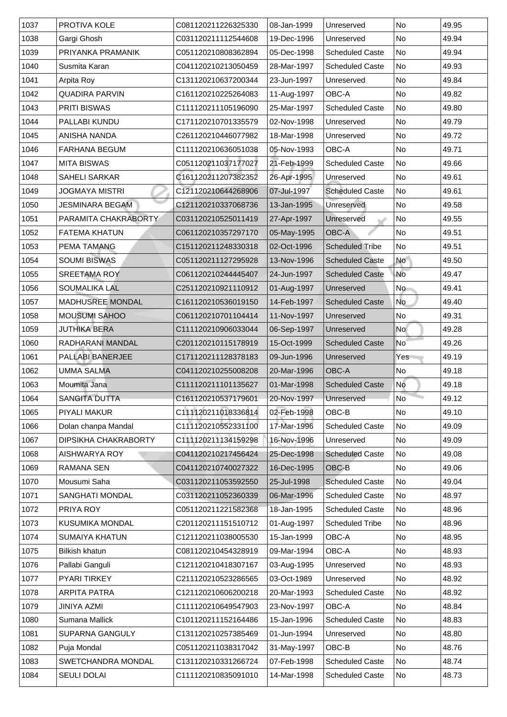| 1038<br>Gargi Ghosh<br><b>No</b><br>49.94<br>C031120211112544608<br>19-Dec-1996<br>Unreserved<br>PRIYANKA PRAMANIK<br>1039<br><b>Scheduled Caste</b><br>No<br>C051120210808362894<br>05-Dec-1998<br>49.94<br>1040<br><b>No</b><br><b>Scheduled Caste</b><br>49.93<br>Susmita Karan<br>C041120210213050459<br>28-Mar-1997<br>1041<br><b>Arpita Roy</b><br>No<br>49.84<br>C131120210637200344<br>23-Jun-1997<br>Unreserved<br>1042<br><b>QUADIRA PARVIN</b><br><b>OBC-A</b><br><b>No</b><br>49.82<br>C161120210225264083<br>11-Aug-1997<br><b>No</b><br>1043<br><b>PRITI BISWAS</b><br>25-Mar-1997<br>49.80<br>C111120211105196090<br><b>Scheduled Caste</b><br>1044<br><b>PALLABI KUNDU</b><br>No<br>C171120210701335579<br>02-Nov-1998<br>49.79<br>Unreserved<br>1045<br><b>No</b><br>49.72<br>ANISHA NANDA<br>C261120210446077982<br>18-Mar-1998<br>Unreserved<br>1046<br><b>OBC-A</b><br><b>FARHANA BEGUM</b><br>C111120210636051038<br>05-Nov-1993<br>No<br>49.71<br>1047<br><b>MITA BISWAS</b><br><b>No</b><br>C051120211037177027<br>21-Feb-1999<br><b>Scheduled Caste</b><br>49.66<br>26-Apr-1995<br><b>SAHELI SARKAR</b><br><b>No</b><br>1048<br>C161120211207382352<br>49.61<br>Unreserved<br>1049<br><b>No</b><br><b>JOGMAYA MISTRI</b><br>C121120210644268906<br>07-Jul-1997<br>49.61<br><b>Scheduled Caste</b><br><b>No</b><br>49.58<br>JESMINARA BEGAM<br>C121120210337068736<br>13-Jan-1995<br>Unreserved<br>1051<br>PARAMITA CHAKRABORTY<br>27-Apr-1997<br>No<br>49.55<br>C031120210525011419<br>Unreserved<br>1052<br><b>FATEMA KHATUN</b><br>05-May-1995<br><b>OBC-A</b><br>No<br>49.51<br>C061120210357297170<br>1053<br><b>PEMA TAMANG</b><br>C151120211248330318<br>02-Oct-1996<br><b>Scheduled Tribe</b><br>No<br>49.51<br>1054<br><b>SOUMI BISWAS</b><br><b>No</b><br>49.50<br>C051120211127295928<br>13-Nov-1996<br><b>Scheduled Caste</b><br>No<br>1055<br><b>SREETAMA ROY</b><br><b>Scheduled Caste</b><br>49.47<br>C061120210244445407<br>24-Jun-1997<br>1056<br><b>SOUMALIKA LAL</b><br><b>No</b><br>49.41<br>C251120210921110912<br>01-Aug-1997<br>Unreserved<br><b>No</b><br>1057<br><b>MADHUSREE MONDAL</b><br>C161120210536019150<br>14-Feb-1997<br><b>Scheduled Caste</b><br>49.40<br>1058<br><b>MOUSUMI SAHOO</b><br>49.31<br>C061120210701104414<br>11-Nov-1997<br><b>No</b><br>Unreserved |
|-----------------------------------------------------------------------------------------------------------------------------------------------------------------------------------------------------------------------------------------------------------------------------------------------------------------------------------------------------------------------------------------------------------------------------------------------------------------------------------------------------------------------------------------------------------------------------------------------------------------------------------------------------------------------------------------------------------------------------------------------------------------------------------------------------------------------------------------------------------------------------------------------------------------------------------------------------------------------------------------------------------------------------------------------------------------------------------------------------------------------------------------------------------------------------------------------------------------------------------------------------------------------------------------------------------------------------------------------------------------------------------------------------------------------------------------------------------------------------------------------------------------------------------------------------------------------------------------------------------------------------------------------------------------------------------------------------------------------------------------------------------------------------------------------------------------------------------------------------------------------------------------------------------------------------------------------------------------------------------------------------------------------------------------------------------------------------------------------------------------------------------------------------------------------------------------------------------------------------------------------------------------------------------------------------------------------------|
|                                                                                                                                                                                                                                                                                                                                                                                                                                                                                                                                                                                                                                                                                                                                                                                                                                                                                                                                                                                                                                                                                                                                                                                                                                                                                                                                                                                                                                                                                                                                                                                                                                                                                                                                                                                                                                                                                                                                                                                                                                                                                                                                                                                                                                                                                                                             |
|                                                                                                                                                                                                                                                                                                                                                                                                                                                                                                                                                                                                                                                                                                                                                                                                                                                                                                                                                                                                                                                                                                                                                                                                                                                                                                                                                                                                                                                                                                                                                                                                                                                                                                                                                                                                                                                                                                                                                                                                                                                                                                                                                                                                                                                                                                                             |
|                                                                                                                                                                                                                                                                                                                                                                                                                                                                                                                                                                                                                                                                                                                                                                                                                                                                                                                                                                                                                                                                                                                                                                                                                                                                                                                                                                                                                                                                                                                                                                                                                                                                                                                                                                                                                                                                                                                                                                                                                                                                                                                                                                                                                                                                                                                             |
|                                                                                                                                                                                                                                                                                                                                                                                                                                                                                                                                                                                                                                                                                                                                                                                                                                                                                                                                                                                                                                                                                                                                                                                                                                                                                                                                                                                                                                                                                                                                                                                                                                                                                                                                                                                                                                                                                                                                                                                                                                                                                                                                                                                                                                                                                                                             |
| 1050                                                                                                                                                                                                                                                                                                                                                                                                                                                                                                                                                                                                                                                                                                                                                                                                                                                                                                                                                                                                                                                                                                                                                                                                                                                                                                                                                                                                                                                                                                                                                                                                                                                                                                                                                                                                                                                                                                                                                                                                                                                                                                                                                                                                                                                                                                                        |
|                                                                                                                                                                                                                                                                                                                                                                                                                                                                                                                                                                                                                                                                                                                                                                                                                                                                                                                                                                                                                                                                                                                                                                                                                                                                                                                                                                                                                                                                                                                                                                                                                                                                                                                                                                                                                                                                                                                                                                                                                                                                                                                                                                                                                                                                                                                             |
|                                                                                                                                                                                                                                                                                                                                                                                                                                                                                                                                                                                                                                                                                                                                                                                                                                                                                                                                                                                                                                                                                                                                                                                                                                                                                                                                                                                                                                                                                                                                                                                                                                                                                                                                                                                                                                                                                                                                                                                                                                                                                                                                                                                                                                                                                                                             |
|                                                                                                                                                                                                                                                                                                                                                                                                                                                                                                                                                                                                                                                                                                                                                                                                                                                                                                                                                                                                                                                                                                                                                                                                                                                                                                                                                                                                                                                                                                                                                                                                                                                                                                                                                                                                                                                                                                                                                                                                                                                                                                                                                                                                                                                                                                                             |
|                                                                                                                                                                                                                                                                                                                                                                                                                                                                                                                                                                                                                                                                                                                                                                                                                                                                                                                                                                                                                                                                                                                                                                                                                                                                                                                                                                                                                                                                                                                                                                                                                                                                                                                                                                                                                                                                                                                                                                                                                                                                                                                                                                                                                                                                                                                             |
|                                                                                                                                                                                                                                                                                                                                                                                                                                                                                                                                                                                                                                                                                                                                                                                                                                                                                                                                                                                                                                                                                                                                                                                                                                                                                                                                                                                                                                                                                                                                                                                                                                                                                                                                                                                                                                                                                                                                                                                                                                                                                                                                                                                                                                                                                                                             |
|                                                                                                                                                                                                                                                                                                                                                                                                                                                                                                                                                                                                                                                                                                                                                                                                                                                                                                                                                                                                                                                                                                                                                                                                                                                                                                                                                                                                                                                                                                                                                                                                                                                                                                                                                                                                                                                                                                                                                                                                                                                                                                                                                                                                                                                                                                                             |
|                                                                                                                                                                                                                                                                                                                                                                                                                                                                                                                                                                                                                                                                                                                                                                                                                                                                                                                                                                                                                                                                                                                                                                                                                                                                                                                                                                                                                                                                                                                                                                                                                                                                                                                                                                                                                                                                                                                                                                                                                                                                                                                                                                                                                                                                                                                             |
|                                                                                                                                                                                                                                                                                                                                                                                                                                                                                                                                                                                                                                                                                                                                                                                                                                                                                                                                                                                                                                                                                                                                                                                                                                                                                                                                                                                                                                                                                                                                                                                                                                                                                                                                                                                                                                                                                                                                                                                                                                                                                                                                                                                                                                                                                                                             |
|                                                                                                                                                                                                                                                                                                                                                                                                                                                                                                                                                                                                                                                                                                                                                                                                                                                                                                                                                                                                                                                                                                                                                                                                                                                                                                                                                                                                                                                                                                                                                                                                                                                                                                                                                                                                                                                                                                                                                                                                                                                                                                                                                                                                                                                                                                                             |
|                                                                                                                                                                                                                                                                                                                                                                                                                                                                                                                                                                                                                                                                                                                                                                                                                                                                                                                                                                                                                                                                                                                                                                                                                                                                                                                                                                                                                                                                                                                                                                                                                                                                                                                                                                                                                                                                                                                                                                                                                                                                                                                                                                                                                                                                                                                             |
|                                                                                                                                                                                                                                                                                                                                                                                                                                                                                                                                                                                                                                                                                                                                                                                                                                                                                                                                                                                                                                                                                                                                                                                                                                                                                                                                                                                                                                                                                                                                                                                                                                                                                                                                                                                                                                                                                                                                                                                                                                                                                                                                                                                                                                                                                                                             |
|                                                                                                                                                                                                                                                                                                                                                                                                                                                                                                                                                                                                                                                                                                                                                                                                                                                                                                                                                                                                                                                                                                                                                                                                                                                                                                                                                                                                                                                                                                                                                                                                                                                                                                                                                                                                                                                                                                                                                                                                                                                                                                                                                                                                                                                                                                                             |
|                                                                                                                                                                                                                                                                                                                                                                                                                                                                                                                                                                                                                                                                                                                                                                                                                                                                                                                                                                                                                                                                                                                                                                                                                                                                                                                                                                                                                                                                                                                                                                                                                                                                                                                                                                                                                                                                                                                                                                                                                                                                                                                                                                                                                                                                                                                             |
|                                                                                                                                                                                                                                                                                                                                                                                                                                                                                                                                                                                                                                                                                                                                                                                                                                                                                                                                                                                                                                                                                                                                                                                                                                                                                                                                                                                                                                                                                                                                                                                                                                                                                                                                                                                                                                                                                                                                                                                                                                                                                                                                                                                                                                                                                                                             |
|                                                                                                                                                                                                                                                                                                                                                                                                                                                                                                                                                                                                                                                                                                                                                                                                                                                                                                                                                                                                                                                                                                                                                                                                                                                                                                                                                                                                                                                                                                                                                                                                                                                                                                                                                                                                                                                                                                                                                                                                                                                                                                                                                                                                                                                                                                                             |
|                                                                                                                                                                                                                                                                                                                                                                                                                                                                                                                                                                                                                                                                                                                                                                                                                                                                                                                                                                                                                                                                                                                                                                                                                                                                                                                                                                                                                                                                                                                                                                                                                                                                                                                                                                                                                                                                                                                                                                                                                                                                                                                                                                                                                                                                                                                             |
| 1059<br><b>JUTHIKA BERA</b><br>06-Sep-1997<br><b>No</b><br>49.28<br>C111120210906033044<br>Unreserved                                                                                                                                                                                                                                                                                                                                                                                                                                                                                                                                                                                                                                                                                                                                                                                                                                                                                                                                                                                                                                                                                                                                                                                                                                                                                                                                                                                                                                                                                                                                                                                                                                                                                                                                                                                                                                                                                                                                                                                                                                                                                                                                                                                                                       |
| 1060<br>RADHARANI MANDAL<br>C201120210115178919<br>15-Oct-1999<br><b>Scheduled Caste</b><br>49.26<br>N <sub>o</sub>                                                                                                                                                                                                                                                                                                                                                                                                                                                                                                                                                                                                                                                                                                                                                                                                                                                                                                                                                                                                                                                                                                                                                                                                                                                                                                                                                                                                                                                                                                                                                                                                                                                                                                                                                                                                                                                                                                                                                                                                                                                                                                                                                                                                         |
| 1061<br><b>PALLABI BANERJEE</b><br>C171120211128378183<br>49.19<br>09-Jun-1996<br>Unreserved<br>Yes                                                                                                                                                                                                                                                                                                                                                                                                                                                                                                                                                                                                                                                                                                                                                                                                                                                                                                                                                                                                                                                                                                                                                                                                                                                                                                                                                                                                                                                                                                                                                                                                                                                                                                                                                                                                                                                                                                                                                                                                                                                                                                                                                                                                                         |
| 1062<br><b>UMMA SALMA</b><br><b>OBC-A</b><br>No<br>C041120210255008208<br>20-Mar-1996<br>49.18                                                                                                                                                                                                                                                                                                                                                                                                                                                                                                                                                                                                                                                                                                                                                                                                                                                                                                                                                                                                                                                                                                                                                                                                                                                                                                                                                                                                                                                                                                                                                                                                                                                                                                                                                                                                                                                                                                                                                                                                                                                                                                                                                                                                                              |
| 1063<br>Moumita Jana<br>C111120211101135627<br>01-Mar-1998<br><b>Scheduled Caste</b><br>No<br>49.18                                                                                                                                                                                                                                                                                                                                                                                                                                                                                                                                                                                                                                                                                                                                                                                                                                                                                                                                                                                                                                                                                                                                                                                                                                                                                                                                                                                                                                                                                                                                                                                                                                                                                                                                                                                                                                                                                                                                                                                                                                                                                                                                                                                                                         |
| 1064<br><b>No</b><br>49.12<br><b>SANGITA DUTTA</b><br>C161120210537179601<br>20-Nov-1997<br>Unreserved                                                                                                                                                                                                                                                                                                                                                                                                                                                                                                                                                                                                                                                                                                                                                                                                                                                                                                                                                                                                                                                                                                                                                                                                                                                                                                                                                                                                                                                                                                                                                                                                                                                                                                                                                                                                                                                                                                                                                                                                                                                                                                                                                                                                                      |
| 1065<br>02-Feb-1998<br>OBC-B<br><b>No</b><br>49.10<br><b>PIYALI MAKUR</b><br>C111120211018336814                                                                                                                                                                                                                                                                                                                                                                                                                                                                                                                                                                                                                                                                                                                                                                                                                                                                                                                                                                                                                                                                                                                                                                                                                                                                                                                                                                                                                                                                                                                                                                                                                                                                                                                                                                                                                                                                                                                                                                                                                                                                                                                                                                                                                            |
| Dolan chanpa Mandal<br><b>Scheduled Caste</b><br><b>No</b><br>1066<br>C111120210552331100<br>17-Mar-1996<br>49.09                                                                                                                                                                                                                                                                                                                                                                                                                                                                                                                                                                                                                                                                                                                                                                                                                                                                                                                                                                                                                                                                                                                                                                                                                                                                                                                                                                                                                                                                                                                                                                                                                                                                                                                                                                                                                                                                                                                                                                                                                                                                                                                                                                                                           |
| 16-Nov-1996<br><b>DIPSIKHA CHAKRABORTY</b><br><b>No</b><br>1067<br>C111120211134159298<br>49.09<br>Unreserved                                                                                                                                                                                                                                                                                                                                                                                                                                                                                                                                                                                                                                                                                                                                                                                                                                                                                                                                                                                                                                                                                                                                                                                                                                                                                                                                                                                                                                                                                                                                                                                                                                                                                                                                                                                                                                                                                                                                                                                                                                                                                                                                                                                                               |
| 1068<br><b>Scheduled Caste</b><br><b>AISHWARYA ROY</b><br>No<br>49.08<br>C041120210217456424<br>25-Dec-1998                                                                                                                                                                                                                                                                                                                                                                                                                                                                                                                                                                                                                                                                                                                                                                                                                                                                                                                                                                                                                                                                                                                                                                                                                                                                                                                                                                                                                                                                                                                                                                                                                                                                                                                                                                                                                                                                                                                                                                                                                                                                                                                                                                                                                 |
| 1069<br>OBC-B<br><b>No</b><br><b>RAMANA SEN</b><br>C041120210740027322<br>49.06<br>16-Dec-1995                                                                                                                                                                                                                                                                                                                                                                                                                                                                                                                                                                                                                                                                                                                                                                                                                                                                                                                                                                                                                                                                                                                                                                                                                                                                                                                                                                                                                                                                                                                                                                                                                                                                                                                                                                                                                                                                                                                                                                                                                                                                                                                                                                                                                              |
| 1070<br>Mousumi Saha<br>49.04<br>C031120211053592550<br>25-Jul-1998<br><b>Scheduled Caste</b><br>No                                                                                                                                                                                                                                                                                                                                                                                                                                                                                                                                                                                                                                                                                                                                                                                                                                                                                                                                                                                                                                                                                                                                                                                                                                                                                                                                                                                                                                                                                                                                                                                                                                                                                                                                                                                                                                                                                                                                                                                                                                                                                                                                                                                                                         |
| 1071<br><b>SANGHATI MONDAL</b><br><b>No</b><br>06-Mar-1996<br><b>Scheduled Caste</b><br>48.97<br>C031120211052360339                                                                                                                                                                                                                                                                                                                                                                                                                                                                                                                                                                                                                                                                                                                                                                                                                                                                                                                                                                                                                                                                                                                                                                                                                                                                                                                                                                                                                                                                                                                                                                                                                                                                                                                                                                                                                                                                                                                                                                                                                                                                                                                                                                                                        |
| 1072<br>PRIYA ROY<br>C051120211221582368<br>18-Jan-1995<br><b>Scheduled Caste</b><br>No<br>48.96                                                                                                                                                                                                                                                                                                                                                                                                                                                                                                                                                                                                                                                                                                                                                                                                                                                                                                                                                                                                                                                                                                                                                                                                                                                                                                                                                                                                                                                                                                                                                                                                                                                                                                                                                                                                                                                                                                                                                                                                                                                                                                                                                                                                                            |
| 1073<br><b>No</b><br><b>KUSUMIKA MONDAL</b><br>01-Aug-1997<br><b>Scheduled Tribe</b><br>48.96<br>C201120211151510712                                                                                                                                                                                                                                                                                                                                                                                                                                                                                                                                                                                                                                                                                                                                                                                                                                                                                                                                                                                                                                                                                                                                                                                                                                                                                                                                                                                                                                                                                                                                                                                                                                                                                                                                                                                                                                                                                                                                                                                                                                                                                                                                                                                                        |
| 1074<br><b>OBC-A</b><br><b>No</b><br><b>SUMAIYA KHATUN</b><br>15-Jan-1999<br>48.95<br>C121120211038005530                                                                                                                                                                                                                                                                                                                                                                                                                                                                                                                                                                                                                                                                                                                                                                                                                                                                                                                                                                                                                                                                                                                                                                                                                                                                                                                                                                                                                                                                                                                                                                                                                                                                                                                                                                                                                                                                                                                                                                                                                                                                                                                                                                                                                   |
| 1075<br><b>Bilkish khatun</b><br><b>OBC-A</b><br>C081120210454328919<br>09-Mar-1994<br>No<br>48.93                                                                                                                                                                                                                                                                                                                                                                                                                                                                                                                                                                                                                                                                                                                                                                                                                                                                                                                                                                                                                                                                                                                                                                                                                                                                                                                                                                                                                                                                                                                                                                                                                                                                                                                                                                                                                                                                                                                                                                                                                                                                                                                                                                                                                          |
| 1076<br>Pallabi Ganguli<br><b>No</b><br>48.93<br>C121120210418307167<br>03-Aug-1995<br>Unreserved                                                                                                                                                                                                                                                                                                                                                                                                                                                                                                                                                                                                                                                                                                                                                                                                                                                                                                                                                                                                                                                                                                                                                                                                                                                                                                                                                                                                                                                                                                                                                                                                                                                                                                                                                                                                                                                                                                                                                                                                                                                                                                                                                                                                                           |
| 1077<br><b>PYARI TIRKEY</b><br>03-Oct-1989<br>48.92<br>C211120210523286565<br>No<br>Unreserved                                                                                                                                                                                                                                                                                                                                                                                                                                                                                                                                                                                                                                                                                                                                                                                                                                                                                                                                                                                                                                                                                                                                                                                                                                                                                                                                                                                                                                                                                                                                                                                                                                                                                                                                                                                                                                                                                                                                                                                                                                                                                                                                                                                                                              |
| 1078<br><b>ARPITA PATRA</b><br>C121120210606200218<br>20-Mar-1993<br><b>Scheduled Caste</b><br>No<br>48.92                                                                                                                                                                                                                                                                                                                                                                                                                                                                                                                                                                                                                                                                                                                                                                                                                                                                                                                                                                                                                                                                                                                                                                                                                                                                                                                                                                                                                                                                                                                                                                                                                                                                                                                                                                                                                                                                                                                                                                                                                                                                                                                                                                                                                  |
| 1079<br><b>No</b><br>23-Nov-1997<br><b>OBC-A</b><br>JINIYA AZMI<br>C111120210649547903<br>48.84                                                                                                                                                                                                                                                                                                                                                                                                                                                                                                                                                                                                                                                                                                                                                                                                                                                                                                                                                                                                                                                                                                                                                                                                                                                                                                                                                                                                                                                                                                                                                                                                                                                                                                                                                                                                                                                                                                                                                                                                                                                                                                                                                                                                                             |
| 1080<br><b>Sumana Mallick</b><br>15-Jan-1996<br><b>Scheduled Caste</b><br>No<br>48.83<br>C101120211152164486                                                                                                                                                                                                                                                                                                                                                                                                                                                                                                                                                                                                                                                                                                                                                                                                                                                                                                                                                                                                                                                                                                                                                                                                                                                                                                                                                                                                                                                                                                                                                                                                                                                                                                                                                                                                                                                                                                                                                                                                                                                                                                                                                                                                                |
| 1081<br>No<br>48.80<br><b>SUPARNA GANGULY</b><br>C131120210257385469<br>01-Jun-1994<br>Unreserved                                                                                                                                                                                                                                                                                                                                                                                                                                                                                                                                                                                                                                                                                                                                                                                                                                                                                                                                                                                                                                                                                                                                                                                                                                                                                                                                                                                                                                                                                                                                                                                                                                                                                                                                                                                                                                                                                                                                                                                                                                                                                                                                                                                                                           |
| 1082<br>Puja Mondal<br>31-May-1997<br>OBC-B<br>No<br>48.76<br>C051120211038317042                                                                                                                                                                                                                                                                                                                                                                                                                                                                                                                                                                                                                                                                                                                                                                                                                                                                                                                                                                                                                                                                                                                                                                                                                                                                                                                                                                                                                                                                                                                                                                                                                                                                                                                                                                                                                                                                                                                                                                                                                                                                                                                                                                                                                                           |
| 1083<br><b>SWETCHANDRA MONDAL</b><br><b>Scheduled Caste</b><br>No<br>07-Feb-1998<br>C131120210331266724<br>48.74                                                                                                                                                                                                                                                                                                                                                                                                                                                                                                                                                                                                                                                                                                                                                                                                                                                                                                                                                                                                                                                                                                                                                                                                                                                                                                                                                                                                                                                                                                                                                                                                                                                                                                                                                                                                                                                                                                                                                                                                                                                                                                                                                                                                            |
| 1084<br><b>SEULI DOLAI</b><br>14-Mar-1998<br><b>Scheduled Caste</b><br>No<br>C111120210835091010<br>48.73                                                                                                                                                                                                                                                                                                                                                                                                                                                                                                                                                                                                                                                                                                                                                                                                                                                                                                                                                                                                                                                                                                                                                                                                                                                                                                                                                                                                                                                                                                                                                                                                                                                                                                                                                                                                                                                                                                                                                                                                                                                                                                                                                                                                                   |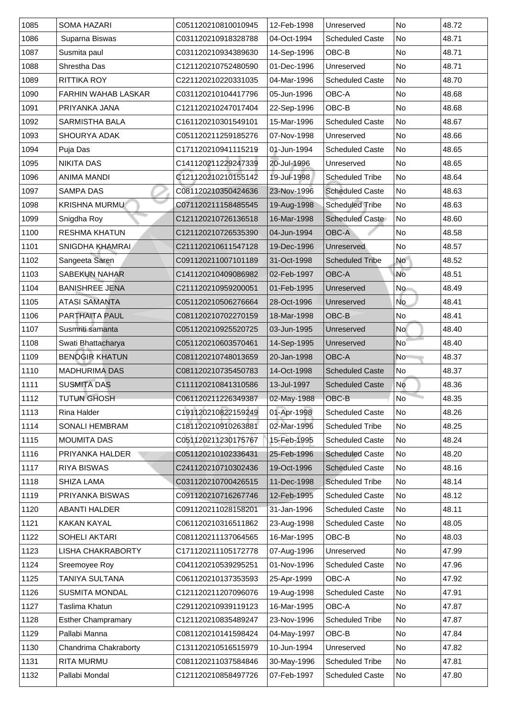| 1085 | <b>SOMA HAZARI</b>         | C051120210810010945 | 12-Feb-1998 | Unreserved             | <b>No</b>      | 48.72 |
|------|----------------------------|---------------------|-------------|------------------------|----------------|-------|
| 1086 | Suparna Biswas             | C031120210918328788 | 04-Oct-1994 | <b>Scheduled Caste</b> | <b>No</b>      | 48.71 |
| 1087 | Susmita paul               | C031120210934389630 | 14-Sep-1996 | OBC-B                  | <b>No</b>      | 48.71 |
| 1088 | <b>Shrestha Das</b>        | C121120210752480590 | 01-Dec-1996 | Unreserved             | <b>No</b>      | 48.71 |
| 1089 | <b>RITTIKA ROY</b>         | C221120210220331035 | 04-Mar-1996 | <b>Scheduled Caste</b> | <b>No</b>      | 48.70 |
| 1090 | <b>FARHIN WAHAB LASKAR</b> | C031120210104417796 | 05-Jun-1996 | <b>OBC-A</b>           | <b>No</b>      | 48.68 |
| 1091 | PRIYANKA JANA              | C121120210247017404 | 22-Sep-1996 | OBC-B                  | <b>No</b>      | 48.68 |
| 1092 | <b>SARMISTHA BALA</b>      | C161120210301549101 | 15-Mar-1996 | <b>Scheduled Caste</b> | No             | 48.67 |
| 1093 | <b>SHOURYA ADAK</b>        | C051120211259185276 | 07-Nov-1998 | Unreserved             | <b>No</b>      | 48.66 |
| 1094 | Puja Das                   | C171120210941115219 | 01-Jun-1994 | <b>Scheduled Caste</b> | <b>No</b>      | 48.65 |
| 1095 | <b>NIKITA DAS</b>          | C141120211229247339 | 20-Jul-1996 | Unreserved             | <b>No</b>      | 48.65 |
| 1096 | <b>ANIMA MANDI</b>         | C121120210210155142 | 19-Jul-1998 | <b>Scheduled Tribe</b> | <b>No</b>      | 48.64 |
| 1097 | <b>SAMPA DAS</b>           | C081120210350424636 | 23-Nov-1996 | <b>Scheduled Caste</b> | <b>No</b>      | 48.63 |
| 1098 | <b>KRISHNA MURMU</b>       | C071120211158485545 | 19-Aug-1998 | <b>Scheduled Tribe</b> | No             | 48.63 |
| 1099 | Snigdha Roy                | C121120210726136518 | 16-Mar-1998 | <b>Scheduled Caste</b> | <b>No</b>      | 48.60 |
| 1100 | <b>RESHMA KHATUN</b>       | C121120210726535390 | 04-Jun-1994 | <b>OBC-A</b>           | <b>No</b>      | 48.58 |
| 1101 | <b>SNIGDHA KHAMRAL</b>     | C211120210611547128 | 19-Dec-1996 | Unreserved             | No             | 48.57 |
| 1102 | Sangeeta Saren             | C091120211007101189 | 31-Oct-1998 | <b>Scheduled Tribe</b> | <b>No</b>      | 48.52 |
| 1103 | <b>SABEKUN NAHAR</b>       | C141120210409086982 | 02-Feb-1997 | <b>OBC-A</b>           | <b>No</b>      | 48.51 |
| 1104 | <b>BANISHREE JENA</b>      | C211120210959200051 | 01-Feb-1995 | Unreserved             | <b>No</b>      | 48.49 |
| 1105 | <b>ATASI SAMANTA</b>       | C051120210506276664 | 28-Oct-1996 | Unreserved             | No             | 48.41 |
| 1106 | <b>PARTHAITA PAUL</b>      | C081120210702270159 | 18-Mar-1998 | OBC-B                  | <b>No</b>      | 48.41 |
| 1107 | Susmriti samanta           | C051120210925520725 | 03-Jun-1995 | Unreserved             | <b>No</b>      | 48.40 |
| 1108 | Swati Bhattacharya         | C051120210603570461 | 14-Sep-1995 | Unreserved             | N <sub>o</sub> | 48.40 |
| 1109 | <b>BENOGIR KHATUN</b>      | C081120210748013659 | 20-Jan-1998 | <b>OBC-A</b>           | <b>No</b>      | 48.37 |
| 1110 | <b>MADHURIMA DAS</b>       | C081120210735450783 | 14-Oct-1998 | <b>Scheduled Caste</b> | No             | 48.37 |
| 1111 | <b>SUSMITA DAS</b>         | C111120210841310586 | 13-Jul-1997 | <b>Scheduled Caste</b> | No             | 48.36 |
| 1112 | <b>TUTUN GHOSH</b>         | C061120211226349387 | 02-May-1988 | <b>OBC-B</b>           | <b>No</b>      | 48.35 |
| 1113 | <b>Rina Halder</b>         | C191120210822159249 | 01-Apr-1998 | <b>Scheduled Caste</b> | <b>No</b>      | 48.26 |
| 1114 | <b>SONALI HEMBRAM</b>      | C181120210910263881 | 02-Mar-1996 | <b>Scheduled Tribe</b> | <b>No</b>      | 48.25 |
| 1115 | <b>MOUMITA DAS</b>         | C051120211230175767 | 15-Feb-1995 | <b>Scheduled Caste</b> | <b>No</b>      | 48.24 |
| 1116 | <b>PRIYANKA HALDER</b>     | C051120210102336431 | 25-Feb-1996 | <b>Scheduled Caste</b> | No             | 48.20 |
| 1117 | <b>RIYA BISWAS</b>         | C241120210710302436 | 19-Oct-1996 | <b>Scheduled Caste</b> | <b>No</b>      | 48.16 |
| 1118 | <b>SHIZA LAMA</b>          | C031120210700426515 | 11-Dec-1998 | <b>Scheduled Tribe</b> | <b>No</b>      | 48.14 |
| 1119 | <b>PRIYANKA BISWAS</b>     | C091120210716267746 | 12-Feb-1995 | <b>Scheduled Caste</b> | <b>No</b>      | 48.12 |
| 1120 | <b>ABANTI HALDER</b>       | C091120211028158201 | 31-Jan-1996 | <b>Scheduled Caste</b> | No             | 48.11 |
| 1121 | <b>KAKAN KAYAL</b>         | C061120210316511862 | 23-Aug-1998 | <b>Scheduled Caste</b> | <b>No</b>      | 48.05 |
| 1122 | <b>SOHELI AKTARI</b>       | C081120211137064565 | 16-Mar-1995 | OBC-B                  | <b>No</b>      | 48.03 |
| 1123 | <b>LISHA CHAKRABORTY</b>   | C171120211105172778 | 07-Aug-1996 | Unreserved             | No             | 47.99 |
| 1124 | <b>Sreemoyee Roy</b>       | C041120210539295251 | 01-Nov-1996 | <b>Scheduled Caste</b> | <b>No</b>      | 47.96 |
| 1125 | TANIYA SULTANA             | C061120210137353593 | 25-Apr-1999 | <b>OBC-A</b>           | <b>No</b>      | 47.92 |
| 1126 | <b>SUSMITA MONDAL</b>      | C121120211207096076 | 19-Aug-1998 | <b>Scheduled Caste</b> | No             | 47.91 |
| 1127 | Taslima Khatun             | C291120210939119123 | 16-Mar-1995 | <b>OBC-A</b>           | <b>No</b>      | 47.87 |
| 1128 | <b>Esther Champramary</b>  | C121120210835489247 | 23-Nov-1996 | <b>Scheduled Tribe</b> | No             | 47.87 |
| 1129 | Pallabi Manna              | C081120210141598424 | 04-May-1997 | OBC-B                  | <b>No</b>      | 47.84 |
| 1130 | Chandrima Chakraborty      | C131120210516515979 | 10-Jun-1994 | Unreserved             | No             | 47.82 |
| 1131 | <b>RITA MURMU</b>          | C081120211037584846 | 30-May-1996 | <b>Scheduled Tribe</b> | No             | 47.81 |
| 1132 | Pallabi Mondal             | C121120210858497726 | 07-Feb-1997 | <b>Scheduled Caste</b> | No             | 47.80 |
|      |                            |                     |             |                        |                |       |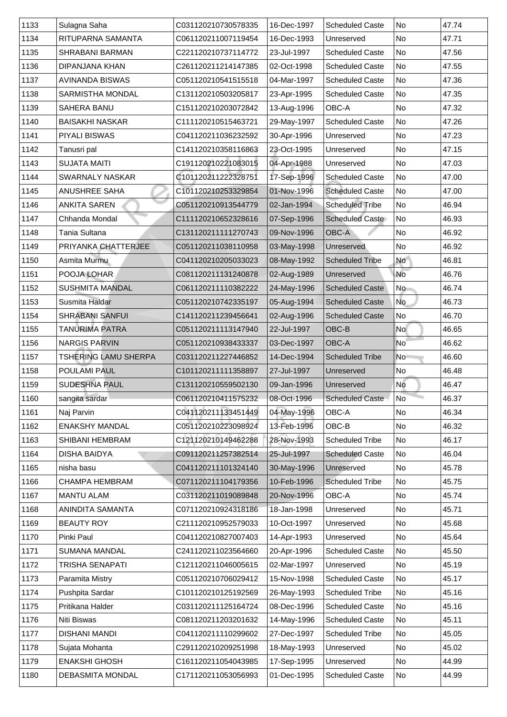| 1133 | Sulagna Saha            | C031120210730578335 | 16-Dec-1997 | <b>Scheduled Caste</b> | <b>No</b>      | 47.74 |
|------|-------------------------|---------------------|-------------|------------------------|----------------|-------|
| 1134 | RITUPARNA SAMANTA       | C061120211007119454 | 16-Dec-1993 | Unreserved             | <b>No</b>      | 47.71 |
| 1135 | <b>SHRABANI BARMAN</b>  | C221120210737114772 | 23-Jul-1997 | <b>Scheduled Caste</b> | <b>No</b>      | 47.56 |
| 1136 | <b>DIPANJANA KHAN</b>   | C261120211214147385 | 02-Oct-1998 | <b>Scheduled Caste</b> | No             | 47.55 |
| 1137 | <b>AVINANDA BISWAS</b>  | C051120210541515518 | 04-Mar-1997 | <b>Scheduled Caste</b> | No             | 47.36 |
| 1138 | <b>SARMISTHA MONDAL</b> | C131120210503205817 | 23-Apr-1995 | <b>Scheduled Caste</b> | No             | 47.35 |
| 1139 | <b>SAHERA BANU</b>      | C151120210203072842 | 13-Aug-1996 | <b>OBC-A</b>           | No             | 47.32 |
| 1140 | <b>BAISAKHI NASKAR</b>  | C111120210515463721 | 29-May-1997 | <b>Scheduled Caste</b> | No             | 47.26 |
| 1141 | <b>PIYALI BISWAS</b>    | C041120211036232592 | 30-Apr-1996 | Unreserved             | <b>No</b>      | 47.23 |
| 1142 | Tanusri pal             | C141120210358116863 | 23-Oct-1995 | Unreserved             | <b>No</b>      | 47.15 |
| 1143 | <b>SUJATA MAITI</b>     | C191120210221083015 | 04-Apr-1988 | Unreserved             | <b>No</b>      | 47.03 |
| 1144 | <b>SWARNALY NASKAR</b>  | C101120211222328751 | 17-Sep-1996 | <b>Scheduled Caste</b> | No             | 47.00 |
| 1145 | <b>ANUSHREE SAHA</b>    | C101120210253329854 | 01-Nov-1996 | <b>Scheduled Caste</b> | No             | 47.00 |
| 1146 | <b>ANKITA SAREN</b>     | C051120210913544779 | 02-Jan-1994 | <b>Scheduled Tribe</b> | <b>No</b>      | 46.94 |
| 1147 | <b>Chhanda Mondal</b>   | C111120210652328616 | 07-Sep-1996 | <b>Scheduled Caste</b> | <b>No</b>      | 46.93 |
| 1148 | Tania Sultana           | C131120211111270743 | 09-Nov-1996 | OBC-A                  | <b>No</b>      | 46.92 |
| 1149 | PRIYANKA CHATTERJEE     | C051120211038110958 | 03-May-1998 | Unreserved             | No             | 46.92 |
| 1150 | <b>Asmita Murmu</b>     | C041120210205033023 | 08-May-1992 | <b>Scheduled Tribe</b> | <b>No</b>      | 46.81 |
| 1151 | POOJA LOHAR             | C081120211131240878 | 02-Aug-1989 | Unreserved             | <b>No</b>      | 46.76 |
| 1152 | <b>SUSHMITA MANDAL</b>  | C061120211110382222 | 24-May-1996 | <b>Scheduled Caste</b> | <b>No</b>      | 46.74 |
| 1153 | Susmita Haldar          | C051120210742335197 | 05-Aug-1994 | <b>Scheduled Caste</b> | <b>No</b>      | 46.73 |
| 1154 | <b>SHRABANI SANFUI</b>  | C141120211239456641 | 02-Aug-1996 | <b>Scheduled Caste</b> | No             | 46.70 |
| 1155 | <b>TANURIMA PATRA</b>   | C051120211113147940 | 22-Jul-1997 | OBC-B                  | <b>No</b>      | 46.65 |
| 1156 | <b>NARGIS PARVIN</b>    | C051120210938433337 | 03-Dec-1997 | <b>OBC-A</b>           | <b>No</b>      | 46.62 |
| 1157 | TSHERING LAMU SHERPA    | C031120211227446852 | 14-Dec-1994 | <b>Scheduled Tribe</b> | <b>No</b>      | 46.60 |
| 1158 | <b>POULAMI PAUL</b>     | C101120211111358897 | 27-Jul-1997 | Unreserved             | No             | 46.48 |
| 1159 | <b>SUDESHNA PAUL</b>    | C131120210559502130 | 09-Jan-1996 | Unreserved             | No             | 46.47 |
| 1160 | sangita sardar          | C061120210411575232 | 08-Oct-1996 | <b>Scheduled Caste</b> | N <sub>o</sub> | 46.37 |
| 1161 | Naj Parvin              | C041120211133451449 | 04-May-1996 | <b>OBC-A</b>           | No             | 46.34 |
| 1162 | <b>ENAKSHY MANDAL</b>   | C051120210223098924 | 13-Feb-1996 | OBC-B                  | <b>No</b>      | 46.32 |
| 1163 | <b>SHIBANI HEMBRAM</b>  | C121120210149462288 | 28-Nov-1993 | <b>Scheduled Tribe</b> | No             | 46.17 |
| 1164 | <b>DISHA BAIDYA</b>     | C091120211257382514 | 25-Jul-1997 | <b>Scheduled Caste</b> | No             | 46.04 |
| 1165 | nisha basu              | C041120211101324140 | 30-May-1996 | Unreserved             | <b>No</b>      | 45.78 |
| 1166 | <b>CHAMPA HEMBRAM</b>   | C071120211104179356 | 10-Feb-1996 | <b>Scheduled Tribe</b> | <b>No</b>      | 45.75 |
| 1167 | <b>MANTU ALAM</b>       | C031120211019089848 | 20-Nov-1996 | <b>OBC-A</b>           | <b>No</b>      | 45.74 |
| 1168 | <b>ANINDITA SAMANTA</b> | C071120210924318186 | 18-Jan-1998 | Unreserved             | No             | 45.71 |
| 1169 | <b>BEAUTY ROY</b>       | C211120210952579033 | 10-Oct-1997 | Unreserved             | <b>No</b>      | 45.68 |
| 1170 | Pinki Paul              | C041120210827007403 | 14-Apr-1993 | Unreserved             | <b>No</b>      | 45.64 |
| 1171 | <b>SUMANA MANDAL</b>    | C241120211023564660 | 20-Apr-1996 | <b>Scheduled Caste</b> | <b>No</b>      | 45.50 |
| 1172 | <b>TRISHA SENAPATI</b>  | C121120211046005615 | 02-Mar-1997 | Unreserved             | <b>No</b>      | 45.19 |
| 1173 | <b>Paramita Mistry</b>  | C051120210706029412 | 15-Nov-1998 | <b>Scheduled Caste</b> | No             | 45.17 |
| 1174 | <b>Pushpita Sardar</b>  | C101120210125192569 | 26-May-1993 | <b>Scheduled Tribe</b> | No             | 45.16 |
| 1175 | Pritikana Halder        | C031120211125164724 | 08-Dec-1996 | <b>Scheduled Caste</b> | No             | 45.16 |
| 1176 | <b>Niti Biswas</b>      | C081120211203201632 | 14-May-1996 | <b>Scheduled Caste</b> | No             | 45.11 |
| 1177 | <b>DISHANI MANDI</b>    | C041120211110299602 | 27-Dec-1997 | <b>Scheduled Tribe</b> | No             | 45.05 |
| 1178 | Sujata Mohanta          | C291120210209251998 | 18-May-1993 | Unreserved             | No             | 45.02 |
| 1179 | <b>ENAKSHI GHOSH</b>    | C161120211054043985 | 17-Sep-1995 | Unreserved             | No             | 44.99 |
| 1180 | <b>DEBASMITA MONDAL</b> | C171120211053056993 | 01-Dec-1995 | <b>Scheduled Caste</b> | No             | 44.99 |